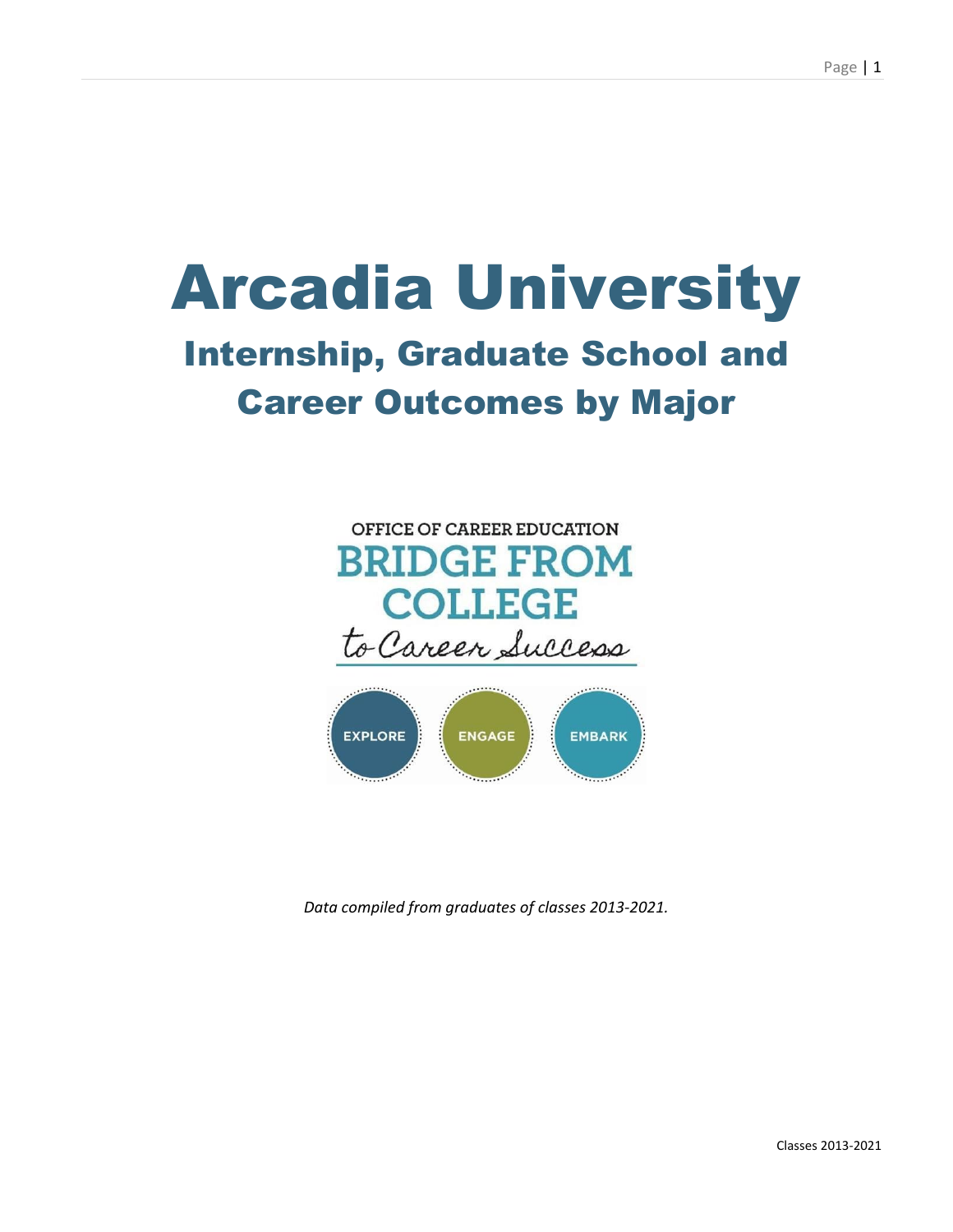# Arcadia University Internship, Graduate School and Career Outcomes by Major





*Data compiled from graduates of classes 2013-2021.*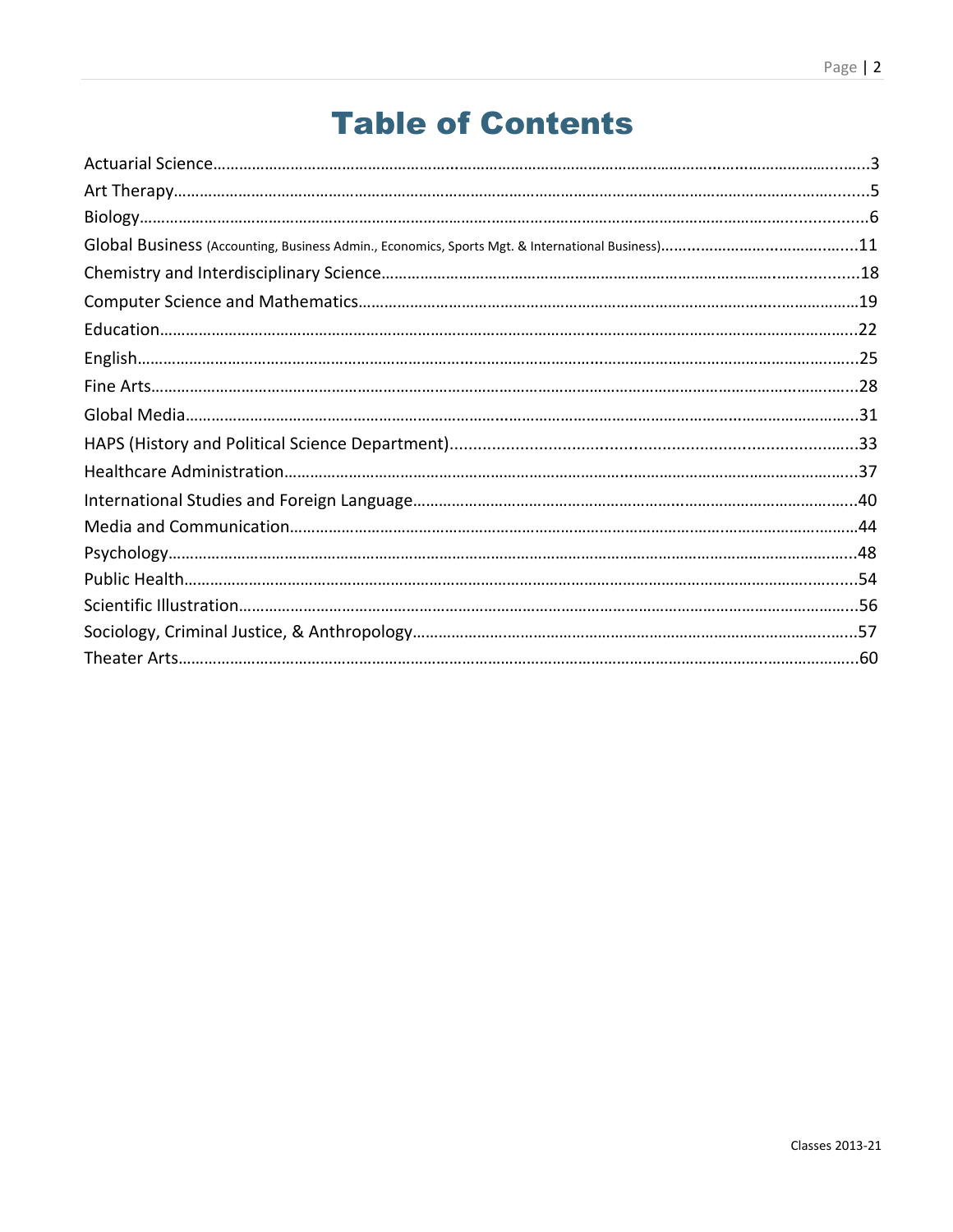### Table of Contents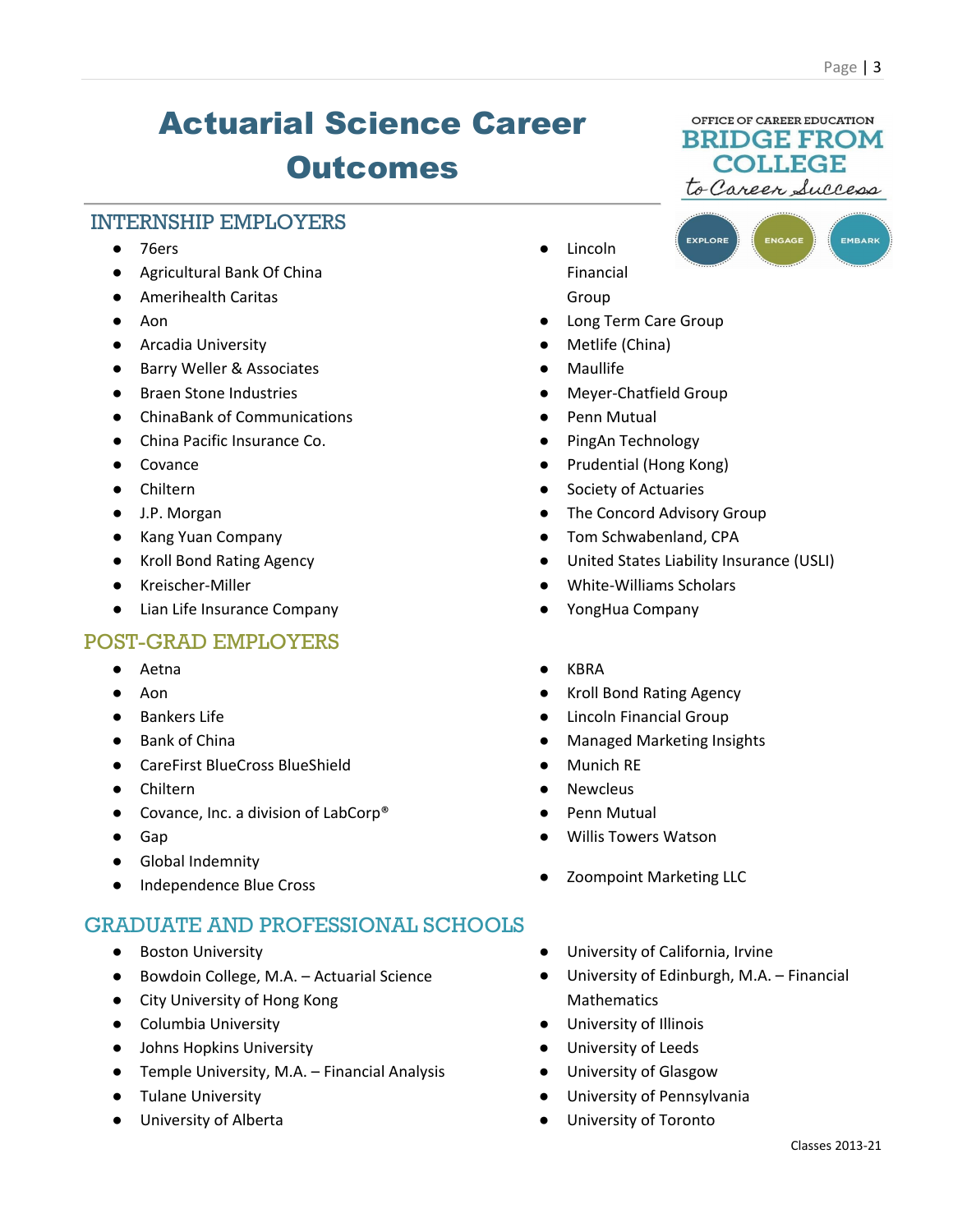EMBARK

# Actuarial Science Career **Outcomes**

### INTERNSHIP EMPLOYERS

- 76ers
- Agricultural Bank Of China
- Amerihealth Caritas
- Aon
- Arcadia University
- Barry Weller & Associates
- Braen Stone Industries
- ChinaBank of Communications
- China Pacific Insurance Co.
- Covance
- Chiltern
- J.P. Morgan
- Kang Yuan Company
- Kroll Bond Rating Agency
- Kreischer-Miller
- Lian Life Insurance Company

### POST-GRAD EMPLOYERS

- Aetna
- Aon
- Bankers Life
- Bank of China
- CareFirst BlueCross BlueShield
- Chiltern
- Covance, Inc. a division of LabCorp<sup>®</sup>
- Gap
- Global Indemnity
- Independence Blue Cross

### GRADUATE AND PROFESSIONAL SCHOOLS

- Boston University
- Bowdoin College, M.A. Actuarial Science
- City University of Hong Kong
- Columbia University
- Johns Hopkins University
- Temple University, M.A. Financial Analysis
- Tulane University
- University of Alberta
- Lincoln Financial Group
- Long Term Care Group
- Metlife (China)
- **Maullife**
- Meyer-Chatfield Group
- Penn Mutual
- PingAn Technology
- Prudential (Hong Kong)
- Society of Actuaries
- The Concord Advisory Group
- Tom Schwabenland, CPA
- United States Liability Insurance (USLI)
- White-Williams Scholars
- YongHua Company
- KBRA
- **Kroll Bond Rating Agency**
- **Lincoln Financial Group**
- **Managed Marketing Insights**
- **Munich RE**
- **Newcleus**
- Penn Mutual
- Willis Towers Watson
- Zoompoint Marketing LLC
- University of California, Irvine
- University of Edinburgh, M.A. Financial Mathematics
- University of Illinois
- University of Leeds
- University of Glasgow
- University of Pennsylvania
- University of Toronto

**COLLEGE** to Careen Success EXPLORE

OFFICE OF CAREER EDUCATION **BRIDGE FROM**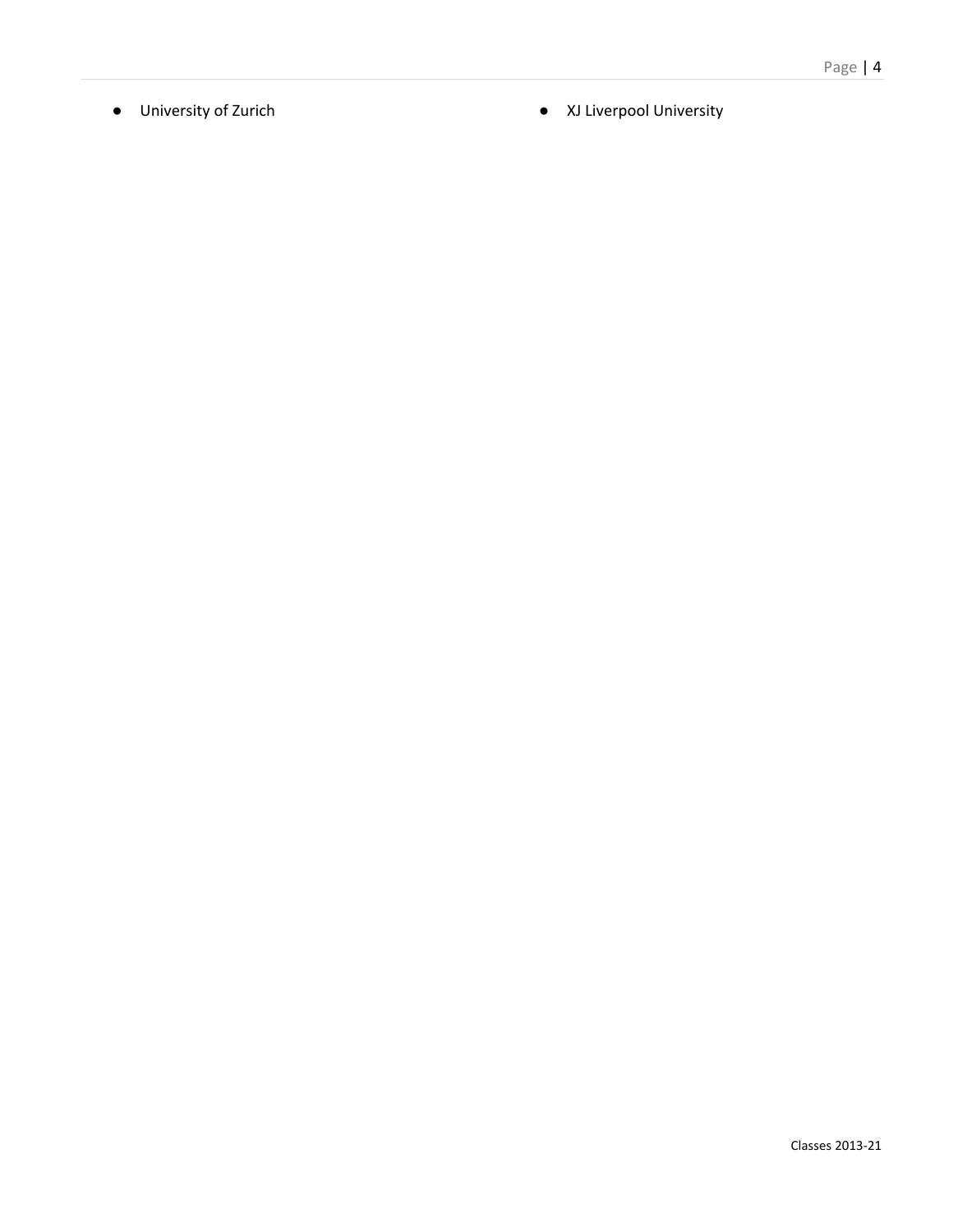- 
- University of Zurich <br>● XJ Liverpool University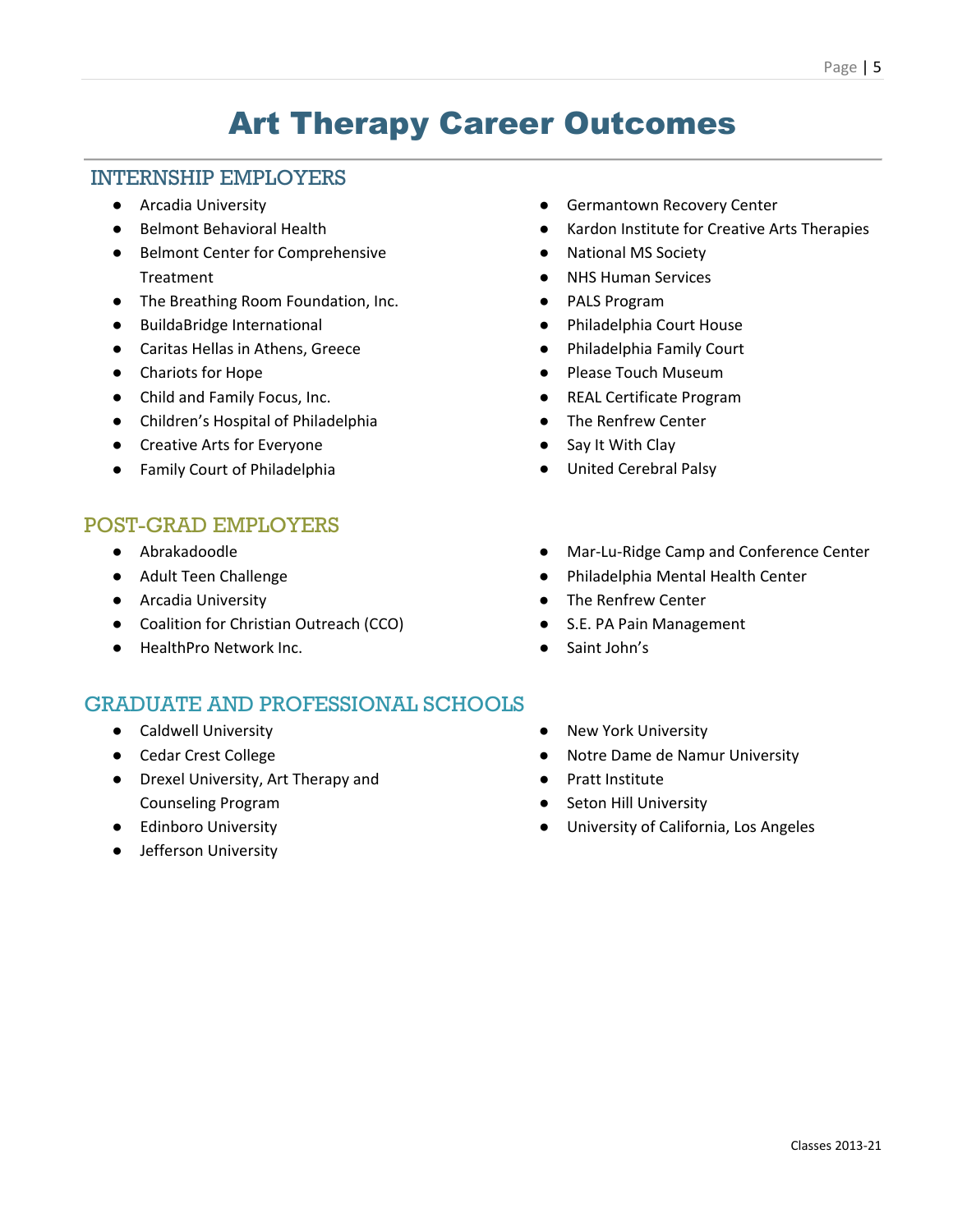### Art Therapy Career Outcomes

#### INTERNSHIP EMPLOYERS

- Arcadia University
- Belmont Behavioral Health
- Belmont Center for Comprehensive Treatment
- The Breathing Room Foundation, Inc.
- BuildaBridge International
- Caritas Hellas in Athens, Greece
- Chariots for Hope
- Child and Family Focus, Inc.
- Children's Hospital of Philadelphia
- Creative Arts for Everyone
- Family Court of Philadelphia

### POST-GRAD EMPLOYERS

- Abrakadoodle
- Adult Teen Challenge
- Arcadia University
- Coalition for Christian Outreach (CCO)
- HealthPro Network Inc.

- Caldwell University
- Cedar Crest College
- Drexel University, Art Therapy and Counseling Program
- Edinboro University
- Jefferson University
- **•** Germantown Recovery Center
- Kardon Institute for Creative Arts Therapies
- National MS Society
- NHS Human Services
- PALS Program
- Philadelphia Court House
- Philadelphia Family Court
- Please Touch Museum
- REAL Certificate Program
- The Renfrew Center
- Say It With Clay
- United Cerebral Palsy
- Mar-Lu-Ridge Camp and Conference Center
- Philadelphia Mental Health Center
- The Renfrew Center
- S.E. PA Pain Management
- Saint John's
- New York University
- Notre Dame de Namur University
- Pratt Institute
- **Seton Hill University**
- University of California, Los Angeles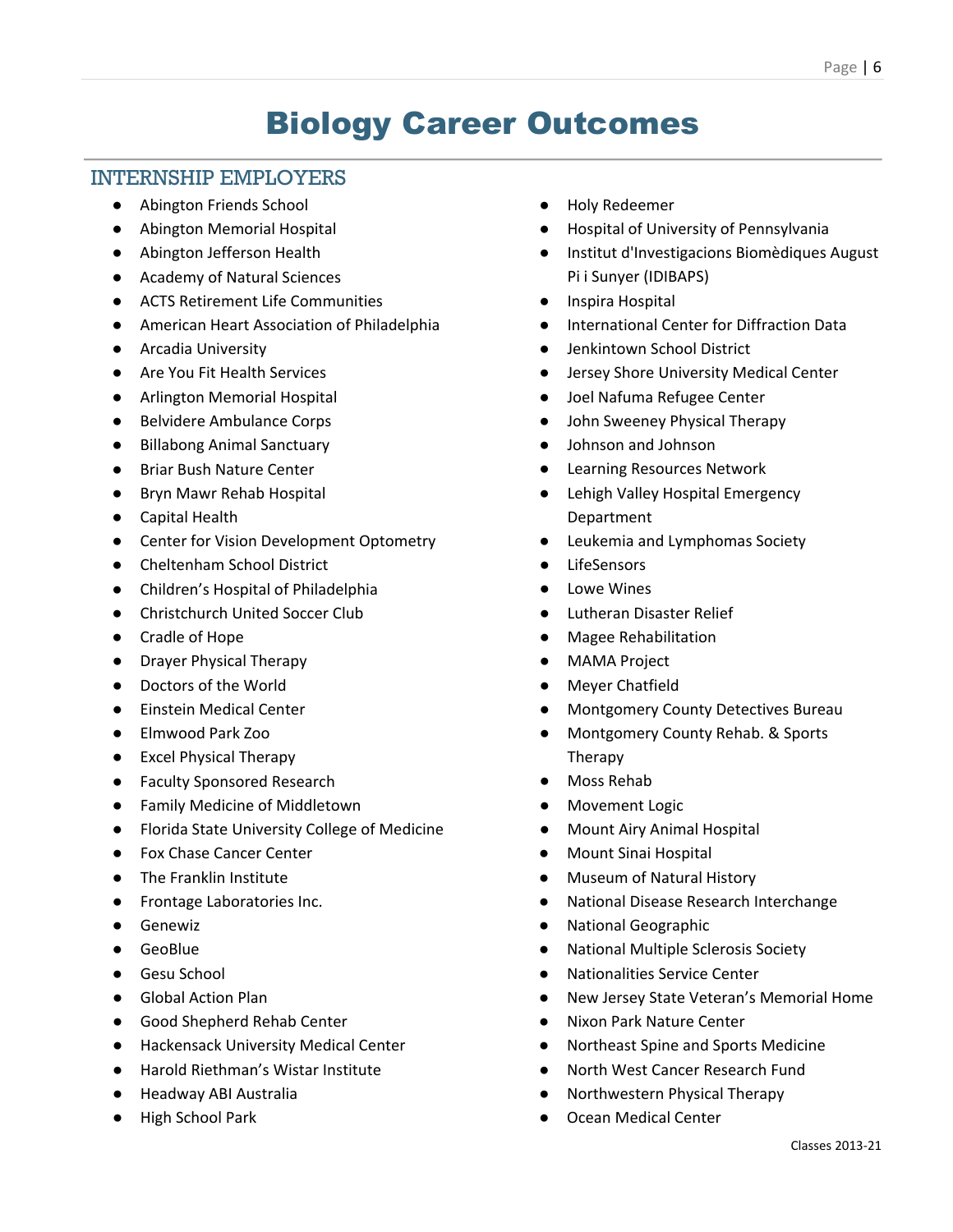### Biology Career Outcomes

### INTERNSHIP EMPLOYERS

- Abington Friends School
- Abington Memorial Hospital
- Abington Jefferson Health
- Academy of Natural Sciences
- ACTS Retirement Life Communities
- American Heart Association of Philadelphia
- Arcadia University
- Are You Fit Health Services
- Arlington Memorial Hospital
- Belvidere Ambulance Corps
- Billabong Animal Sanctuary
- Briar Bush Nature Center
- Bryn Mawr Rehab Hospital
- Capital Health
- Center for Vision Development Optometry
- Cheltenham School District
- Children's Hospital of Philadelphia
- Christchurch United Soccer Club
- Cradle of Hope
- Drayer Physical Therapy
- Doctors of the World
- Einstein Medical Center
- Elmwood Park Zoo
- Excel Physical Therapy
- Faculty Sponsored Research
- Family Medicine of Middletown
- Florida State University College of Medicine
- Fox Chase Cancer Center
- The Franklin Institute
- Frontage Laboratories Inc.
- Genewiz
- GeoBlue
- Gesu School
- Global Action Plan
- Good Shepherd Rehab Center
- Hackensack University Medical Center
- Harold Riethman's Wistar Institute
- Headway ABI Australia
- High School Park
- Holy Redeemer
- Hospital of University of Pennsylvania
- Institut d'Investigacions Biomèdiques August Pi i Sunyer (IDIBAPS)
- Inspira Hospital
- International Center for Diffraction Data
- Jenkintown School District
- Jersey Shore University Medical Center
- Joel Nafuma Refugee Center
- John Sweeney Physical Therapy
- Johnson and Johnson
- **Learning Resources Network**
- Lehigh Valley Hospital Emergency Department
- Leukemia and Lymphomas Society
- **LifeSensors**
- **Lowe Wines**
- **Lutheran Disaster Relief**
- **Magee Rehabilitation**
- **MAMA Project**
- **Meyer Chatfield**
- Montgomery County Detectives Bureau
- Montgomery County Rehab. & Sports Therapy
- Moss Rehab
- **Movement Logic**
- **Mount Airy Animal Hospital**
- **Mount Sinai Hospital**
- Museum of Natural History
- National Disease Research Interchange
- National Geographic
- **National Multiple Sclerosis Society**
- **Nationalities Service Center**
- New Jersey State Veteran's Memorial Home
- **Nixon Park Nature Center**
- Northeast Spine and Sports Medicine
- North West Cancer Research Fund
- Northwestern Physical Therapy
- Ocean Medical Center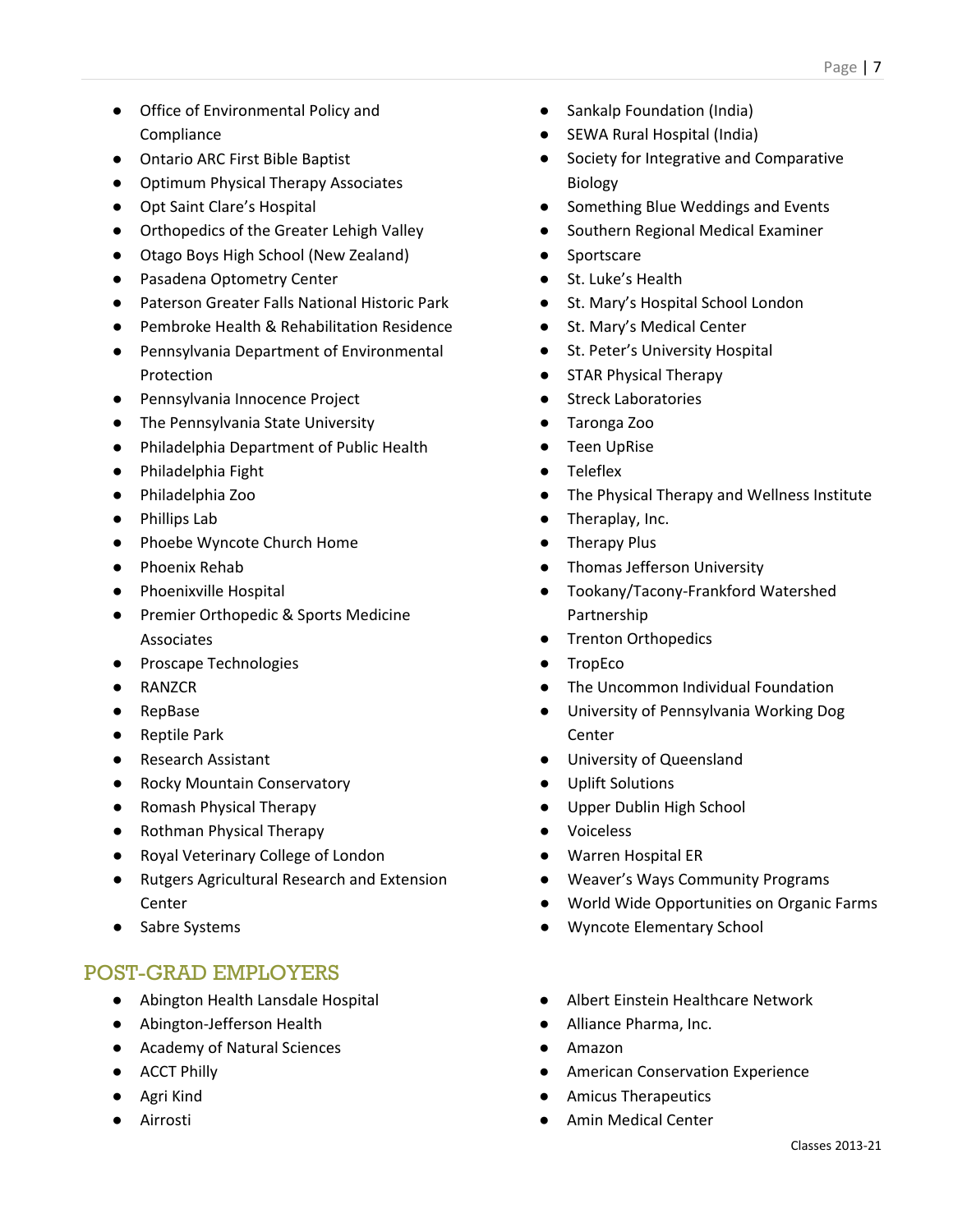- Office of Environmental Policy and Compliance
- Ontario ARC First Bible Baptist
- Optimum Physical Therapy Associates
- Opt Saint Clare's Hospital
- Orthopedics of the Greater Lehigh Valley
- Otago Boys High School (New Zealand)
- Pasadena Optometry Center
- Paterson Greater Falls National Historic Park
- Pembroke Health & Rehabilitation Residence
- Pennsylvania Department of Environmental Protection
- Pennsylvania Innocence Project
- The Pennsylvania State University
- Philadelphia Department of Public Health
- Philadelphia Fight
- Philadelphia Zoo
- Phillips Lab
- Phoebe Wyncote Church Home
- Phoenix Rehab
- Phoenixville Hospital
- Premier Orthopedic & Sports Medicine Associates
- Proscape Technologies
- RANZCR
- RepBase
- Reptile Park
- Research Assistant
- Rocky Mountain Conservatory
- Romash Physical Therapy
- Rothman Physical Therapy
- Royal Veterinary College of London
- Rutgers Agricultural Research and Extension Center
- Sabre Systems

- Abington Health Lansdale Hospital
- Abington-Jefferson Health
- Academy of Natural Sciences
- ACCT Philly
- Agri Kind
- Airrosti
- Sankalp Foundation (India)
- SEWA Rural Hospital (India)
- Society for Integrative and Comparative Biology
- Something Blue Weddings and Events
- Southern Regional Medical Examiner
- Sportscare
- St. Luke's Health
- St. Mary's Hospital School London
- St. Mary's Medical Center
- St. Peter's University Hospital
- **STAR Physical Therapy**
- Streck Laboratories
- Taronga Zoo
- **Teen UpRise**
- Teleflex
- The Physical Therapy and Wellness Institute
- Theraplay, Inc.
- Therapy Plus
- Thomas Jefferson University
- Tookany/Tacony-Frankford Watershed Partnership
- Trenton Orthopedics
- TropEco
- The Uncommon Individual Foundation
- University of Pennsylvania Working Dog Center
- University of Queensland
- Uplift Solutions
- Upper Dublin High School
- Voiceless
- Warren Hospital ER
- Weaver's Ways Community Programs
- World Wide Opportunities on Organic Farms
- Wyncote Elementary School
- Albert Einstein Healthcare Network
- Alliance Pharma, Inc.
- Amazon
- **American Conservation Experience**
- **Amicus Therapeutics**
- Amin Medical Center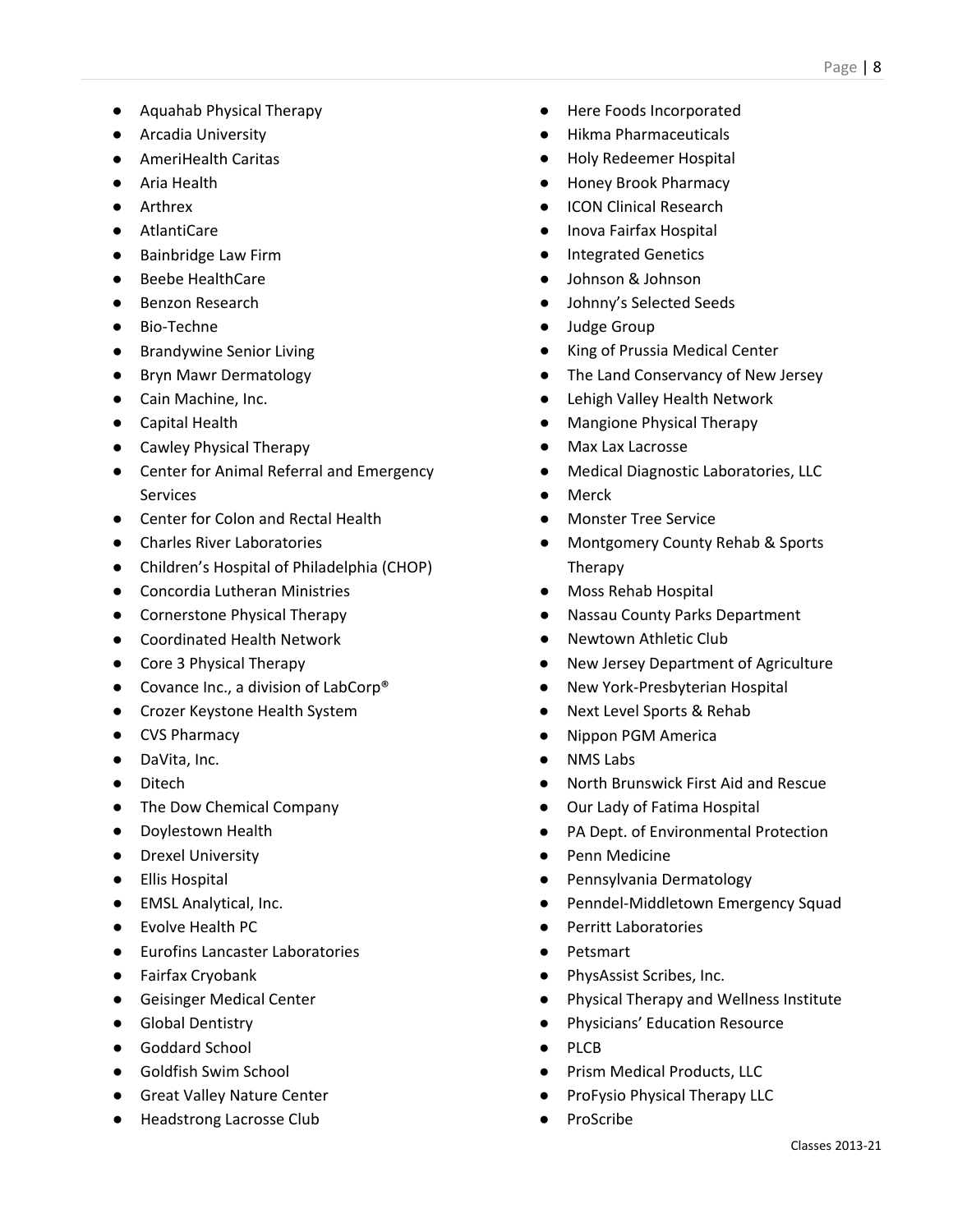- Aquahab Physical Therapy
- Arcadia University
- AmeriHealth Caritas
- Aria Health
- Arthrex
- AtlantiCare
- Bainbridge Law Firm
- Beebe HealthCare
- Benzon Research
- Bio-Techne
- Brandywine Senior Living
- Bryn Mawr Dermatology
- Cain Machine, Inc.
- Capital Health
- Cawley Physical Therapy
- Center for Animal Referral and Emergency **Services**
- Center for Colon and Rectal Health
- Charles River Laboratories
- Children's Hospital of Philadelphia (CHOP)
- Concordia Lutheran Ministries
- Cornerstone Physical Therapy
- Coordinated Health Network
- Core 3 Physical Therapy
- Covance Inc., a division of LabCorp<sup>®</sup>
- Crozer Keystone Health System
- CVS Pharmacy
- DaVita, Inc.
- Ditech
- The Dow Chemical Company
- Doylestown Health
- Drexel University
- Ellis Hospital
- EMSL Analytical, Inc.
- Evolve Health PC
- Eurofins Lancaster Laboratories
- Fairfax Cryobank
- Geisinger Medical Center
- Global Dentistry
- Goddard School
- Goldfish Swim School
- Great Valley Nature Center
- Headstrong Lacrosse Club
- Here Foods Incorporated
- **Hikma Pharmaceuticals**
- Holy Redeemer Hospital
- Honey Brook Pharmacy
- **ICON Clinical Research**
- Inova Fairfax Hospital
- **Integrated Genetics**
- Johnson & Johnson
- Johnny's Selected Seeds
- Judge Group
- **King of Prussia Medical Center**
- The Land Conservancy of New Jersey
- Lehigh Valley Health Network
- Mangione Physical Therapy
- Max Lax Lacrosse
- **Medical Diagnostic Laboratories, LLC**
- Merck
- Monster Tree Service
- Montgomery County Rehab & Sports Therapy
- Moss Rehab Hospital
- **Nassau County Parks Department**
- Newtown Athletic Club
- New Jersey Department of Agriculture
- New York-Presbyterian Hospital
- **Next Level Sports & Rehab**
- Nippon PGM America
- **NMS Labs**
- North Brunswick First Aid and Rescue
- Our Lady of Fatima Hospital
- PA Dept. of Environmental Protection
- Penn Medicine
- Pennsylvania Dermatology
- Penndel-Middletown Emergency Squad
- Perritt Laboratories
- **Petsmart**
- PhysAssist Scribes, Inc.
- Physical Therapy and Wellness Institute
- Physicians' Education Resource
- **PLCB**
- Prism Medical Products, LLC
- ProFysio Physical Therapy LLC
- **ProScribe**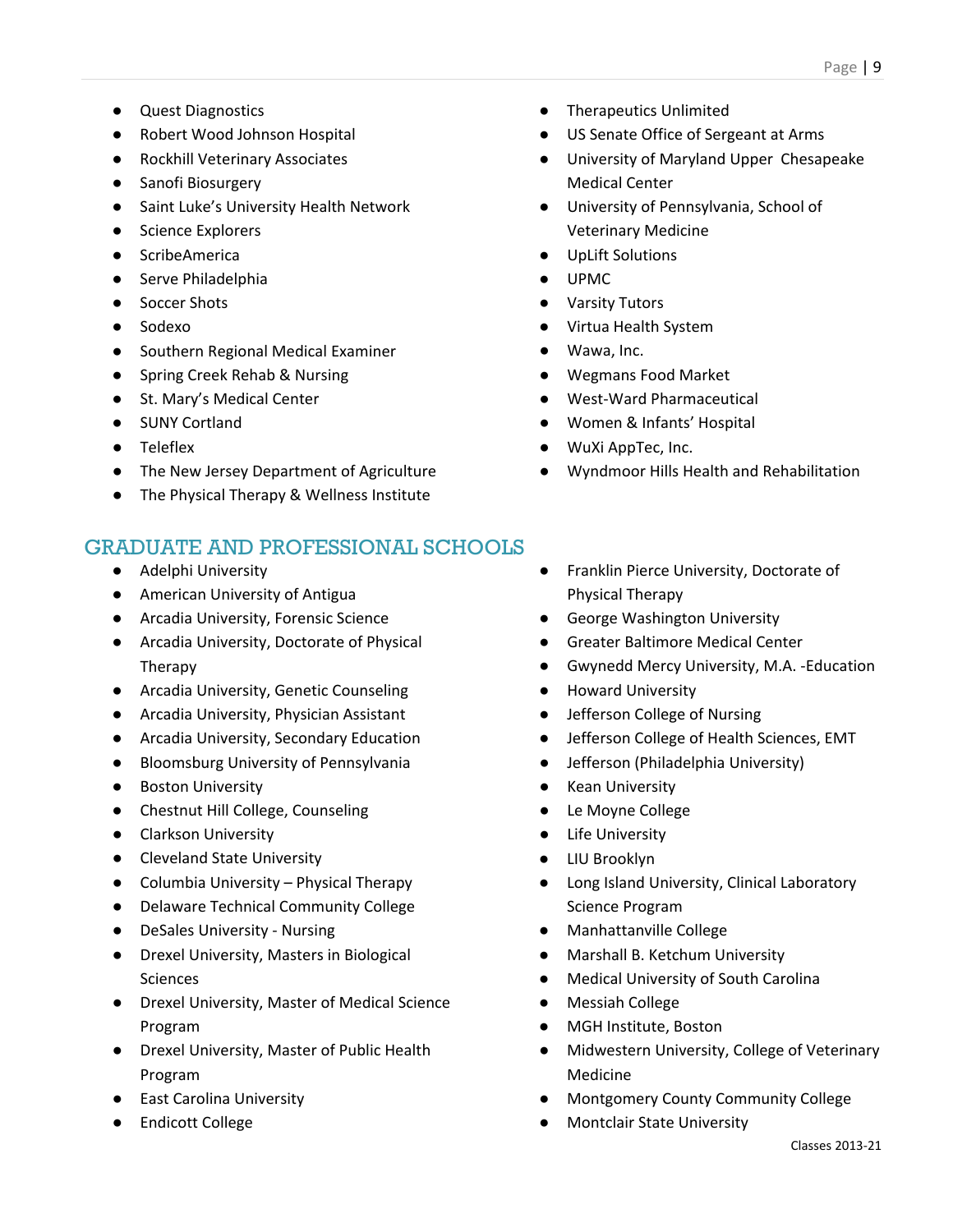- Quest Diagnostics
- Robert Wood Johnson Hospital
- Rockhill Veterinary Associates
- Sanofi Biosurgery
- Saint Luke's University Health Network
- Science Explorers
- ScribeAmerica
- Serve Philadelphia
- Soccer Shots
- Sodexo
- Southern Regional Medical Examiner
- Spring Creek Rehab & Nursing
- St. Mary's Medical Center
- SUNY Cortland
- Teleflex
- The New Jersey Department of Agriculture
- The Physical Therapy & Wellness Institute

- Adelphi University
- American University of Antigua
- Arcadia University, Forensic Science
- Arcadia University, Doctorate of Physical Therapy
- Arcadia University, Genetic Counseling
- Arcadia University, Physician Assistant
- Arcadia University, Secondary Education
- Bloomsburg University of Pennsylvania
- Boston University
- Chestnut Hill College, Counseling
- Clarkson University
- Cleveland State University
- Columbia University Physical Therapy
- Delaware Technical Community College
- DeSales University Nursing
- Drexel University, Masters in Biological Sciences
- Drexel University, Master of Medical Science Program
- Drexel University, Master of Public Health Program
- East Carolina University
- Endicott College
- Therapeutics Unlimited
- US Senate Office of Sergeant at Arms
- University of Maryland Upper Chesapeake Medical Center
- University of Pennsylvania, School of Veterinary Medicine
- UpLift Solutions
- UPMC
- Varsity Tutors
- Virtua Health System
- Wawa, Inc.
- Wegmans Food Market
- West-Ward Pharmaceutical
- Women & Infants' Hospital
- WuXi AppTec, Inc.
- Wyndmoor Hills Health and Rehabilitation
- Franklin Pierce University, Doctorate of Physical Therapy
- George Washington University
- Greater Baltimore Medical Center
- Gwynedd Mercy University, M.A. -Education
- Howard University
- Jefferson College of Nursing
- Jefferson College of Health Sciences, EMT
- Jefferson (Philadelphia University)
- **Kean University**
- Le Moyne College
- Life University
- LIU Brooklyn
- Long Island University, Clinical Laboratory Science Program
- Manhattanville College
- Marshall B. Ketchum University
- Medical University of South Carolina
- Messiah College
- MGH Institute, Boston
- Midwestern University, College of Veterinary Medicine
- Montgomery County Community College
- Montclair State University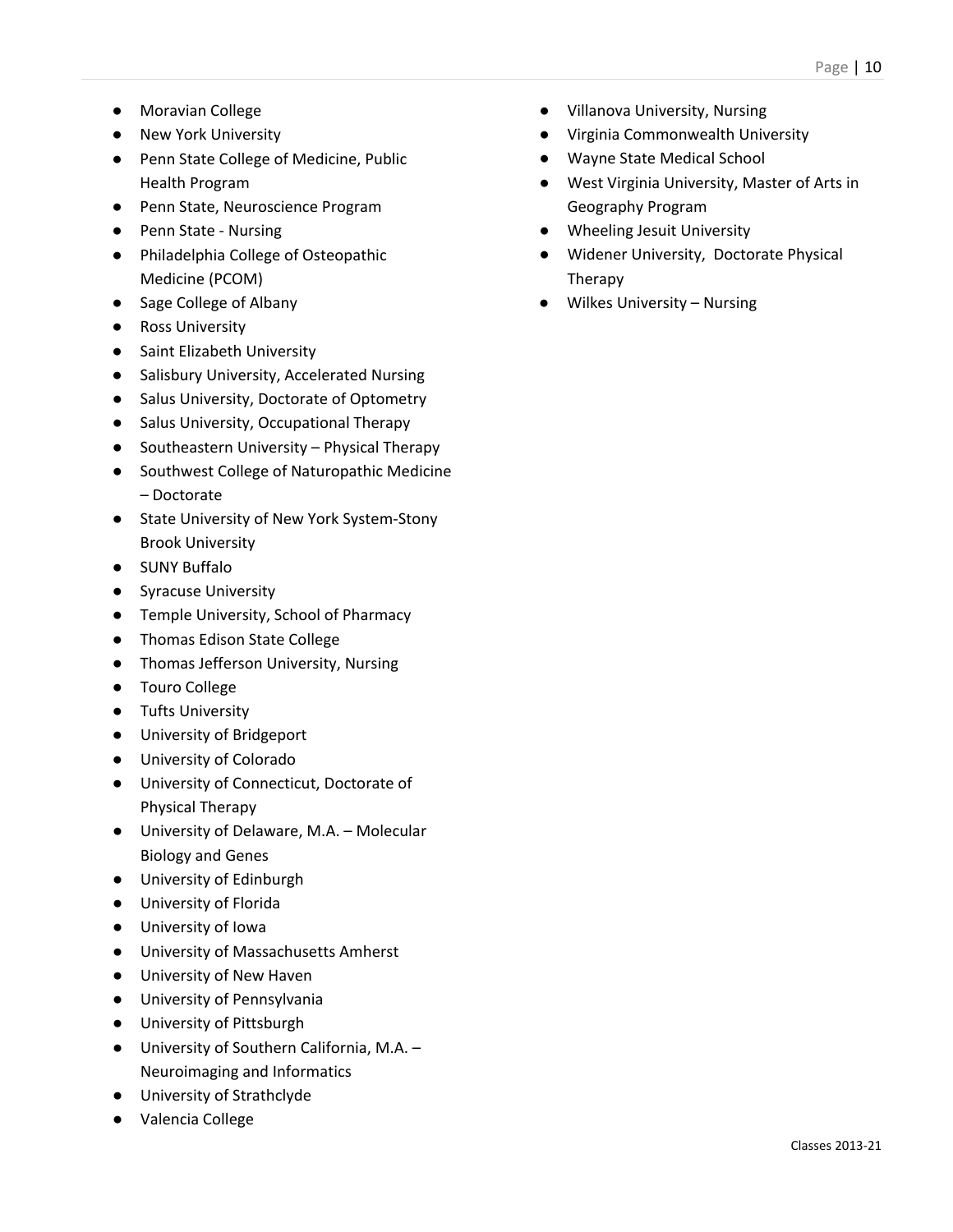- Moravian College
- New York University
- Penn State College of Medicine, Public Health Program
- Penn State, Neuroscience Program
- Penn State Nursing
- Philadelphia College of Osteopathic Medicine (PCOM)
- Sage College of Albany
- Ross University
- Saint Elizabeth University
- Salisbury University, Accelerated Nursing
- Salus University, Doctorate of Optometry
- Salus University, Occupational Therapy
- Southeastern University Physical Therapy
- Southwest College of Naturopathic Medicine – Doctorate
- State University of New York System-Stony Brook University
- SUNY Buffalo
- Syracuse University
- Temple University, School of Pharmacy
- Thomas Edison State College
- Thomas Jefferson University, Nursing
- Touro College
- Tufts University
- University of Bridgeport
- University of Colorado
- University of Connecticut, Doctorate of Physical Therapy
- University of Delaware, M.A. Molecular Biology and Genes
- University of Edinburgh
- University of Florida
- University of Iowa
- University of Massachusetts Amherst
- University of New Haven
- University of Pennsylvania
- University of Pittsburgh
- University of Southern California, M.A. Neuroimaging and Informatics
- University of Strathclyde
- Valencia College
- Villanova University, Nursing
- Virginia Commonwealth University
- Wayne State Medical School
- West Virginia University, Master of Arts in Geography Program
- Wheeling Jesuit University
- Widener University, Doctorate Physical Therapy
- Wilkes University Nursing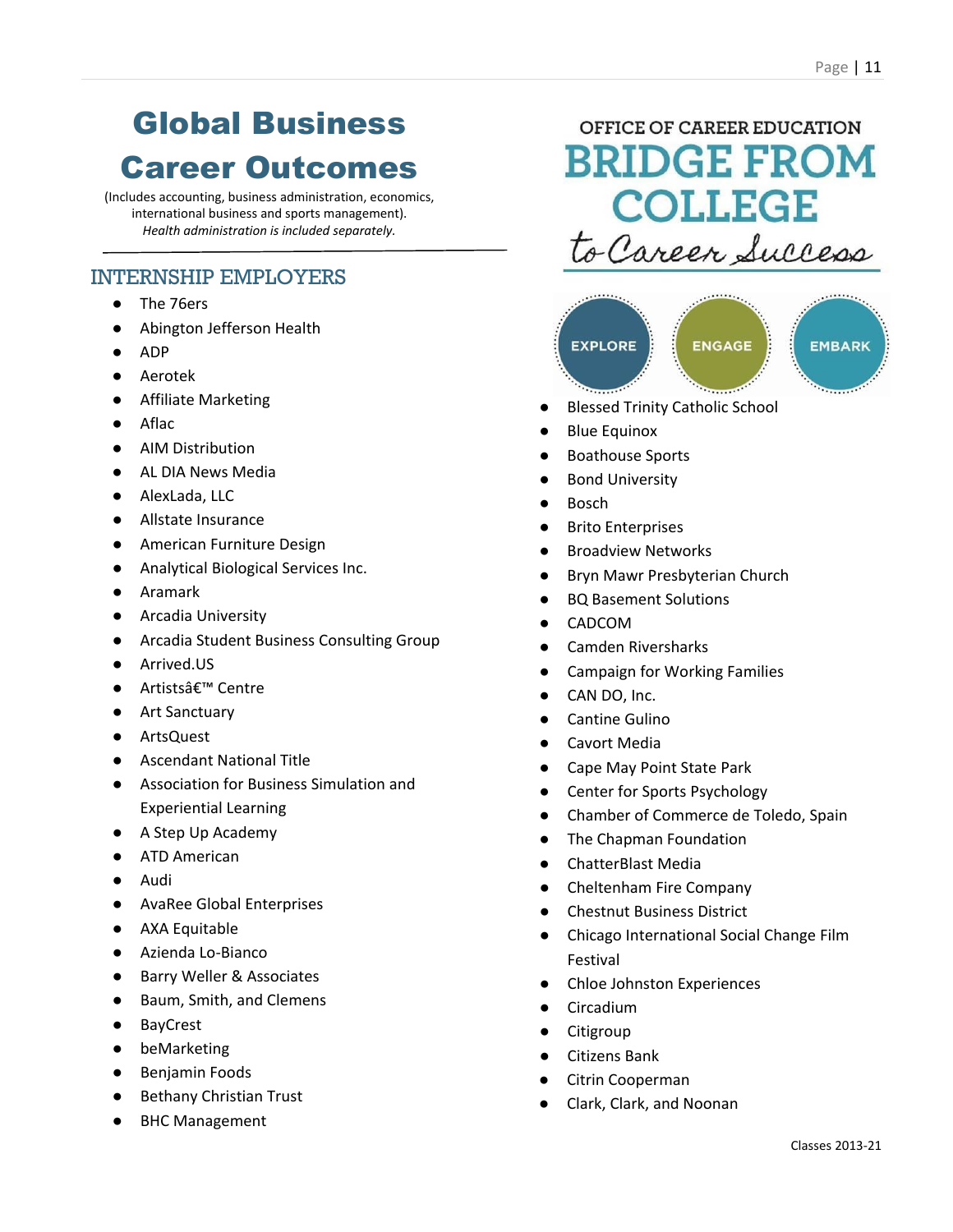# Global Business Career Outcomes

(Includes accounting, business administration, economics, international business and sports management). *Health administration is included separately.*

### INTERNSHIP EMPLOYERS

- The 76ers
- Abington Jefferson Health
- ADP
- Aerotek
- Affiliate Marketing
- Aflac
- AIM Distribution
- AL DIA News Media
- AlexLada, LLC
- Allstate Insurance
- American Furniture Design
- Analytical Biological Services Inc.
- Aramark
- Arcadia University
- Arcadia Student Business Consulting Group
- Arrived.US
- Artistsâ€<sup>™</sup> Centre
- Art Sanctuary
- ArtsQuest
- **Ascendant National Title**
- Association for Business Simulation and Experiential Learning
- A Step Up Academy
- ATD American
- Audi
- AvaRee Global Enterprises
- AXA Equitable
- Azienda Lo-Bianco
- Barry Weller & Associates
- Baum, Smith, and Clemens
- BayCrest
- beMarketing
- Benjamin Foods
- Bethany Christian Trust
- **BHC Management**

OFFICE OF CAREER EDUCATION **BRIDGE FROM COLLEGE** to Career Success



- **Blessed Trinity Catholic School**
- **Blue Equinox**
- **Boathouse Sports**
- **Bond University**
- **Bosch**
- **Brito Enterprises**
- **Broadview Networks**
- **Bryn Mawr Presbyterian Church**
- **BQ Basement Solutions**
- **CADCOM**
- Camden Riversharks
- Campaign for Working Families
- CAN DO, Inc.
- Cantine Gulino
- Cavort Media
- Cape May Point State Park
- Center for Sports Psychology
- Chamber of Commerce de Toledo, Spain
- The Chapman Foundation
- ChatterBlast Media
- Cheltenham Fire Company
- **Chestnut Business District**
- Chicago International Social Change Film Festival
- Chloe Johnston Experiences
- Circadium
- **Citigroup**
- **Citizens Bank**
- Citrin Cooperman
- Clark, Clark, and Noonan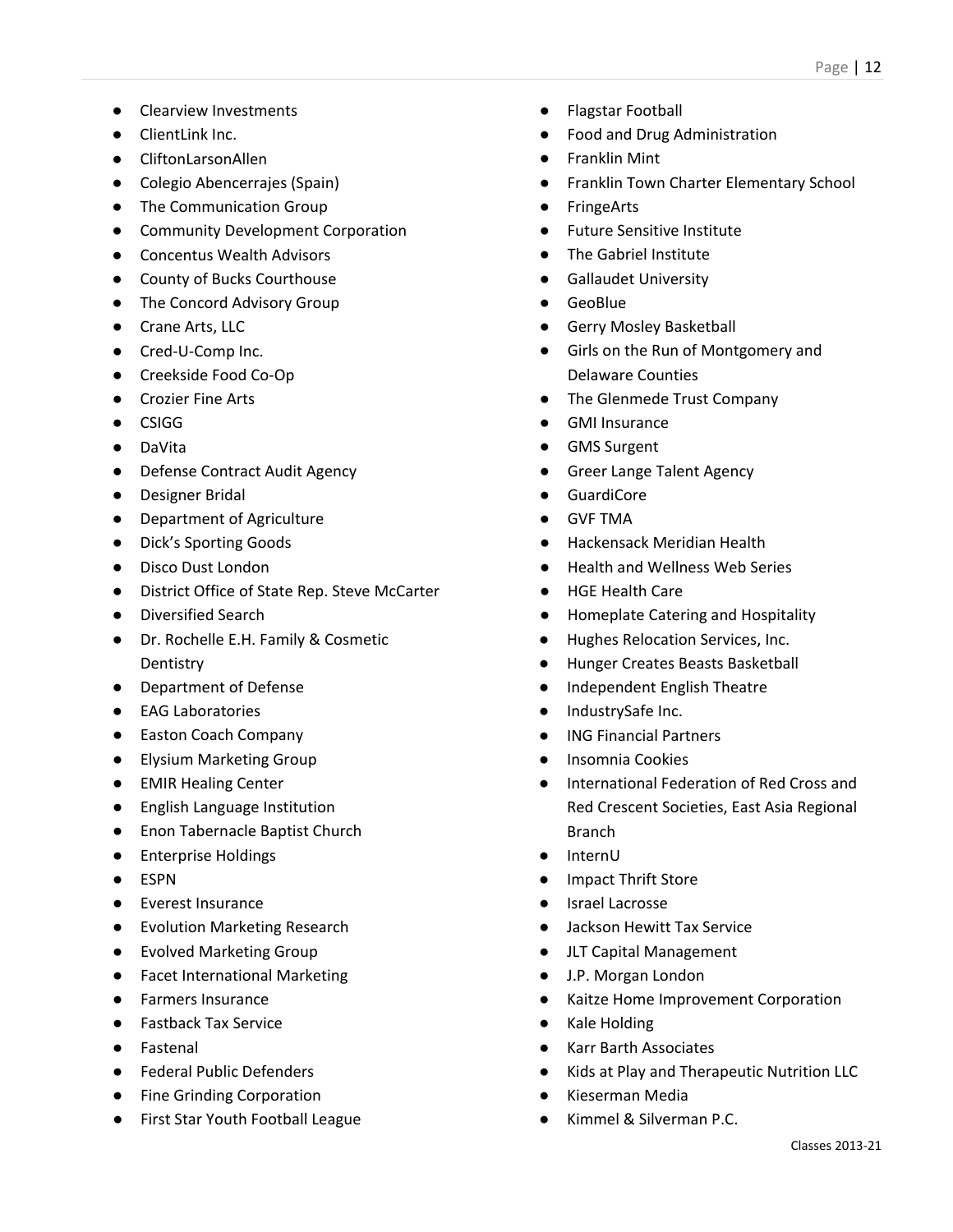- Clearview Investments
- ClientLink Inc.
- CliftonLarsonAllen
- Colegio Abencerrajes (Spain)
- The Communication Group
- Community Development Corporation
- Concentus Wealth Advisors
- County of Bucks Courthouse
- The Concord Advisory Group
- Crane Arts, LLC
- Cred-U-Comp Inc.
- Creekside Food Co-Op
- Crozier Fine Arts
- CSIGG
- DaVita
- Defense Contract Audit Agency
- Designer Bridal
- Department of Agriculture
- Dick's Sporting Goods
- Disco Dust London
- District Office of State Rep. Steve McCarter
- Diversified Search
- Dr. Rochelle E.H. Family & Cosmetic **Dentistry**
- Department of Defense
- EAG Laboratories
- Easton Coach Company
- Elysium Marketing Group
- EMIR Healing Center
- English Language Institution
- Enon Tabernacle Baptist Church
- Enterprise Holdings
- ESPN
- Everest Insurance
- Evolution Marketing Research
- Evolved Marketing Group
- Facet International Marketing
- Farmers Insurance
- Fastback Tax Service
- Fastenal
- Federal Public Defenders
- Fine Grinding Corporation
- First Star Youth Football League
- Flagstar Football
- Food and Drug Administration
- **Franklin Mint**
- **Franklin Town Charter Elementary School**
- FringeArts
- **Future Sensitive Institute**
- The Gabriel Institute
- **Gallaudet University**
- GeoBlue
- **Gerry Mosley Basketball**
- Girls on the Run of Montgomery and Delaware Counties
- The Glenmede Trust Company
- **GMI Insurance**
- **GMS Surgent**
- **Greer Lange Talent Agency**
- **GuardiCore**
- **GVF TMA**
- **Hackensack Meridian Health**
- **Health and Wellness Web Series**
- **HGE Health Care**
- **Homeplate Catering and Hospitality**
- Hughes Relocation Services, Inc.
- Hunger Creates Beasts Basketball
- Independent English Theatre
- IndustrySafe Inc.
- **ING Financial Partners**
- Insomnia Cookies
- International Federation of Red Cross and Red Crescent Societies, East Asia Regional Branch
- **InternU**
- Impact Thrift Store
- **Israel Lacrosse**
- Jackson Hewitt Tax Service
- JLT Capital Management
- J.P. Morgan London
- Kaitze Home Improvement Corporation
- Kale Holding
- **Karr Barth Associates**
- Kids at Play and Therapeutic Nutrition LLC
- Kieserman Media
- Kimmel & Silverman P.C.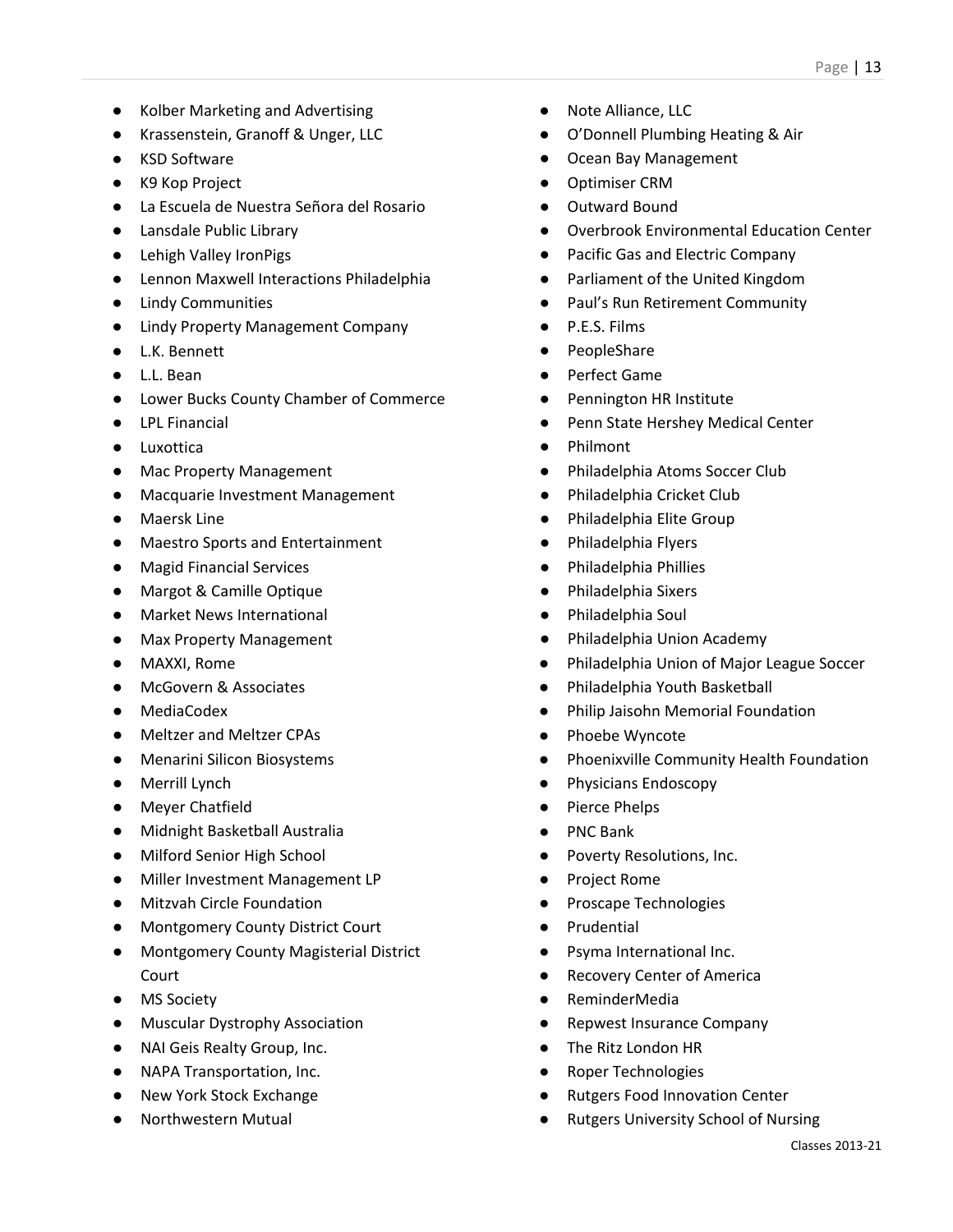- Kolber Marketing and Advertising
- Krassenstein, Granoff & Unger, LLC
- KSD Software
- K9 Kop Project
- La Escuela de Nuestra Señora del Rosario
- Lansdale Public Library
- Lehigh Valley IronPigs
- Lennon Maxwell Interactions Philadelphia
- Lindy Communities
- Lindy Property Management Company
- L.K. Bennett
- L.L. Bean
- Lower Bucks County Chamber of Commerce
- LPL Financial
- Luxottica
- Mac Property Management
- Macquarie Investment Management
- Maersk Line
- Maestro Sports and Entertainment
- Magid Financial Services
- Margot & Camille Optique
- Market News International
- Max Property Management
- MAXXI, Rome
- McGovern & Associates
- MediaCodex
- Meltzer and Meltzer CPAs
- Menarini Silicon Biosystems
- Merrill Lynch
- Meyer Chatfield
- Midnight Basketball Australia
- Milford Senior High School
- Miller Investment Management LP
- Mitzvah Circle Foundation
- Montgomery County District Court
- Montgomery County Magisterial District Court
- MS Society
- Muscular Dystrophy Association
- NAI Geis Realty Group, Inc.
- NAPA Transportation, Inc.
- New York Stock Exchange
- Northwestern Mutual
- Note Alliance, LLC
- O'Donnell Plumbing Heating & Air
- Ocean Bay Management
- Optimiser CRM
- Outward Bound
- Overbrook Environmental Education Center
- Pacific Gas and Electric Company
- Parliament of the United Kingdom
- Paul's Run Retirement Community
- P.E.S. Films
- PeopleShare
- Perfect Game
- Pennington HR Institute
- Penn State Hershey Medical Center
- **Philmont**
- Philadelphia Atoms Soccer Club
- Philadelphia Cricket Club
- Philadelphia Elite Group
- Philadelphia Flyers
- Philadelphia Phillies
- Philadelphia Sixers
- Philadelphia Soul
- Philadelphia Union Academy
- Philadelphia Union of Major League Soccer
- Philadelphia Youth Basketball
- Philip Jaisohn Memorial Foundation
- Phoebe Wyncote
- Phoenixville Community Health Foundation
- Physicians Endoscopy
- Pierce Phelps
- PNC Bank
- Poverty Resolutions, Inc.
- Project Rome
- Proscape Technologies
- Prudential
- Psyma International Inc.
- Recovery Center of America
- **ReminderMedia**
- Repwest Insurance Company
- The Ritz London HR
- Roper Technologies
- **Rutgers Food Innovation Center**
- **Rutgers University School of Nursing**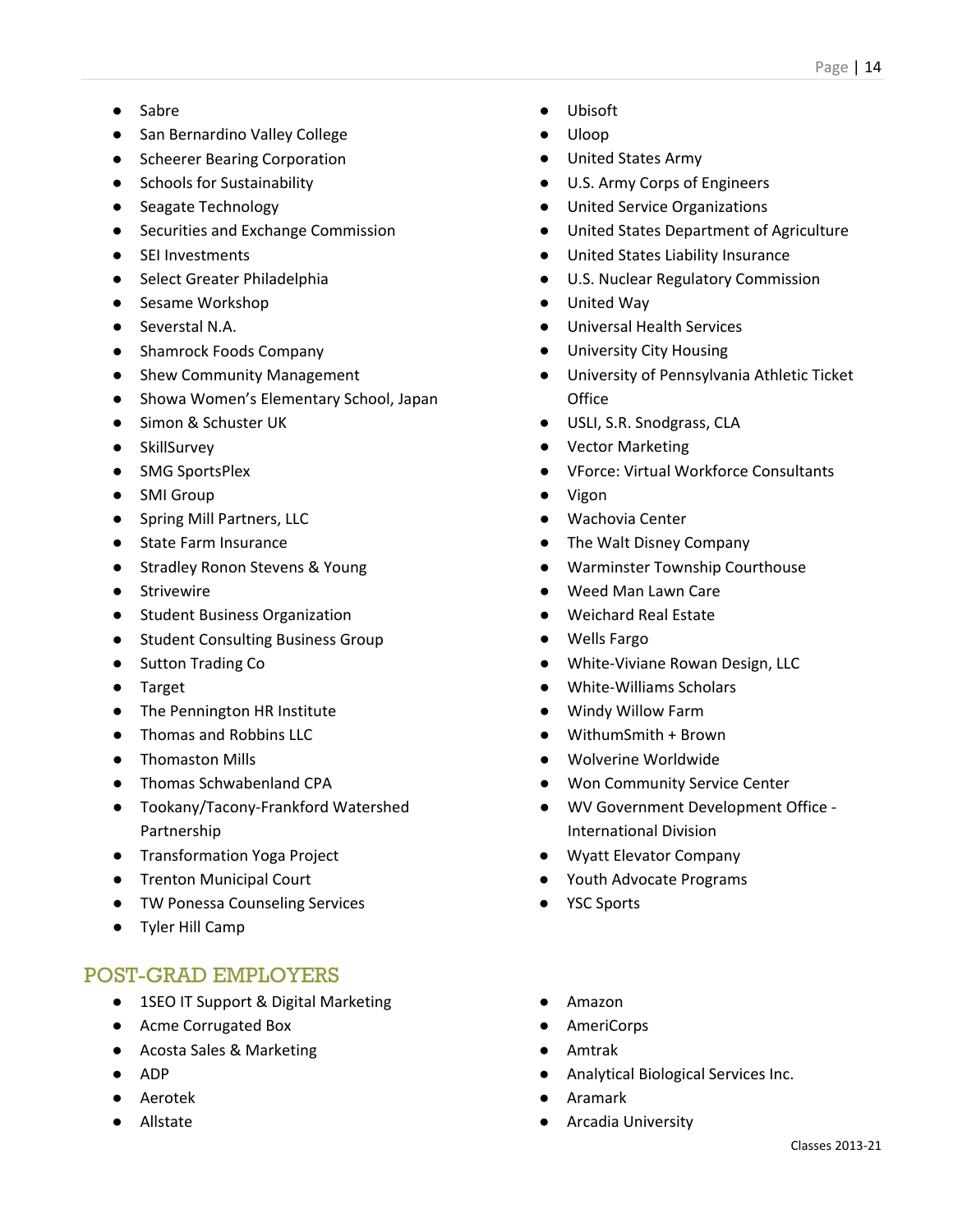- Sabre
- San Bernardino Valley College
- Scheerer Bearing Corporation
- Schools for Sustainability
- Seagate Technology
- Securities and Exchange Commission
- SEI Investments
- Select Greater Philadelphia
- Sesame Workshop
- Severstal N.A.
- Shamrock Foods Company
- Shew Community Management
- Showa Women's Elementary School, Japan
- Simon & Schuster UK
- SkillSurvey
- SMG SportsPlex
- SMI Group
- Spring Mill Partners, LLC
- State Farm Insurance
- Stradley Ronon Stevens & Young
- Strivewire
- Student Business Organization
- Student Consulting Business Group
- Sutton Trading Co
- Target
- The Pennington HR Institute
- Thomas and Robbins LLC
- Thomaston Mills
- Thomas Schwabenland CPA
- Tookany/Tacony-Frankford Watershed Partnership
- Transformation Yoga Project
- Trenton Municipal Court
- TW Ponessa Counseling Services
- Tyler Hill Camp

- 1SEO IT Support & Digital Marketing
- Acme Corrugated Box
- Acosta Sales & Marketing
- ADP
- Aerotek
- Allstate
- Ubisoft
- Uloop
- United States Army
- U.S. Army Corps of Engineers
- United Service Organizations
- United States Department of Agriculture
- United States Liability Insurance
- U.S. Nuclear Regulatory Commission
- United Way
- Universal Health Services
- University City Housing
- University of Pennsylvania Athletic Ticket **Office**
- USLI, S.R. Snodgrass, CLA
- Vector Marketing
- VForce: Virtual Workforce Consultants
- Vigon
- Wachovia Center
- The Walt Disney Company
- Warminster Township Courthouse
- Weed Man Lawn Care
- Weichard Real Estate
- Wells Fargo
- White-Viviane Rowan Design, LLC
- White-Williams Scholars
- Windy Willow Farm
- WithumSmith + Brown
- Wolverine Worldwide
- **Won Community Service Center**
- WV Government Development Office -International Division
- Wyatt Elevator Company
- Youth Advocate Programs
- YSC Sports
- Amazon
- **AmeriCorps**
- Amtrak
- Analytical Biological Services Inc.
- Aramark
- **Arcadia University**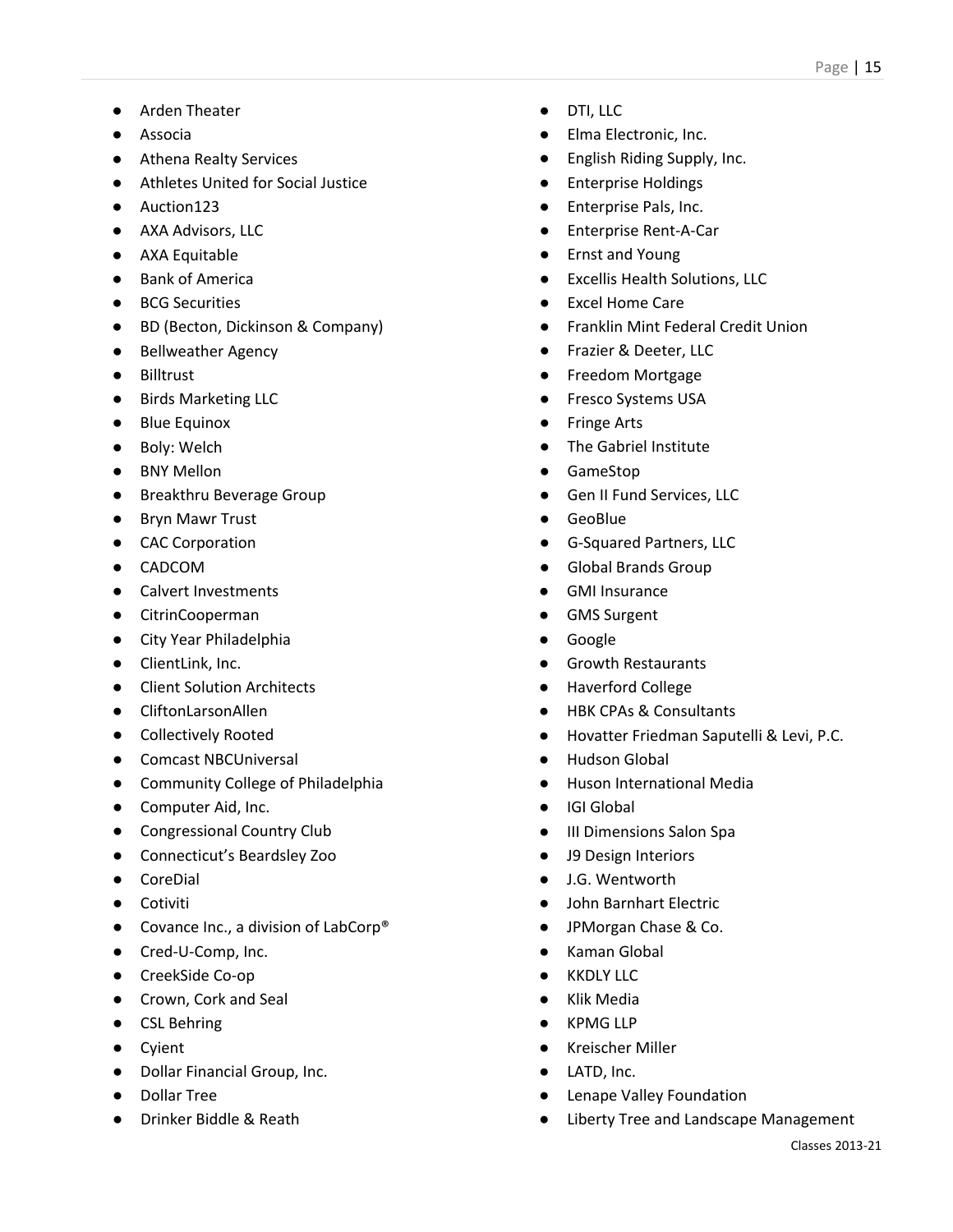- Arden Theater
- Associa
- Athena Realty Services
- Athletes United for Social Justice
- Auction123
- AXA Advisors, LLC
- AXA Equitable
- Bank of America
- BCG Securities
- BD (Becton, Dickinson & Company)
- Bellweather Agency
- Billtrust
- Birds Marketing LLC
- Blue Equinox
- Boly: Welch
- BNY Mellon
- Breakthru Beverage Group
- Bryn Mawr Trust
- CAC Corporation
- CADCOM
- Calvert Investments
- CitrinCooperman
- City Year Philadelphia
- ClientLink, Inc.
- Client Solution Architects
- CliftonLarsonAllen
- Collectively Rooted
- Comcast NBCUniversal
- Community College of Philadelphia
- Computer Aid, Inc.
- Congressional Country Club
- Connecticut's Beardsley Zoo
- CoreDial
- Cotiviti
- Covance Inc., a division of LabCorp<sup>®</sup>
- Cred-U-Comp, Inc.
- CreekSide Co-op
- Crown, Cork and Seal
- CSL Behring
- Cyient
- Dollar Financial Group, Inc.
- Dollar Tree
- Drinker Biddle & Reath
- DTI, LLC
- Elma Electronic, Inc.
- English Riding Supply, Inc.
- Enterprise Holdings
- Enterprise Pals, Inc.
- **Enterprise Rent-A-Car**
- **Ernst and Young**
- **Excellis Health Solutions, LLC**
- Excel Home Care
- Franklin Mint Federal Credit Union
- Frazier & Deeter, LLC
- Freedom Mortgage
- Fresco Systems USA
- **Fringe Arts**
- The Gabriel Institute
- GameStop
- Gen II Fund Services, LLC
- **GeoBlue**
- G-Squared Partners, LLC
- Global Brands Group
- **GMI Insurance**
- GMS Surgent
- Google
- **Growth Restaurants**
- **Haverford College**
- **HBK CPAs & Consultants**
- Hovatter Friedman Saputelli & Levi, P.C.
- **Hudson Global**
- **Huson International Media**
- IGI Global
- III Dimensions Salon Spa
- J9 Design Interiors
- J.G. Wentworth
- John Barnhart Electric
- JPMorgan Chase & Co.
- **Kaman Global**
- **KKDLY LLC**
- Klik Media
- KPMG LLP
- Kreischer Miller
- LATD, Inc.
- Lenape Valley Foundation
- Liberty Tree and Landscape Management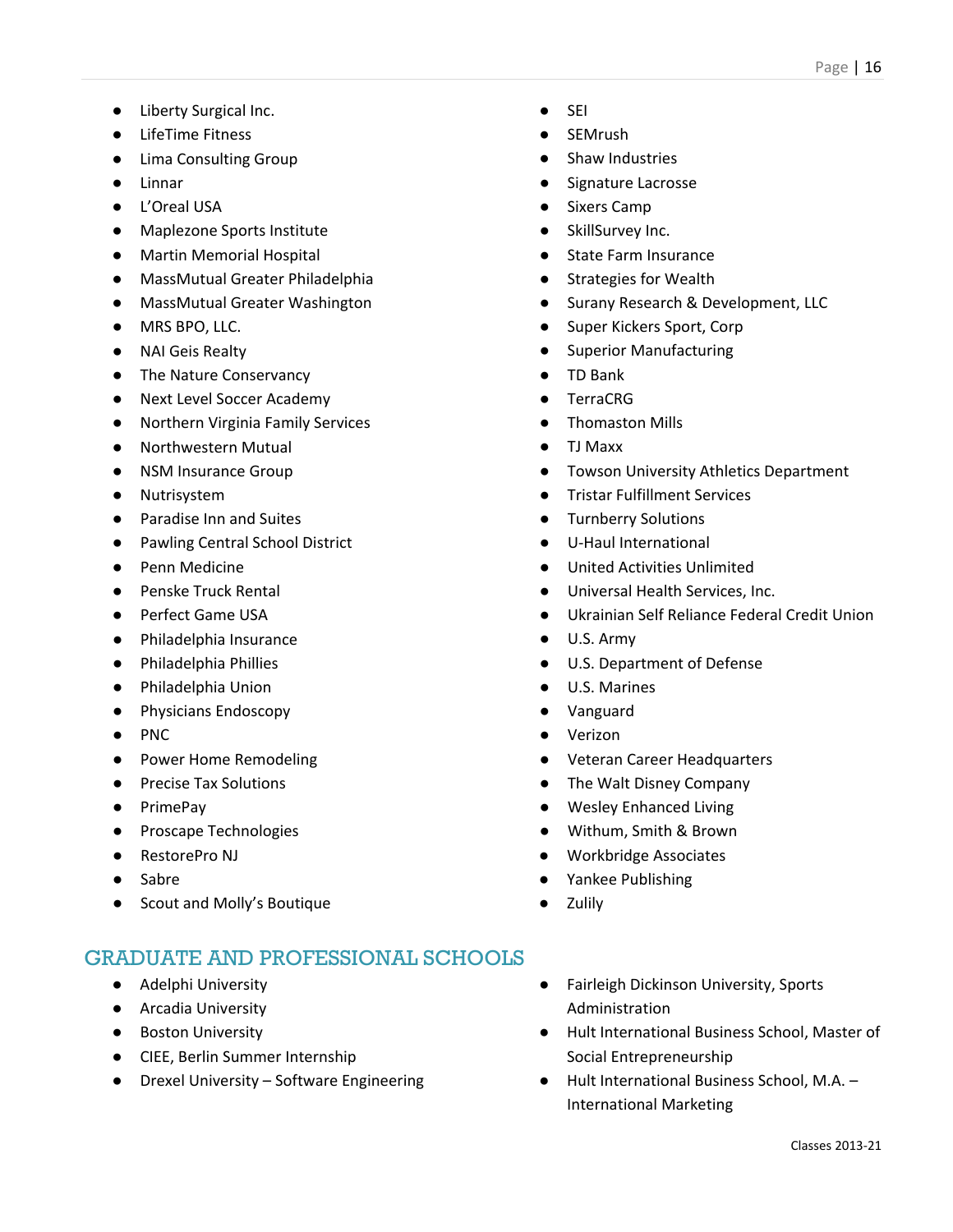- Liberty Surgical Inc.
- LifeTime Fitness
- Lima Consulting Group
- Linnar
- L'Oreal USA
- Maplezone Sports Institute
- Martin Memorial Hospital
- MassMutual Greater Philadelphia
- MassMutual Greater Washington
- MRS BPO, LLC.
- NAI Geis Realty
- The Nature Conservancy
- Next Level Soccer Academy
- Northern Virginia Family Services
- Northwestern Mutual
- NSM Insurance Group
- Nutrisystem
- Paradise Inn and Suites
- Pawling Central School District
- Penn Medicine
- Penske Truck Rental
- Perfect Game USA
- Philadelphia Insurance
- Philadelphia Phillies
- Philadelphia Union
- Physicians Endoscopy
- PNC
- Power Home Remodeling
- Precise Tax Solutions
- PrimePay
- Proscape Technologies
- RestorePro NJ
- Sabre
- Scout and Molly's Boutique

- Adelphi University
- Arcadia University
- Boston University
- CIEE, Berlin Summer Internship
- Drexel University Software Engineering
- SEI
- **SEMrush**
- Shaw Industries
- Signature Lacrosse
- **Sixers Camp**
- SkillSurvey Inc.
- **State Farm Insurance**
- **Strategies for Wealth**
- Surany Research & Development, LLC
- Super Kickers Sport, Corp
- **Superior Manufacturing**
- TD Bank
- **TerraCRG**
- Thomaston Mills
- TJ Maxx
- Towson University Athletics Department
- **Tristar Fulfillment Services**
- **Turnberry Solutions**
- U-Haul International
- United Activities Unlimited
- Universal Health Services, Inc.
- Ukrainian Self Reliance Federal Credit Union
- U.S. Army
- U.S. Department of Defense
- U.S. Marines
- Vanguard
- Verizon
- Veteran Career Headquarters
- The Walt Disney Company
- Wesley Enhanced Living
- Withum, Smith & Brown
- Workbridge Associates
- Yankee Publishing
- **Zulily**
- Fairleigh Dickinson University, Sports Administration
- Hult International Business School, Master of Social Entrepreneurship
- Hult International Business School, M.A. International Marketing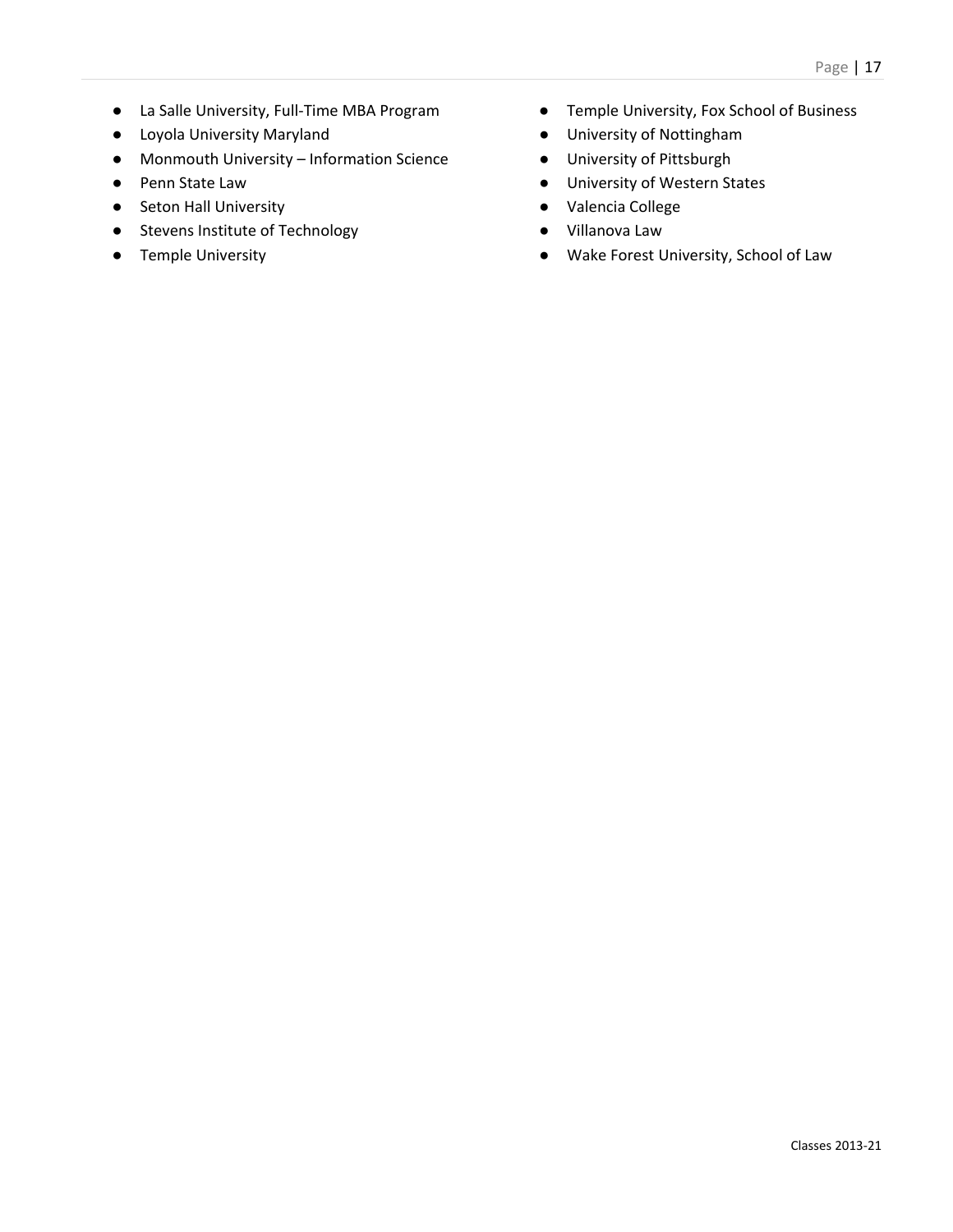- La Salle University, Full-Time MBA Program
- Loyola University Maryland
- Monmouth University Information Science
- Penn State Law
- Seton Hall University
- Stevens Institute of Technology
- Temple University
- Temple University, Fox School of Business
- University of Nottingham
- University of Pittsburgh
- University of Western States
- Valencia College
- Villanova Law
- Wake Forest University, School of Law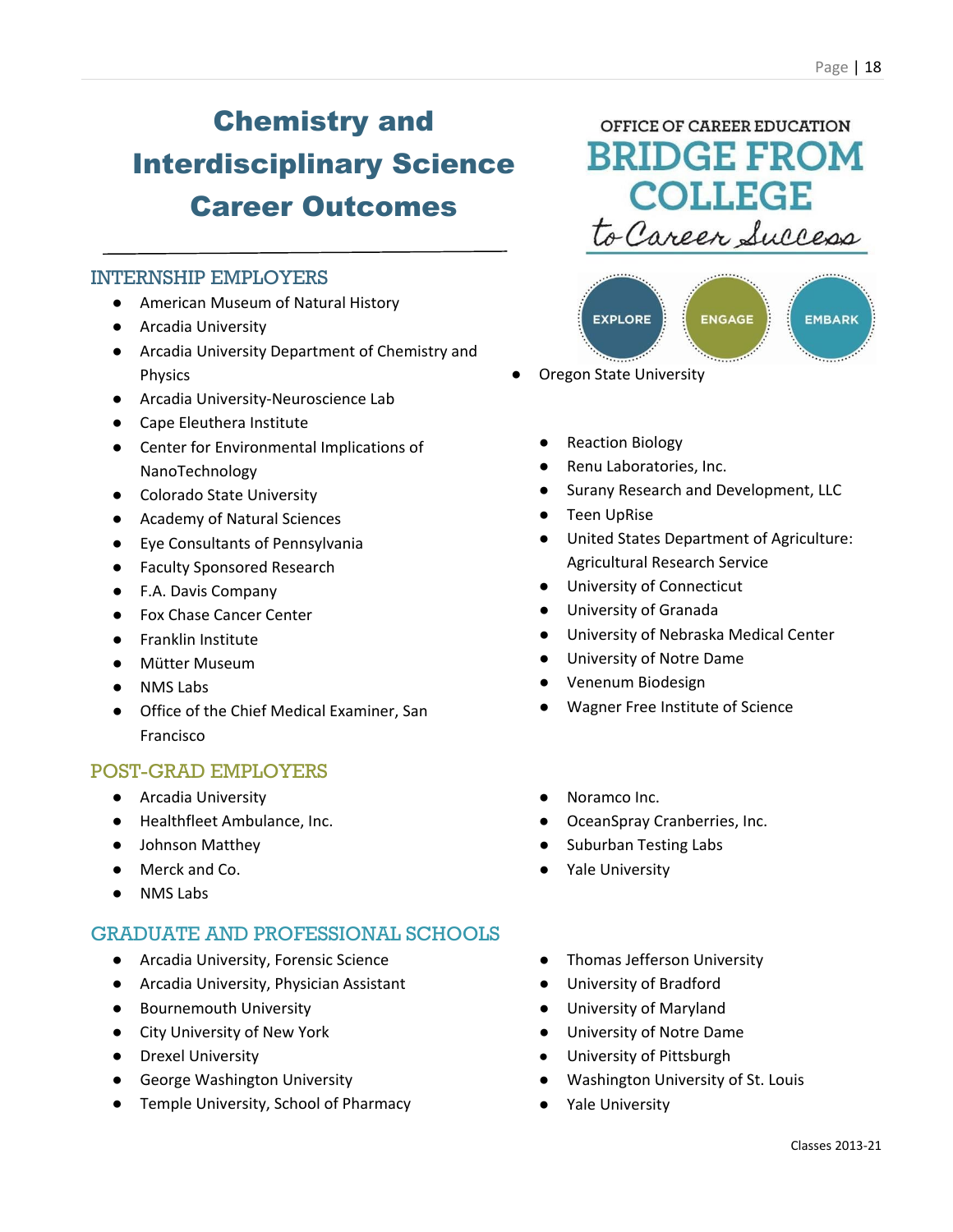### Chemistry and Interdisciplinary Science Career Outcomes

#### INTERNSHIP EMPLOYERS

- American Museum of Natural History
- Arcadia University
- Arcadia University Department of Chemistry and Physics
- Arcadia University-Neuroscience Lab
- Cape Eleuthera Institute
- Center for Environmental Implications of NanoTechnology
- Colorado State University
- Academy of Natural Sciences
- Eye Consultants of Pennsylvania
- Faculty Sponsored Research
- F.A. Davis Company
- Fox Chase Cancer Center
- Franklin Institute
- Mütter Museum
- NMS Labs
- Office of the Chief Medical Examiner, San Francisco

#### POST-GRAD EMPLOYERS

- Arcadia University
- Healthfleet Ambulance, Inc.
- Johnson Matthey
- Merck and Co.
- NMS Labs

### GRADUATE AND PROFESSIONAL SCHOOLS

- Arcadia University, Forensic Science
- Arcadia University, Physician Assistant
- Bournemouth University
- City University of New York
- Drexel University
- George Washington University
- Temple University, School of Pharmacy

### OFFICE OF CAREER EDUCATION **BRIDGE FROM COLLEGE** to Career Success



- **Oregon State University** 
	- Reaction Biology
	- Renu Laboratories, Inc.
	- Surany Research and Development, LLC
	- Teen UpRise
	- United States Department of Agriculture: Agricultural Research Service
	- University of Connecticut
	- University of Granada
	- University of Nebraska Medical Center
	- University of Notre Dame
	- Venenum Biodesign
	- Wagner Free Institute of Science
	- Noramco Inc.
	- OceanSpray Cranberries, Inc.
	- Suburban Testing Labs
	- Yale University
	- Thomas Jefferson University
	- University of Bradford
	- University of Maryland
	- University of Notre Dame
	- University of Pittsburgh
	- Washington University of St. Louis
	- Yale University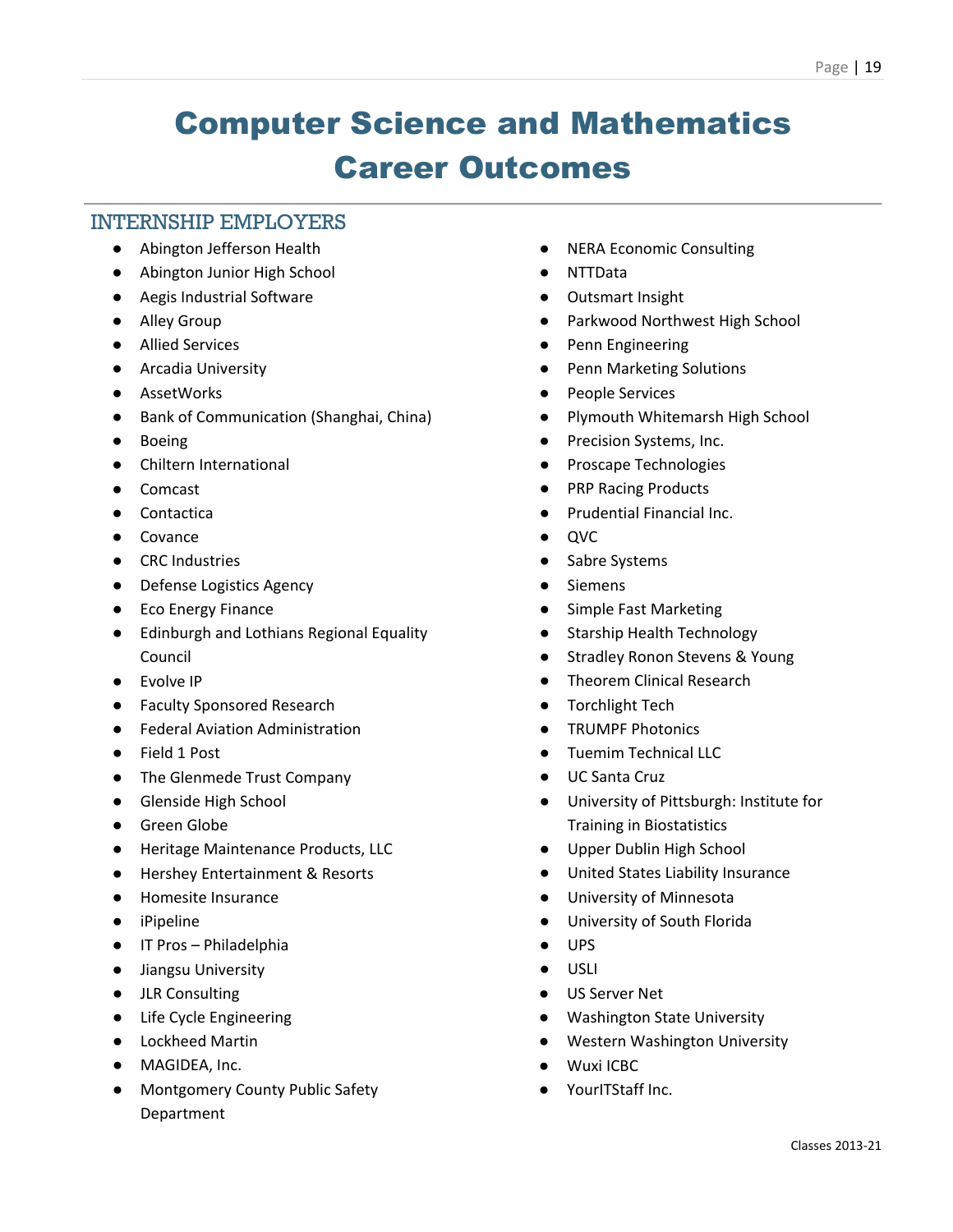# Computer Science and Mathematics Career Outcomes

#### INTERNSHIP EMPLOYERS

- Abington Jefferson Health
- Abington Junior High School
- Aegis Industrial Software
- Alley Group
- Allied Services
- Arcadia University
- AssetWorks
- Bank of Communication (Shanghai, China)
- Boeing
- Chiltern International
- Comcast
- Contactica
- Covance
- CRC Industries
- Defense Logistics Agency
- Eco Energy Finance
- Edinburgh and Lothians Regional Equality Council
- Evolve IP
- Faculty Sponsored Research
- Federal Aviation Administration
- Field 1 Post
- The Glenmede Trust Company
- Glenside High School
- Green Globe
- Heritage Maintenance Products, LLC
- Hershey Entertainment & Resorts
- Homesite Insurance
- iPipeline
- IT Pros Philadelphia
- Jiangsu University
- JLR Consulting
- Life Cycle Engineering
- Lockheed Martin
- MAGIDEA, Inc.
- Montgomery County Public Safety Department
- NERA Economic Consulting
- NTTData
- Outsmart Insight
- Parkwood Northwest High School
- Penn Engineering
- Penn Marketing Solutions
- People Services
- Plymouth Whitemarsh High School
- Precision Systems, Inc.
- Proscape Technologies
- PRP Racing Products
- **Prudential Financial Inc.**
- QVC
- Sabre Systems
- Siemens
- Simple Fast Marketing
- Starship Health Technology
- **Stradley Ronon Stevens & Young**
- **Theorem Clinical Research**
- Torchlight Tech
- TRUMPF Photonics
- Tuemim Technical LLC
- UC Santa Cruz
- University of Pittsburgh: Institute for Training in Biostatistics
- Upper Dublin High School
- United States Liability Insurance
- University of Minnesota
- University of South Florida
- UPS
- USLI
- US Server Net
- Washington State University
- Western Washington University
- Wuxi ICBC
- YourITStaff Inc.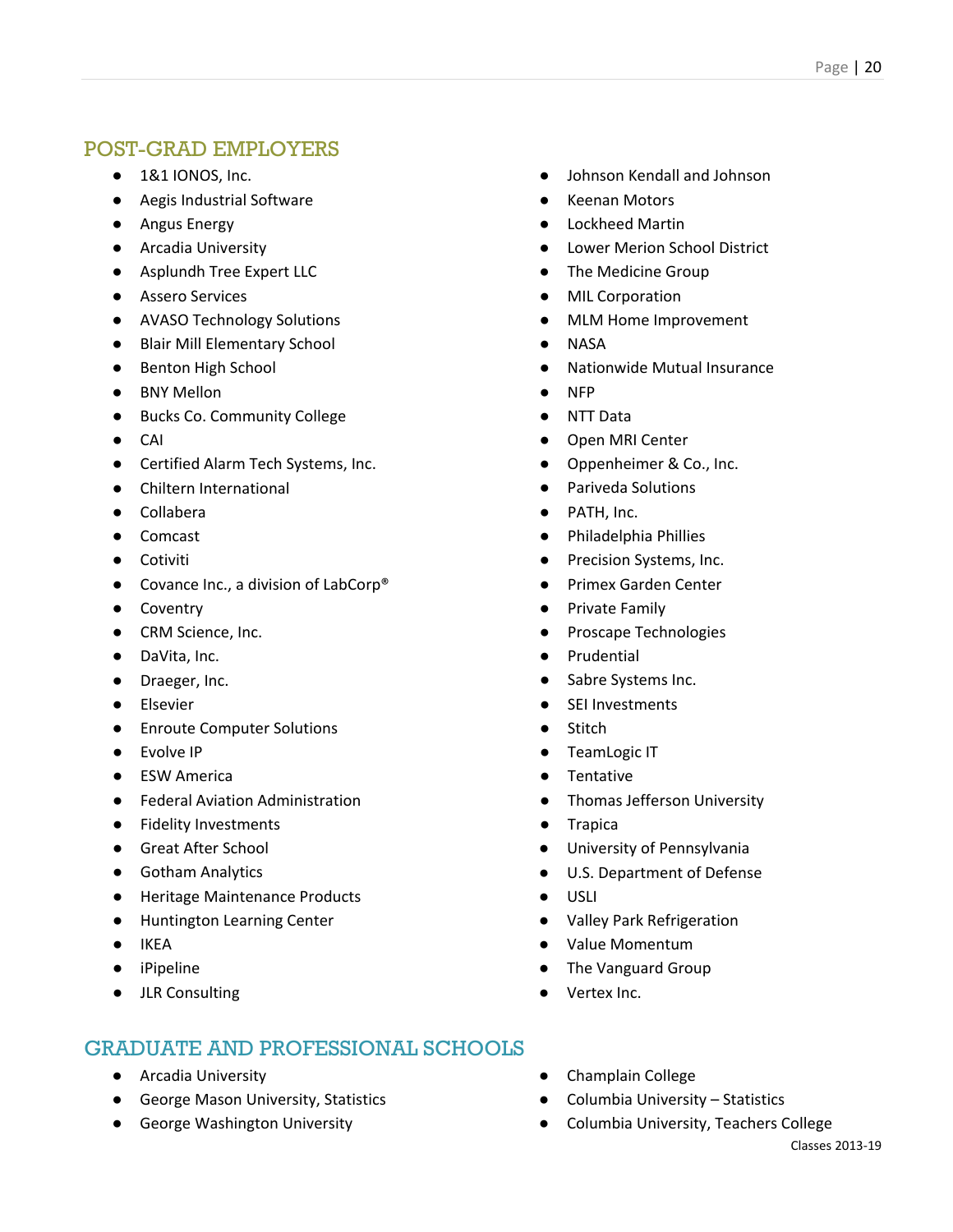- 1&1 IONOS, Inc.
- Aegis Industrial Software
- Angus Energy
- Arcadia University
- Asplundh Tree Expert LLC
- Assero Services
- AVASO Technology Solutions
- Blair Mill Elementary School
- Benton High School
- BNY Mellon
- Bucks Co. Community College
- CAI
- Certified Alarm Tech Systems, Inc.
- Chiltern International
- Collabera
- Comcast
- Cotiviti
- Covance Inc., a division of LabCorp<sup>®</sup>
- Coventry
- CRM Science, Inc.
- DaVita, Inc.
- Draeger, Inc.
- Elsevier
- Enroute Computer Solutions
- Evolve IP
- ESW America
- Federal Aviation Administration
- Fidelity Investments
- Great After School
- Gotham Analytics
- Heritage Maintenance Products
- Huntington Learning Center
- IKEA
- iPipeline
- JLR Consulting

- Arcadia University
- George Mason University, Statistics
- George Washington University
- Johnson Kendall and Johnson
- **Keenan Motors**
- Lockheed Martin
- Lower Merion School District
- The Medicine Group
- **MIL Corporation**
- **MLM Home Improvement**
- **NASA**
- **Nationwide Mutual Insurance**
- NFP
- NTT Data
- Open MRI Center
- Oppenheimer & Co., Inc.
- Pariveda Solutions
- PATH, Inc.
- Philadelphia Phillies
- Precision Systems, Inc.
- Primex Garden Center
- Private Family
- Proscape Technologies
- Prudential
- Sabre Systems Inc.
- SEI Investments
- Stitch
- TeamLogic IT
- **Tentative**
- Thomas Jefferson University
- Trapica
- University of Pennsylvania
- U.S. Department of Defense
- USLI
- Valley Park Refrigeration
- Value Momentum
- The Vanguard Group
- Vertex Inc.
- Champlain College
- Columbia University Statistics
- Columbia University, Teachers College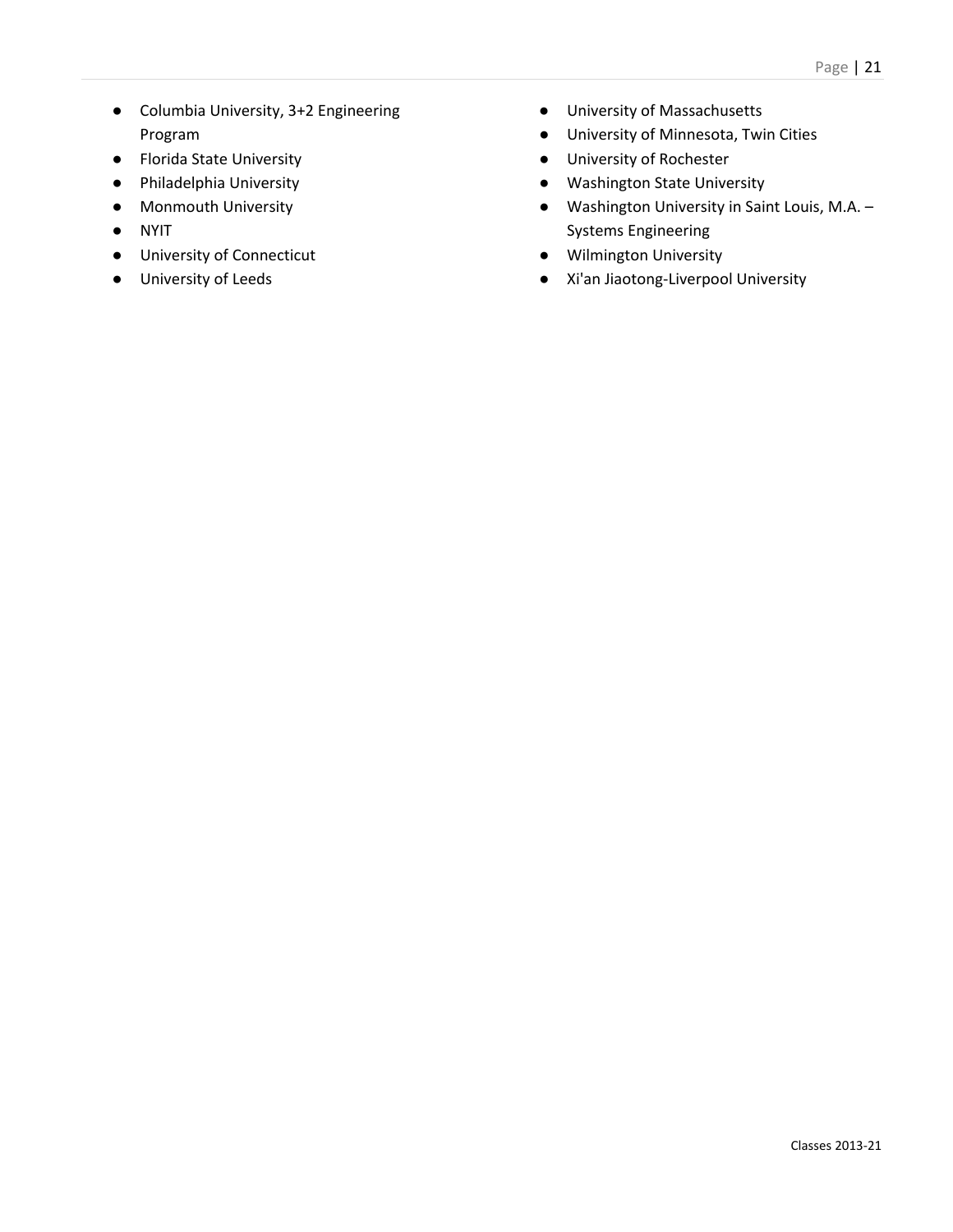- Columbia University, 3+2 Engineering Program
- Florida State University
- Philadelphia University
- Monmouth University
- NYIT
- University of Connecticut
- University of Leeds
- University of Massachusetts
- University of Minnesota, Twin Cities
- University of Rochester
- Washington State University
- Washington University in Saint Louis, M.A. Systems Engineering
- Wilmington University
- Xi'an Jiaotong-Liverpool University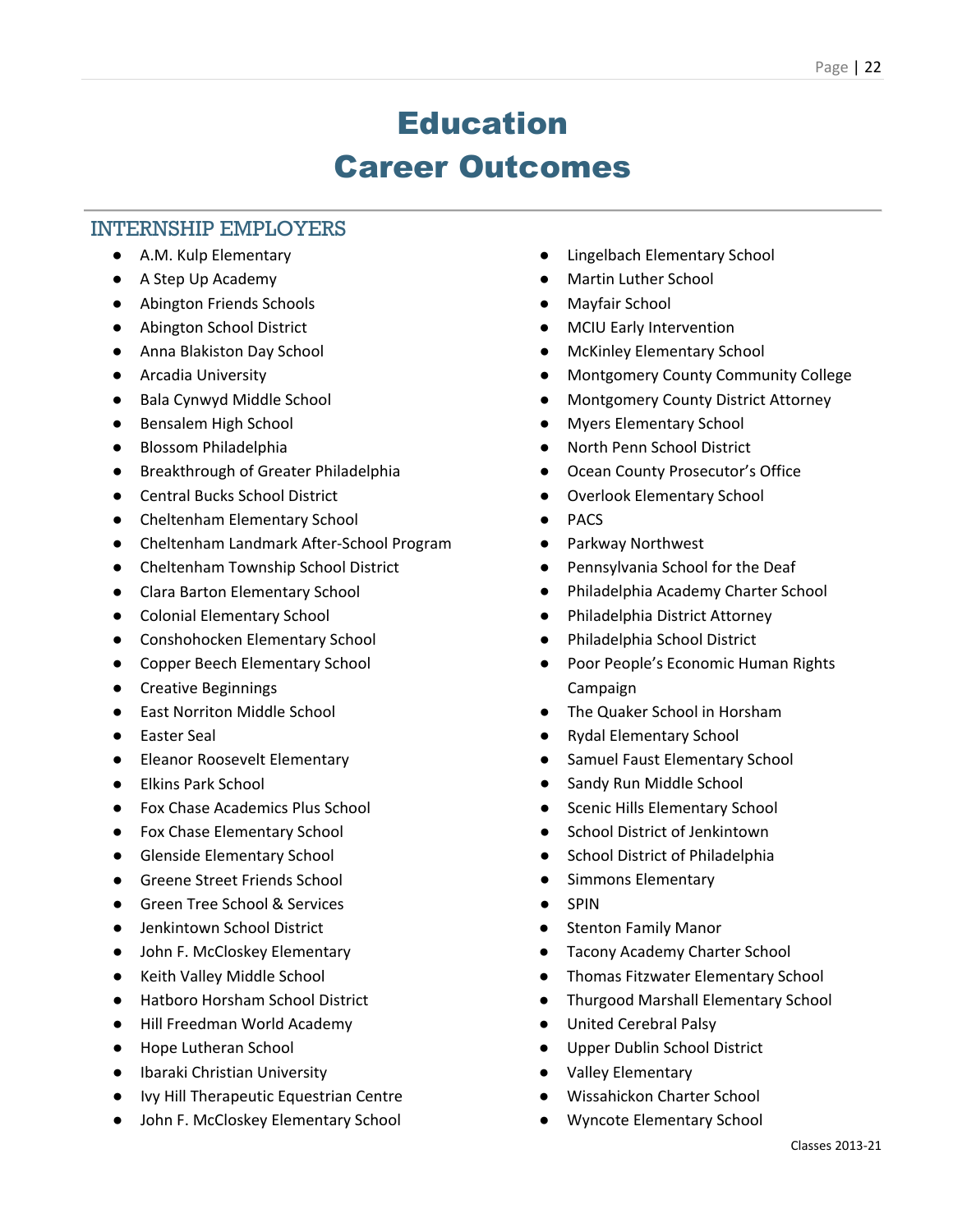### Education Career Outcomes

### INTERNSHIP EMPLOYERS

- A.M. Kulp Elementary
- A Step Up Academy
- Abington Friends Schools
- Abington School District
- Anna Blakiston Day School
- Arcadia University
- Bala Cynwyd Middle School
- Bensalem High School
- Blossom Philadelphia
- Breakthrough of Greater Philadelphia
- Central Bucks School District
- Cheltenham Elementary School
- Cheltenham Landmark After-School Program
- Cheltenham Township School District
- Clara Barton Elementary School
- Colonial Elementary School
- Conshohocken Elementary School
- Copper Beech Elementary School
- Creative Beginnings
- East Norriton Middle School
- Easter Seal
- Eleanor Roosevelt Elementary
- Elkins Park School
- Fox Chase Academics Plus School
- Fox Chase Elementary School
- Glenside Elementary School
- Greene Street Friends School
- Green Tree School & Services
- Jenkintown School District
- John F. McCloskey Elementary
- Keith Valley Middle School
- Hatboro Horsham School District
- Hill Freedman World Academy
- Hope Lutheran School
- Ibaraki Christian University
- Ivy Hill Therapeutic Equestrian Centre
- John F. McCloskey Elementary School
- Lingelbach Elementary School
- **Martin Luther School**
- Mayfair School
- **MCIU Early Intervention**
- **McKinley Elementary School**
- Montgomery County Community College
- Montgomery County District Attorney
- **Myers Elementary School**
- North Penn School District
- Ocean County Prosecutor's Office
- Overlook Elementary School
- PACS
- Parkway Northwest
- Pennsylvania School for the Deaf
- Philadelphia Academy Charter School
- Philadelphia District Attorney
- Philadelphia School District
- Poor People's Economic Human Rights Campaign
- The Quaker School in Horsham
- Rydal Elementary School
- Samuel Faust Elementary School
- Sandy Run Middle School
- Scenic Hills Elementary School
- School District of Jenkintown
- School District of Philadelphia
- Simmons Elementary
- **SPIN**
- Stenton Family Manor
- Tacony Academy Charter School
- Thomas Fitzwater Elementary School
- Thurgood Marshall Elementary School
- United Cerebral Palsy
- Upper Dublin School District
- Valley Elementary
- Wissahickon Charter School
- Wyncote Elementary School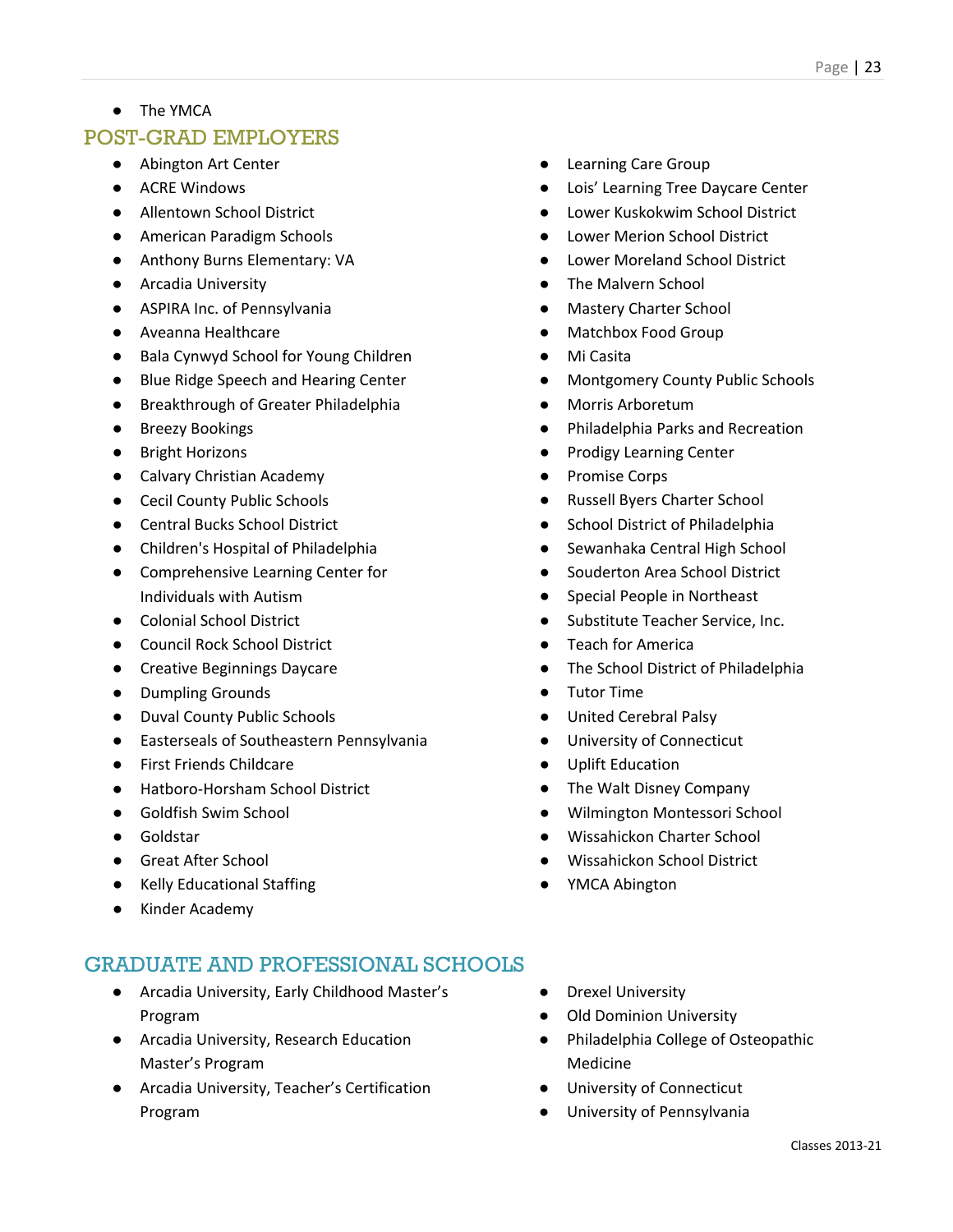● The YMCA

### POST-GRAD EMPLOYERS

- Abington Art Center
- ACRE Windows
- Allentown School District
- American Paradigm Schools
- Anthony Burns Elementary: VA
- Arcadia University
- ASPIRA Inc. of Pennsylvania
- Aveanna Healthcare
- Bala Cynwyd School for Young Children
- Blue Ridge Speech and Hearing Center
- Breakthrough of Greater Philadelphia
- Breezy Bookings
- Bright Horizons
- Calvary Christian Academy
- Cecil County Public Schools
- Central Bucks School District
- Children's Hospital of Philadelphia
- Comprehensive Learning Center for Individuals with Autism
- Colonial School District
- Council Rock School District
- Creative Beginnings Daycare
- Dumpling Grounds
- Duval County Public Schools
- Easterseals of Southeastern Pennsylvania
- First Friends Childcare
- Hatboro-Horsham School District
- Goldfish Swim School
- Goldstar
- Great After School
- Kelly Educational Staffing
- Kinder Academy

- Arcadia University, Early Childhood Master's Program
- Arcadia University, Research Education Master's Program
- Arcadia University, Teacher's Certification Program
- **Learning Care Group**
- Lois' Learning Tree Daycare Center
- **Lower Kuskokwim School District**
- Lower Merion School District
- Lower Moreland School District
- The Malvern School
- **Mastery Charter School**
- Matchbox Food Group
- Mi Casita
- Montgomery County Public Schools
- Morris Arboretum
- Philadelphia Parks and Recreation
- Prodigy Learning Center
- Promise Corps
- Russell Byers Charter School
- School District of Philadelphia
- Sewanhaka Central High School
- Souderton Area School District
- Special People in Northeast
- Substitute Teacher Service, Inc.
- **Teach for America**
- The School District of Philadelphia
- Tutor Time
- United Cerebral Palsy
- University of Connecticut
- Uplift Education
- The Walt Disney Company
- Wilmington Montessori School
- Wissahickon Charter School
- Wissahickon School District
- YMCA Abington
- Drexel University
- **Old Dominion University**
- Philadelphia College of Osteopathic Medicine
- University of Connecticut
- University of Pennsylvania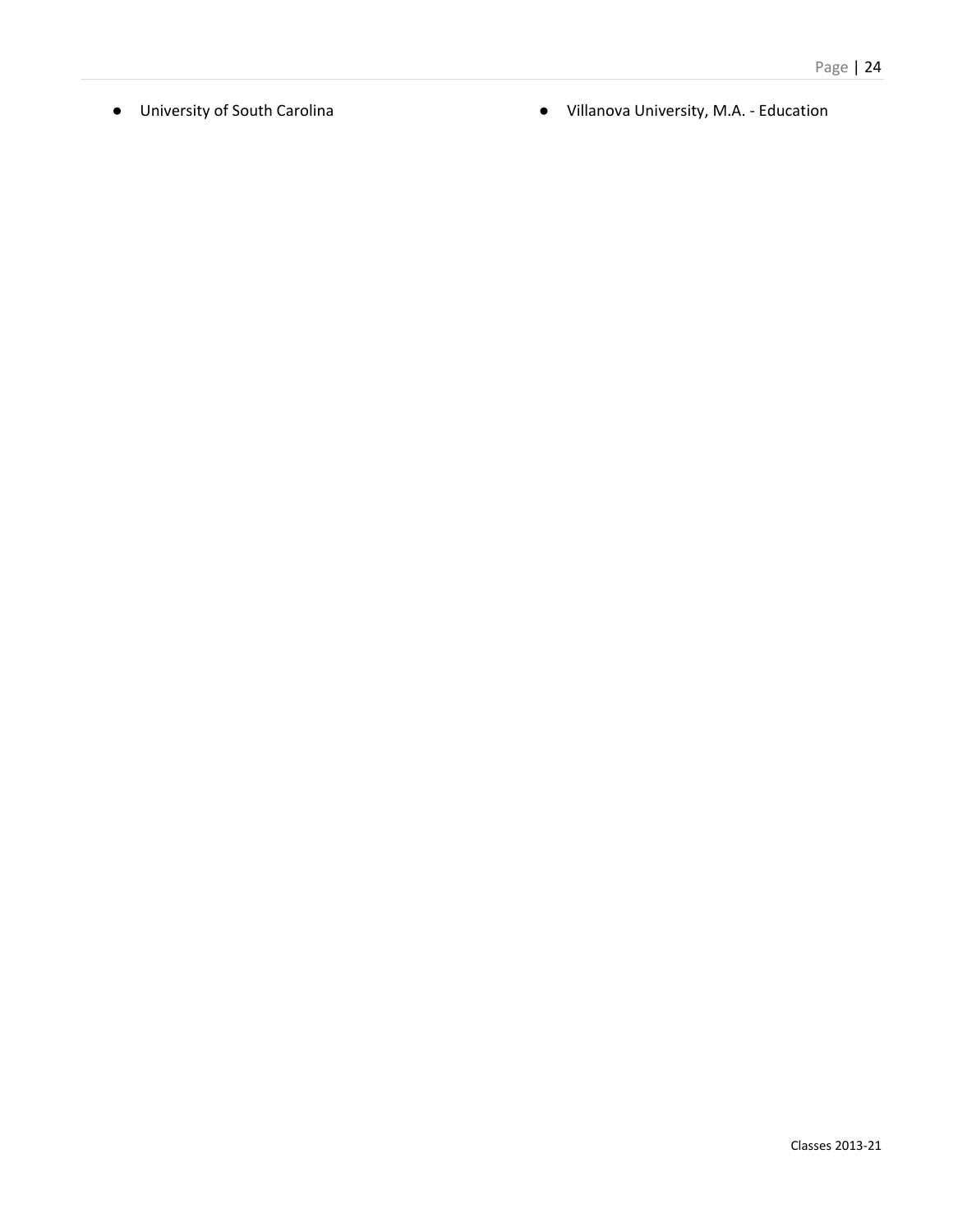- 
- University of South Carolina <br>● Villanova University, M.A. Education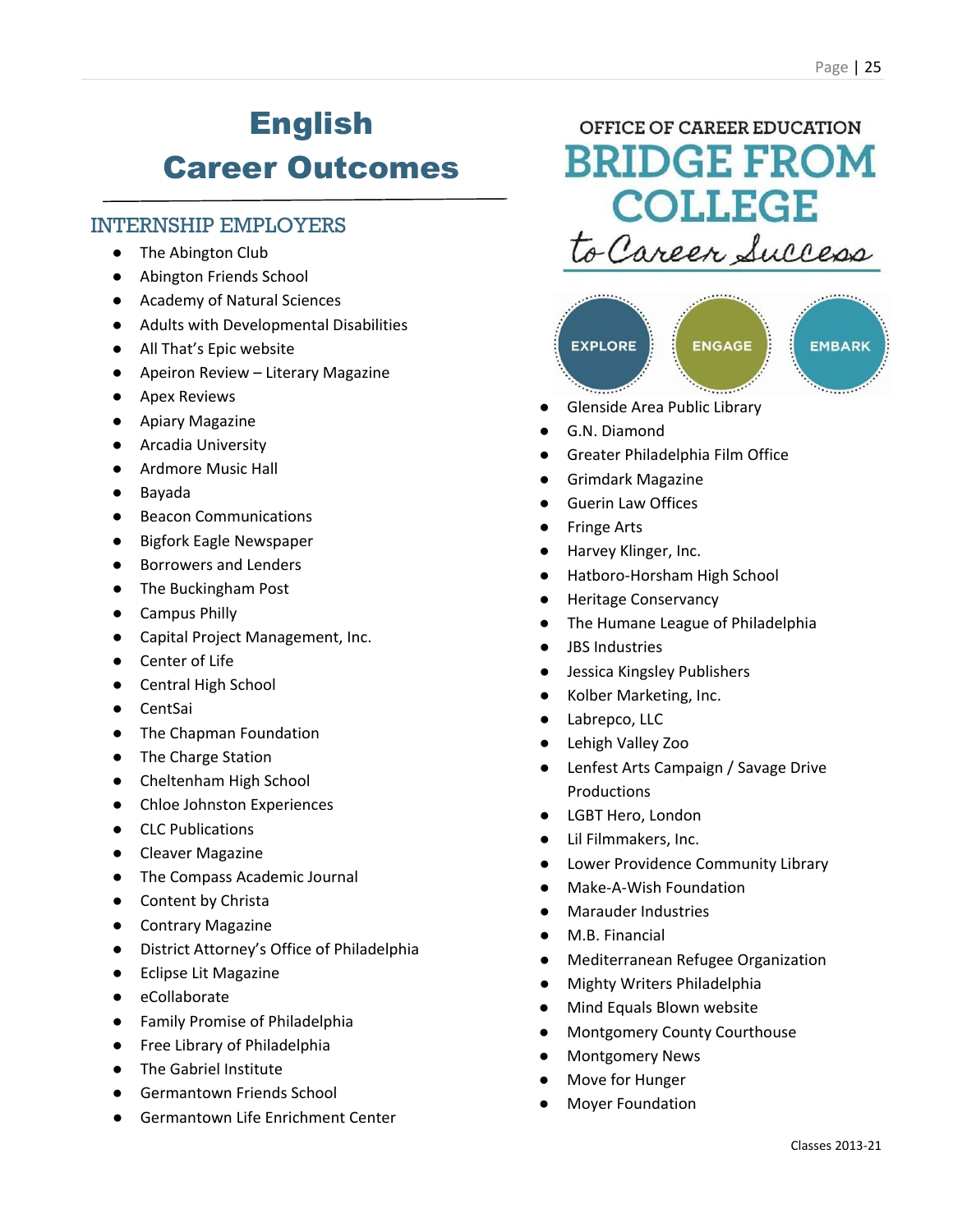# English Career Outcomes

### INTERNSHIP EMPLOYERS

- The Abington Club
- Abington Friends School
- Academy of Natural Sciences
- Adults with Developmental Disabilities
- All That's Epic website
- Apeiron Review Literary Magazine
- Apex Reviews
- Apiary Magazine
- Arcadia University
- Ardmore Music Hall
- Bayada
- Beacon Communications
- Bigfork Eagle Newspaper
- Borrowers and Lenders
- The Buckingham Post
- Campus Philly
- Capital Project Management, Inc.
- Center of Life
- Central High School
- CentSai
- The Chapman Foundation
- The Charge Station
- Cheltenham High School
- Chloe Johnston Experiences
- CLC Publications
- Cleaver Magazine
- The Compass Academic Journal
- Content by Christa
- Contrary Magazine
- District Attorney's Office of Philadelphia
- Eclipse Lit Magazine
- eCollaborate
- Family Promise of Philadelphia
- Free Library of Philadelphia
- The Gabriel Institute
- Germantown Friends School
- **Germantown Life Enrichment Center**

OFFICE OF CAREER EDUCATION **BRIDGE FROM COLLEGE** to Career Success



- Glenside Area Public Library
- G.N. Diamond
- **Greater Philadelphia Film Office**
- Grimdark Magazine
- **Guerin Law Offices**
- **Fringe Arts**
- Harvey Klinger, Inc.
- Hatboro-Horsham High School
- **Heritage Conservancy**
- The Humane League of Philadelphia
- JBS Industries
- Jessica Kingsley Publishers
- Kolber Marketing, Inc.
- Labrepco, LLC
- Lehigh Valley Zoo
- Lenfest Arts Campaign / Savage Drive Productions
- LGBT Hero, London
- Lil Filmmakers, Inc.
- Lower Providence Community Library
- Make-A-Wish Foundation
- **Marauder Industries**
- M.B. Financial
- **Mediterranean Refugee Organization**
- **Mighty Writers Philadelphia**
- Mind Equals Blown website
- Montgomery County Courthouse
- **Montgomery News**
- Move for Hunger
- **Moyer Foundation**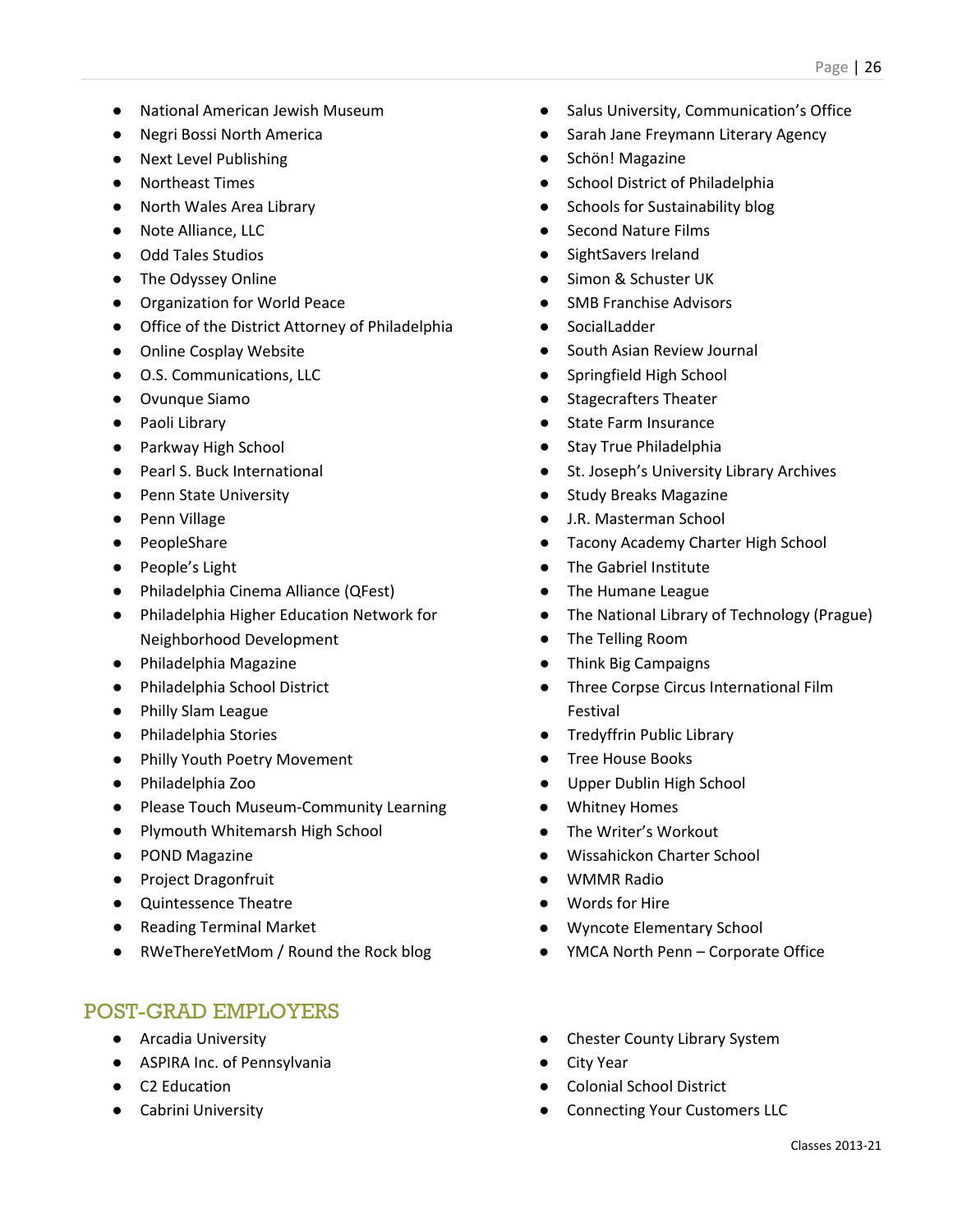- National American Jewish Museum
- Negri Bossi North America
- Next Level Publishing
- Northeast Times
- North Wales Area Library
- Note Alliance, LLC
- Odd Tales Studios
- The Odyssey Online
- Organization for World Peace
- Office of the District Attorney of Philadelphia
- Online Cosplay Website
- O.S. Communications, LLC
- Ovunque Siamo
- Paoli Library
- Parkway High School
- Pearl S. Buck International
- Penn State University
- Penn Village
- PeopleShare
- People's Light
- Philadelphia Cinema Alliance (QFest)
- Philadelphia Higher Education Network for Neighborhood Development
- Philadelphia Magazine
- Philadelphia School District
- Philly Slam League
- Philadelphia Stories
- Philly Youth Poetry Movement
- Philadelphia Zoo
- Please Touch Museum-Community Learning
- Plymouth Whitemarsh High School
- POND Magazine
- Project Dragonfruit
- Quintessence Theatre
- Reading Terminal Market
- RWeThereYetMom / Round the Rock blog

- Arcadia University
- ASPIRA Inc. of Pennsylvania
- C2 Education
- Cabrini University
- Salus University, Communication's Office
- Sarah Jane Freymann Literary Agency
- [Schön! Magazine](http://www.schonmagazine.com/)
- School District of Philadelphia
- Schools for Sustainability blog
- **Second Nature Films**
- SightSavers Ireland
- Simon & Schuster UK
- SMB Franchise Advisors
- SocialLadder
- South Asian Review Journal
- Springfield High School
- Stagecrafters Theater
- **State Farm Insurance**
- Stav True Philadelphia
- St. Joseph's University Library Archives
- Study Breaks Magazine
- J.R. Masterman School
- Tacony Academy Charter High School
- The Gabriel Institute
- The Humane League
- The National Library of Technology (Prague)
- The Telling Room
- Think Big Campaigns
- Three Corpse Circus International Film Festival
- Tredyffrin Public Library
- Tree House Books
- Upper Dublin High School
- Whitney Homes
- The Writer's Workout
- Wissahickon Charter School
- WMMR Radio
- Words for Hire
- Wyncote Elementary School
- YMCA North Penn Corporate Office
- Chester County Library System
- **City Year**
- Colonial School District
- Connecting Your Customers LLC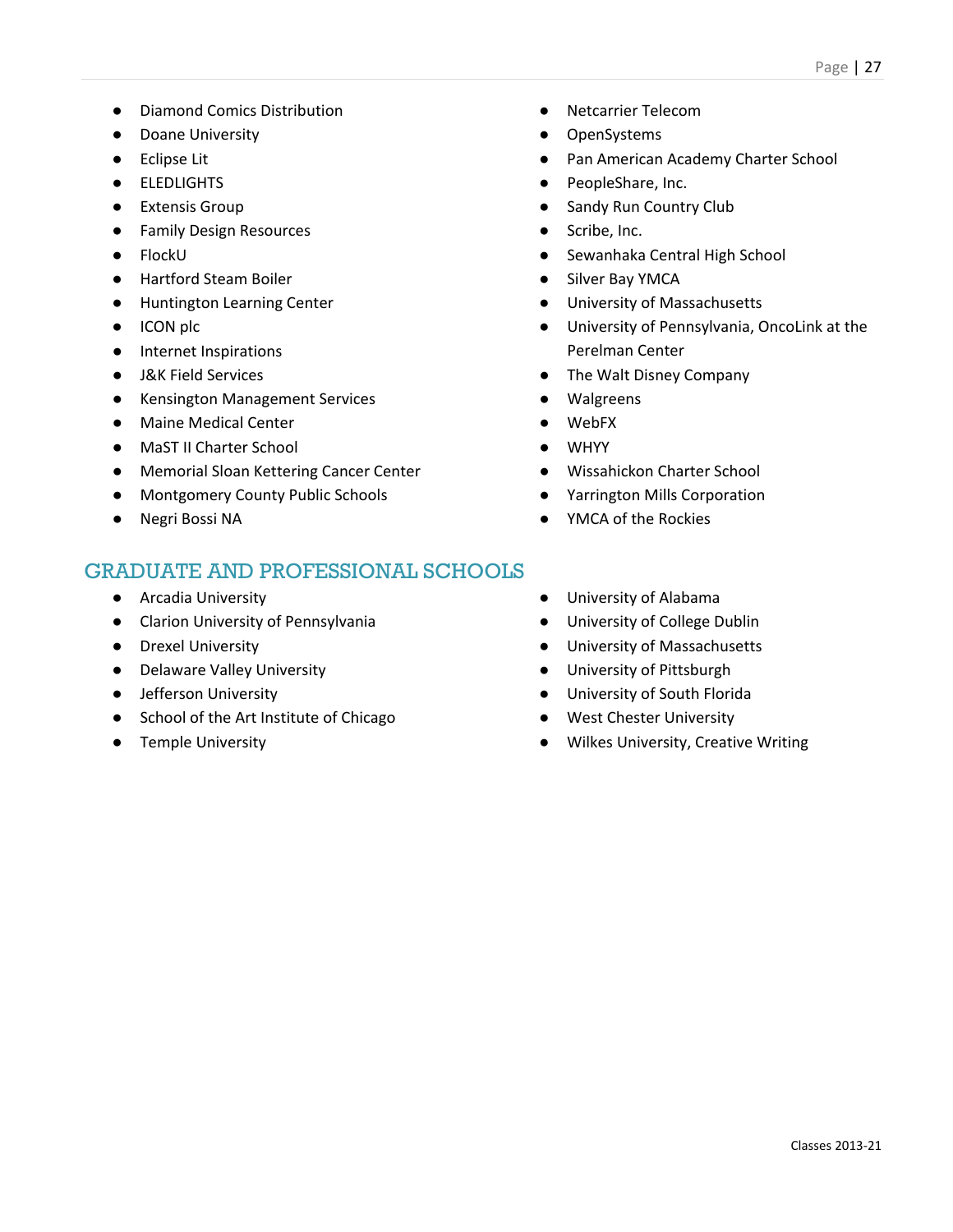- Diamond Comics Distribution
- Doane University
- Eclipse Lit
- ELEDLIGHTS
- Extensis Group
- Family Design Resources
- FlockU
- Hartford Steam Boiler
- Huntington Learning Center
- ICON plc
- Internet Inspirations
- J&K Field Services
- Kensington Management Services
- Maine Medical Center
- MaST II Charter School
- Memorial Sloan Kettering Cancer Center
- Montgomery County Public Schools
- Negri Bossi NA

- Arcadia University
- Clarion University of Pennsylvania
- Drexel University
- Delaware Valley University
- Jefferson University
- School of the Art Institute of Chicago
- Temple University
- Netcarrier Telecom
- OpenSystems
- Pan American Academy Charter School
- PeopleShare, Inc.
- Sandy Run Country Club
- Scribe, Inc.
- Sewanhaka Central High School
- Silver Bay YMCA
- University of Massachusetts
- University of Pennsylvania, OncoLink at the Perelman Center
- The Walt Disney Company
- Walgreens
- WebFX
- WHYY
- Wissahickon Charter School
- Yarrington Mills Corporation
- YMCA of the Rockies
- University of Alabama
- University of College Dublin
- University of Massachusetts
- University of Pittsburgh
- University of South Florida
- West Chester University
- Wilkes University, Creative Writing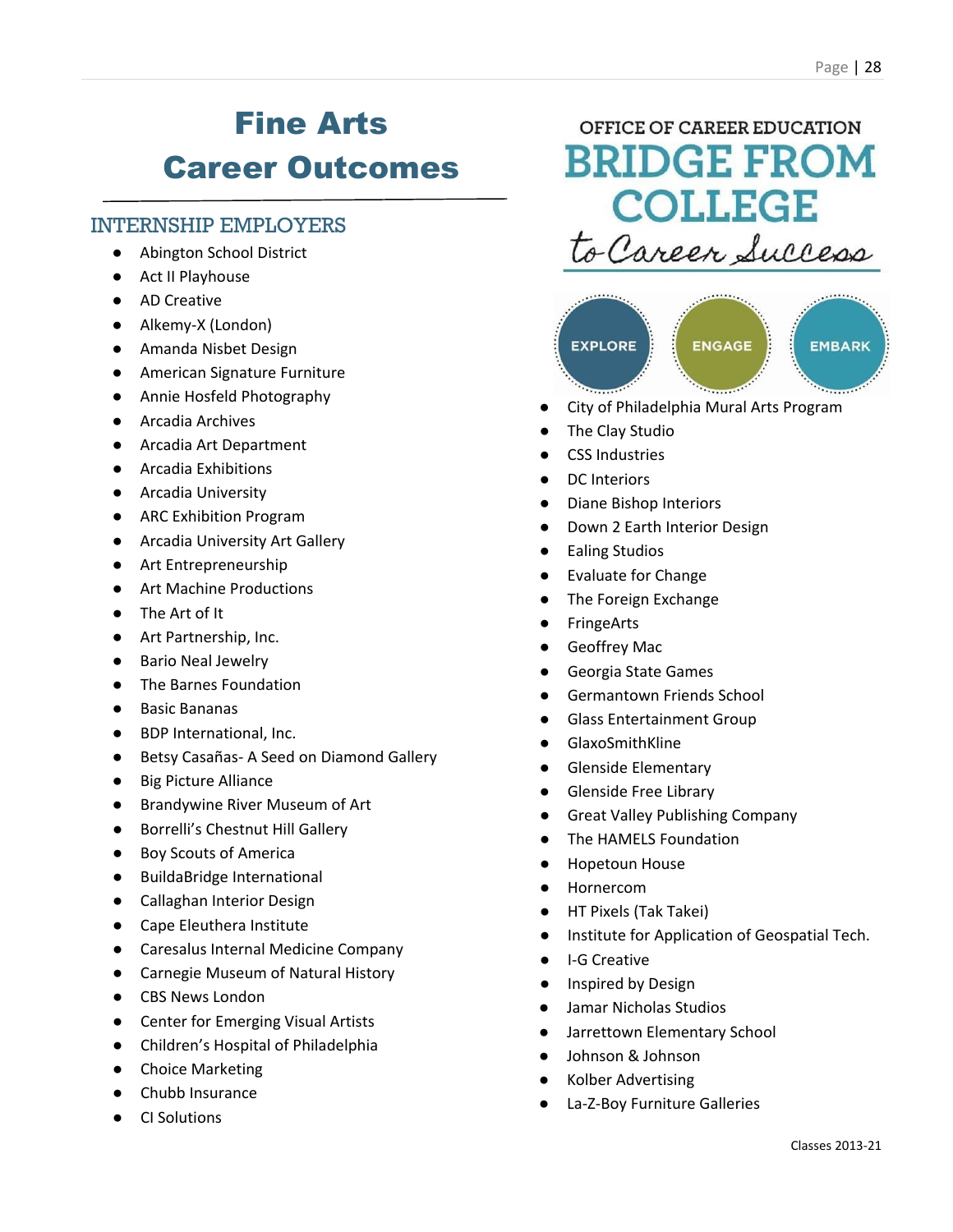# Fine Arts Career Outcomes

### INTERNSHIP EMPLOYERS

- **Abington School District**
- Act II Playhouse
- AD Creative
- Alkemy-X (London)
- Amanda Nisbet Design
- American Signature Furniture
- Annie Hosfeld Photography
- Arcadia Archives
- Arcadia Art Department
- Arcadia Exhibitions
- Arcadia University
- ARC Exhibition Program
- Arcadia University Art Gallery
- Art Entrepreneurship
- Art Machine Productions
- The Art of It
- Art Partnership, Inc.
- **Bario Neal Jewelry**
- The Barnes Foundation
- Basic Bananas
- BDP International, Inc.
- Betsy Casañas- A Seed on Diamond Gallery
- Big Picture Alliance
- Brandywine River Museum of Art
- Borrelli's Chestnut Hill Gallery
- Boy Scouts of America
- BuildaBridge International
- Callaghan Interior Design
- Cape Eleuthera Institute
- Caresalus Internal Medicine Company
- Carnegie Museum of Natural History
- CBS News London
- Center for Emerging Visual Artists
- Children's Hospital of Philadelphia
- Choice Marketing
- Chubb Insurance
- **CI Solutions**

### OFFICE OF CAREER EDUCATION **BRIDGE FROM COLLEGE** to Career Success



- City of Philadelphia Mural Arts Program
- The Clay Studio
- **CSS Industries**
- DC Interiors
- **Diane Bishop Interiors**
- Down 2 Earth Interior Design
- **Ealing Studios**
- **Evaluate for Change**
- The Foreign Exchange
- **FringeArts**
- **Geoffrey Mac**
- Georgia State Games
- Germantown Friends School
- **Glass Entertainment Group**
- **GlaxoSmithKline**
- **Glenside Elementary**
- Glenside Free Library
- Great Valley Publishing Company
- The HAMELS Foundation
- **Hopetoun House**
- **Hornercom**
- HT Pixels (Tak Takei)
- Institute for Application of Geospatial Tech.
- I-G Creative
- Inspired by Design
- Jamar Nicholas Studios
- Jarrettown Elementary School
- Johnson & Johnson
- Kolber Advertising
- La-Z-Boy Furniture Galleries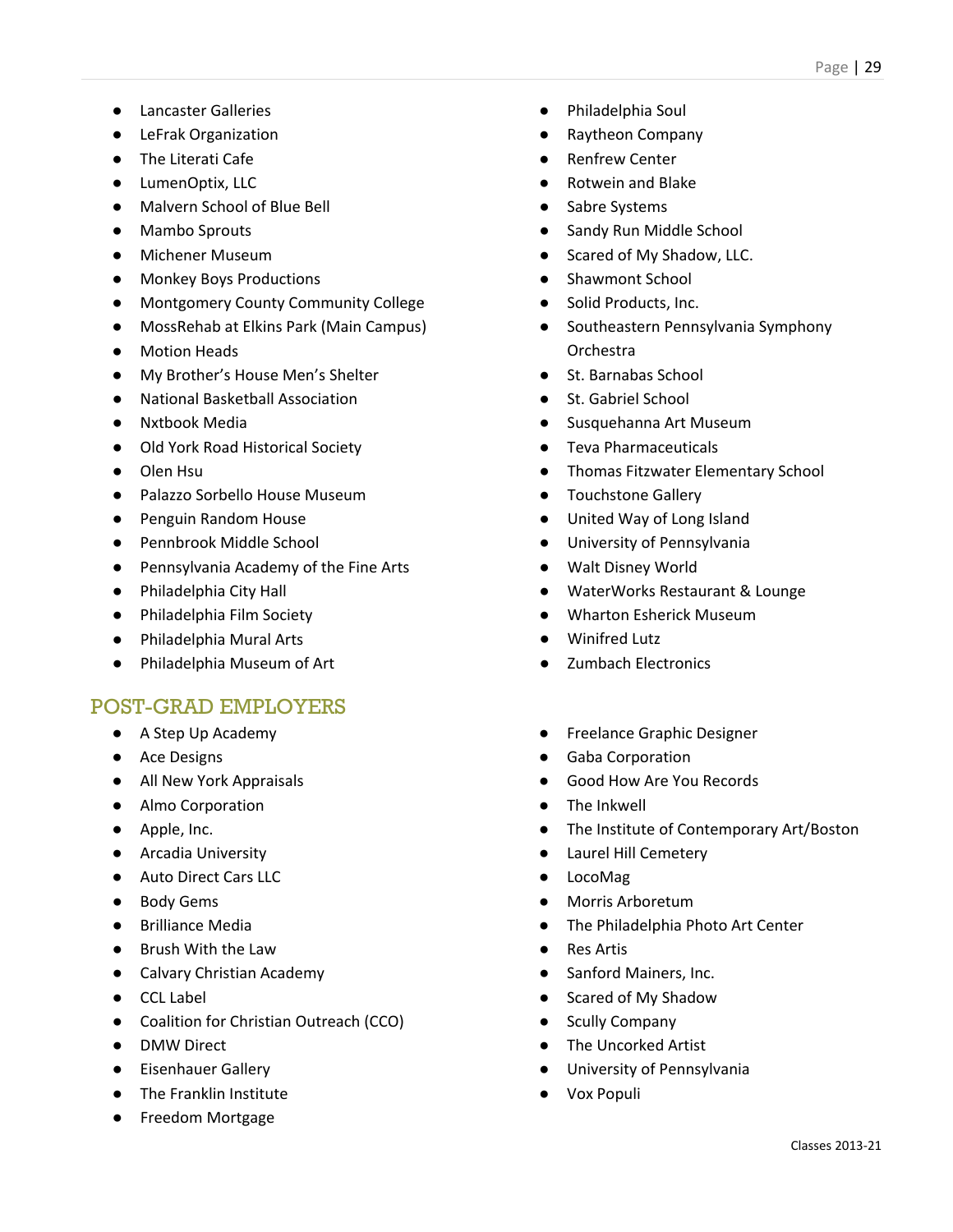- Lancaster Galleries
- LeFrak Organization
- The Literati Cafe
- LumenOptix, LLC
- Malvern School of Blue Bell
- Mambo Sprouts
- Michener Museum
- Monkey Boys Productions
- Montgomery County Community College
- MossRehab at Elkins Park (Main Campus)
- Motion Heads
- My Brother's House Men's Shelter
- National Basketball Association
- Nxtbook Media
- Old York Road Historical Society
- Olen Hsu
- Palazzo Sorbello House Museum
- Penguin Random House
- Pennbrook Middle School
- Pennsylvania Academy of the Fine Arts
- Philadelphia City Hall
- Philadelphia Film Society
- Philadelphia Mural Arts
- Philadelphia Museum of Art

- A Step Up Academy
- Ace Designs
- All New York Appraisals
- Almo Corporation
- Apple, Inc.
- Arcadia University
- Auto Direct Cars LLC
- Body Gems
- Brilliance Media
- Brush With the Law
- Calvary Christian Academy
- CCL Label
- Coalition for Christian Outreach (CCO)
- DMW Direct
- Eisenhauer Gallery
- The Franklin Institute
- Freedom Mortgage
- Philadelphia Soul
- Raytheon Company
- **Renfrew Center**
- **Rotwein and Blake**
- Sabre Systems
- Sandy Run Middle School
- Scared of My Shadow, LLC.
- Shawmont School
- Solid Products, Inc.
- Southeastern Pennsylvania Symphony Orchestra
- St. Barnabas School
- St. Gabriel School
- Susquehanna Art Museum
- Teva Pharmaceuticals
- Thomas Fitzwater Elementary School
- Touchstone Gallery
- United Way of Long Island
- University of Pennsylvania
- Walt Disney World
- WaterWorks Restaurant & Lounge
- Wharton Esherick Museum
- **Winifred Lutz**
- Zumbach Electronics
- Freelance Graphic Designer
- **Gaba Corporation**
- Good How Are You Records
- The Inkwell
- The Institute of Contemporary Art/Boston
- Laurel Hill Cemetery
- LocoMag
- Morris Arboretum
- The Philadelphia Photo Art Center
- **Res Artis**
- Sanford Mainers, Inc.
- Scared of My Shadow
- Scully Company
- The Uncorked Artist
- University of Pennsylvania
- **Vox Populi**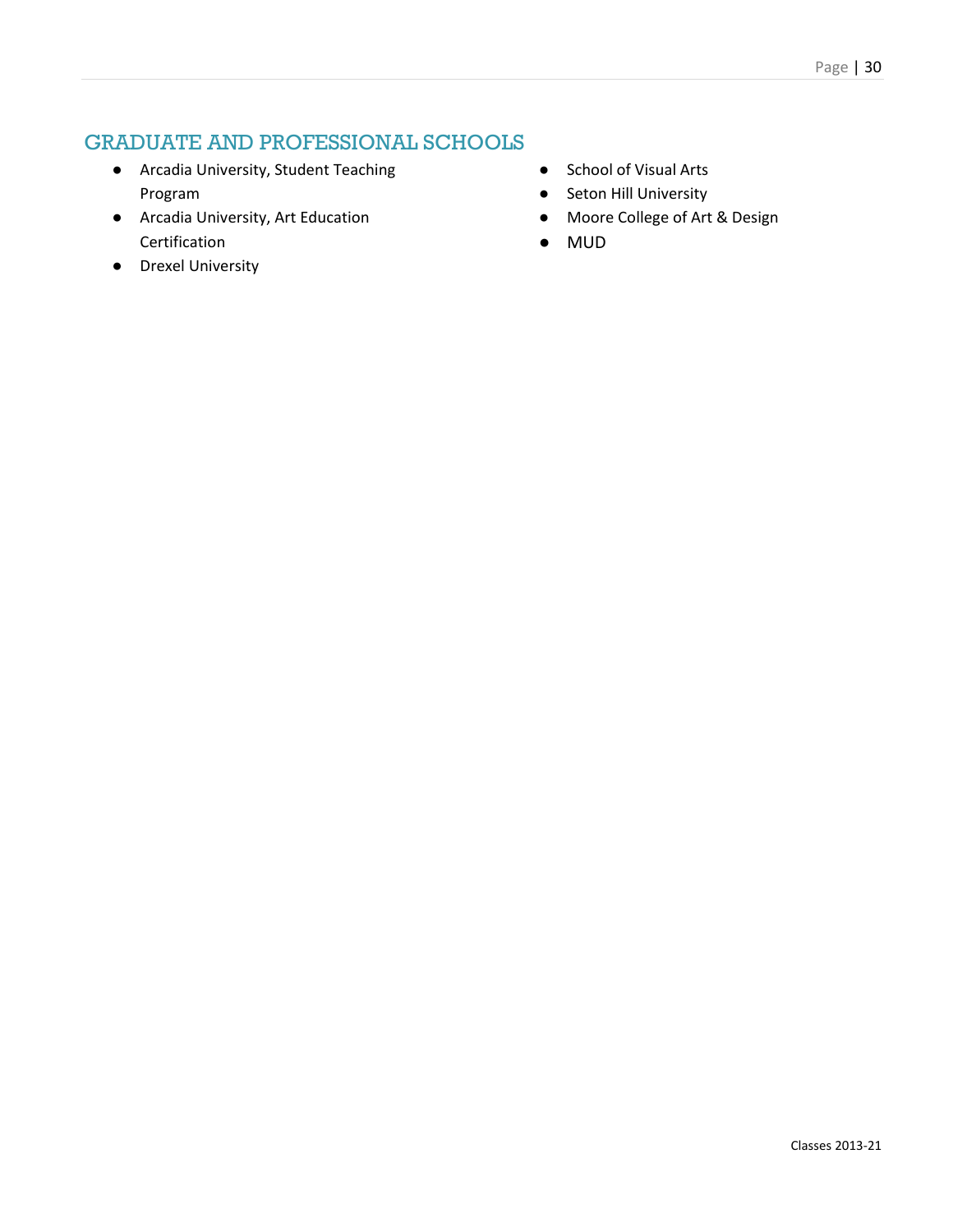- Arcadia University, Student Teaching Program
- Arcadia University, Art Education Certification
- Drexel University
- School of Visual Arts
- Seton Hill University
- Moore College of Art & Design
- MUD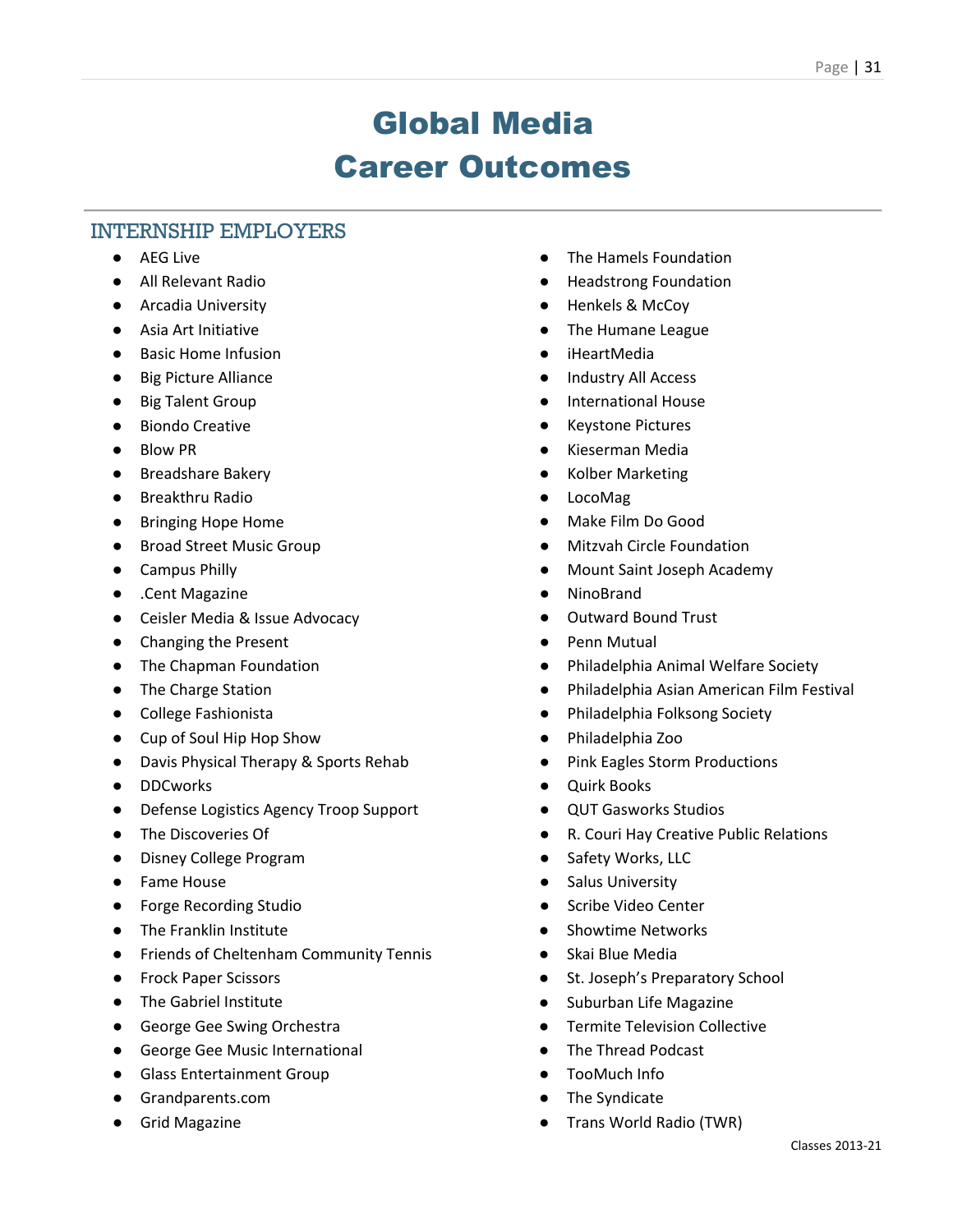### Global Media Career Outcomes

### INTERNSHIP EMPLOYERS

- AEG Live
- All Relevant Radio
- Arcadia University
- Asia Art Initiative
- Basic Home Infusion
- Big Picture Alliance
- Big Talent Group
- Biondo Creative
- Blow PR
- Breadshare Bakery
- Breakthru Radio
- Bringing Hope Home
- Broad Street Music Group
- Campus Philly
- .Cent Magazine
- Ceisler Media & Issue Advocacy
- Changing the Present
- The Chapman Foundation
- The Charge Station
- College Fashionista
- Cup of Soul Hip Hop Show
- Davis Physical Therapy & Sports Rehab
- DDCworks
- Defense Logistics Agency Troop Support
- The Discoveries Of
- Disney College Program
- Fame House
- Forge Recording Studio
- The Franklin Institute
- Friends of Cheltenham Community Tennis
- Frock Paper Scissors
- The Gabriel Institute
- George Gee Swing Orchestra
- George Gee Music International
- Glass Entertainment Group
- Grandparents.com
- Grid Magazine
- The Hamels Foundation
- **Headstrong Foundation**
- Henkels & McCoy
- The Humane League
- **iHeartMedia**
- Industry All Access
- International House
- **Keystone Pictures**
- Kieserman Media
- **Kolber Marketing**
- **LocoMag**
- Make Film Do Good
- **Mitzvah Circle Foundation**
- Mount Saint Joseph Academy
- **NinoBrand**
- Outward Bound Trust
- Penn Mutual
- Philadelphia Animal Welfare Society
- Philadelphia Asian American Film Festival
- Philadelphia Folksong Society
- Philadelphia Zoo
- Pink Eagles Storm Productions
- **Ouirk Books**
- **QUT Gasworks Studios**
- R. Couri Hay Creative Public Relations
- Safety Works, LLC
- Salus University
- Scribe Video Center
- **Showtime Networks**
- Skai Blue Media
- St. Joseph's Preparatory School
- Suburban Life Magazine
- Termite Television Collective
- The Thread Podcast
- TooMuch Info
- The Syndicate
- Trans World Radio (TWR)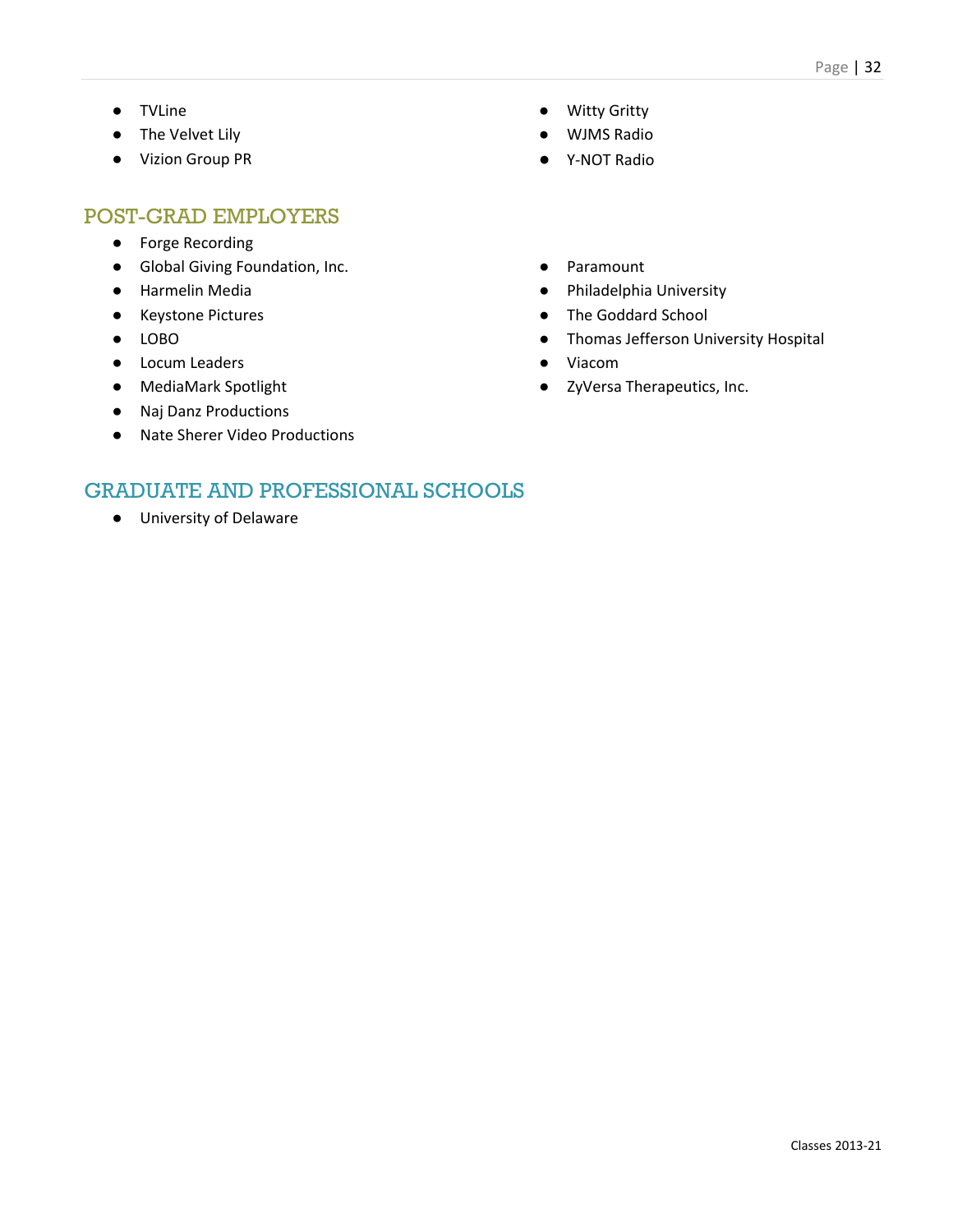- TVLine
- The Velvet Lily
- Vizion Group PR

- Forge Recording
- Global Giving Foundation, Inc.
- Harmelin Media
- Keystone Pictures
- LOBO
- Locum Leaders
- MediaMark Spotlight
- Naj Danz Productions
- Nate Sherer Video Productions
- Witty Gritty
- WJMS Radio
- Y-NOT Radio
- Paramount
- Philadelphia University
- The Goddard School
- Thomas Jefferson University Hospital
- Viacom
- ZyVersa Therapeutics, Inc.

### GRADUATE AND PROFESSIONAL SCHOOLS

● University of Delaware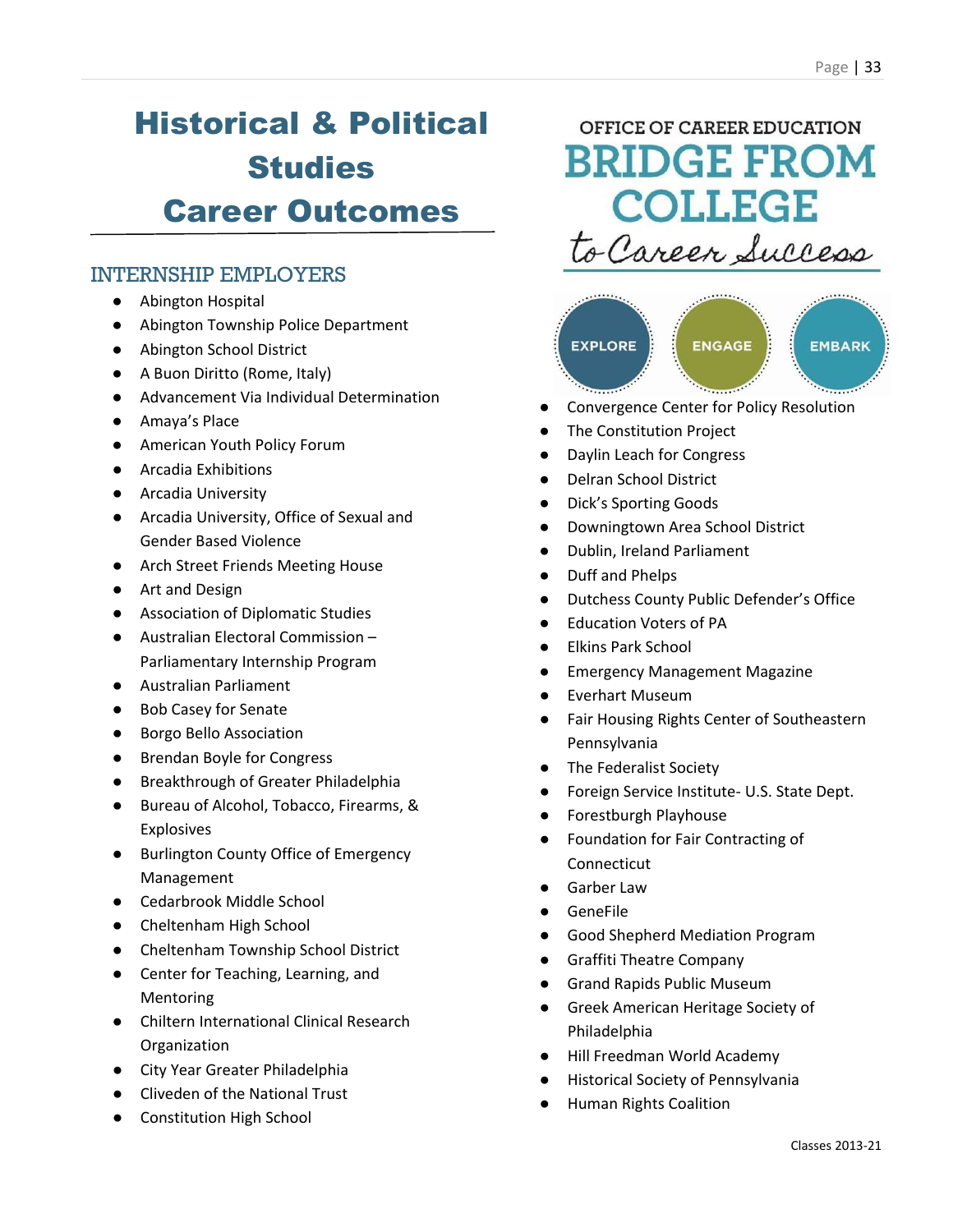### Historical & Political **Studies** Career Outcomes

### INTERNSHIP EMPLOYERS

- Abington Hospital
- Abington Township Police Department
- Abington School District
- A Buon Diritto (Rome, Italy)
- Advancement Via Individual Determination
- Amaya's Place
- American Youth Policy Forum
- Arcadia Exhibitions
- Arcadia University
- Arcadia University, Office of Sexual and Gender Based Violence
- Arch Street Friends Meeting House
- Art and Design
- Association of Diplomatic Studies
- Australian Electoral Commission Parliamentary Internship Program
- Australian Parliament
- Bob Casey for Senate
- Borgo Bello Association
- Brendan Boyle for Congress
- Breakthrough of Greater Philadelphia
- Bureau of Alcohol, Tobacco, Firearms, & Explosives
- Burlington County Office of Emergency Management
- Cedarbrook Middle School
- Cheltenham High School
- Cheltenham Township School District
- Center for Teaching, Learning, and Mentoring
- Chiltern International Clinical Research **Organization**
- City Year Greater Philadelphia
- Cliveden of the National Trust
- Constitution High School

### OFFICE OF CAREER EDUCATION **BRIDGE FROM COLLEGE** to Career Success



- Convergence Center for Policy Resolution
- **The Constitution Project**
- Daylin Leach for Congress
- Delran School District
- Dick's Sporting Goods
- Downingtown Area School District
- Dublin, Ireland Parliament
- Duff and Phelps
- **Dutchess County Public Defender's Office**
- **Education Voters of PA**
- **Elkins Park School**
- **Emergency Management Magazine**
- **Everhart Museum**
- Fair Housing Rights Center of Southeastern Pennsylvania
- The Federalist Society
- Foreign Service Institute- U.S. State Dept.
- Forestburgh Playhouse
- Foundation for Fair Contracting of Connecticut
- **Garber Law**
- **GeneFile**
- Good Shepherd Mediation Program
- Graffiti Theatre Company
- **Grand Rapids Public Museum**
- Greek American Heritage Society of Philadelphia
- Hill Freedman World Academy
- **Historical Society of Pennsylvania**
- **Human Rights Coalition**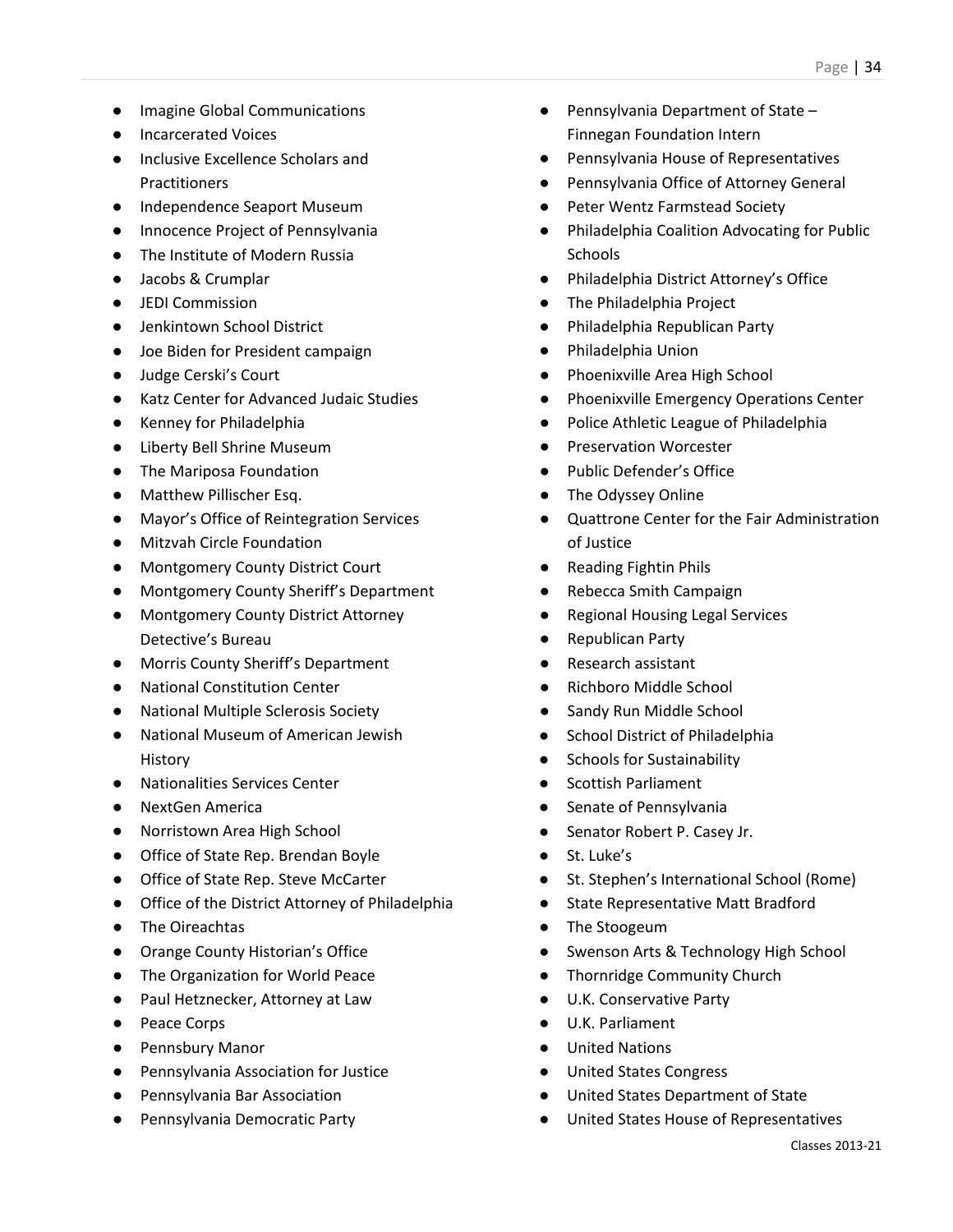- Imagine Global Communications
- Incarcerated Voices
- Inclusive Excellence Scholars and Practitioners
- Independence Seaport Museum
- Innocence Project of Pennsylvania
- The Institute of Modern Russia
- Jacobs & Crumplar
- JEDI Commission
- Jenkintown School District
- Joe Biden for President campaign
- Judge Cerski's Court
- Katz Center for Advanced Judaic Studies
- Kenney for Philadelphia
- Liberty Bell Shrine Museum
- The Mariposa Foundation
- Matthew Pillischer Esq.
- Mayor's Office of Reintegration Services
- Mitzvah Circle Foundation
- Montgomery County District Court
- Montgomery County Sheriff's Department
- Montgomery County District Attorney Detective's Bureau
- Morris County Sheriff's Department
- National Constitution Center
- National Multiple Sclerosis Society
- National Museum of American Jewish History
- Nationalities Services Center
- NextGen America
- Norristown Area High School
- Office of State Rep. Brendan Boyle
- Office of State Rep. Steve McCarter
- Office of the District Attorney of Philadelphia
- The Oireachtas
- Orange County Historian's Office
- The Organization for World Peace
- Paul Hetznecker, Attorney at Law
- Peace Corps
- Pennsbury Manor
- Pennsylvania Association for Justice
- Pennsylvania Bar Association
- Pennsylvania Democratic Party
- Pennsylvania Department of State Finnegan Foundation Intern
- Pennsylvania House of Representatives
- Pennsylvania Office of Attorney General
- Peter Wentz Farmstead Society
- Philadelphia Coalition Advocating for Public **Schools**
- Philadelphia District Attorney's Office
- The Philadelphia Project
- Philadelphia Republican Party
- Philadelphia Union
- Phoenixville Area High School
- Phoenixville Emergency Operations Center
- Police Athletic League of Philadelphia
- Preservation Worcester
- Public Defender's Office
- The Odyssey Online
- Quattrone Center for the Fair Administration of Justice
- Reading Fightin Phils
- Rebecca Smith Campaign
- **Regional Housing Legal Services**
- **Republican Party**
- Research assistant
- Richboro Middle School
- Sandy Run Middle School
- School District of Philadelphia
- Schools for Sustainability
- Scottish Parliament
- Senate of Pennsylvania
- Senator Robert P. Casey Jr.
- St. Luke's
- St. Stephen's International School (Rome)
- State Representative Matt Bradford
- The Stoogeum
- Swenson Arts & Technology High School
- Thornridge Community Church
- U.K. Conservative Party
- U.K. Parliament
- **United Nations**
- United States Congress
- United States Department of State
- United States House of Representatives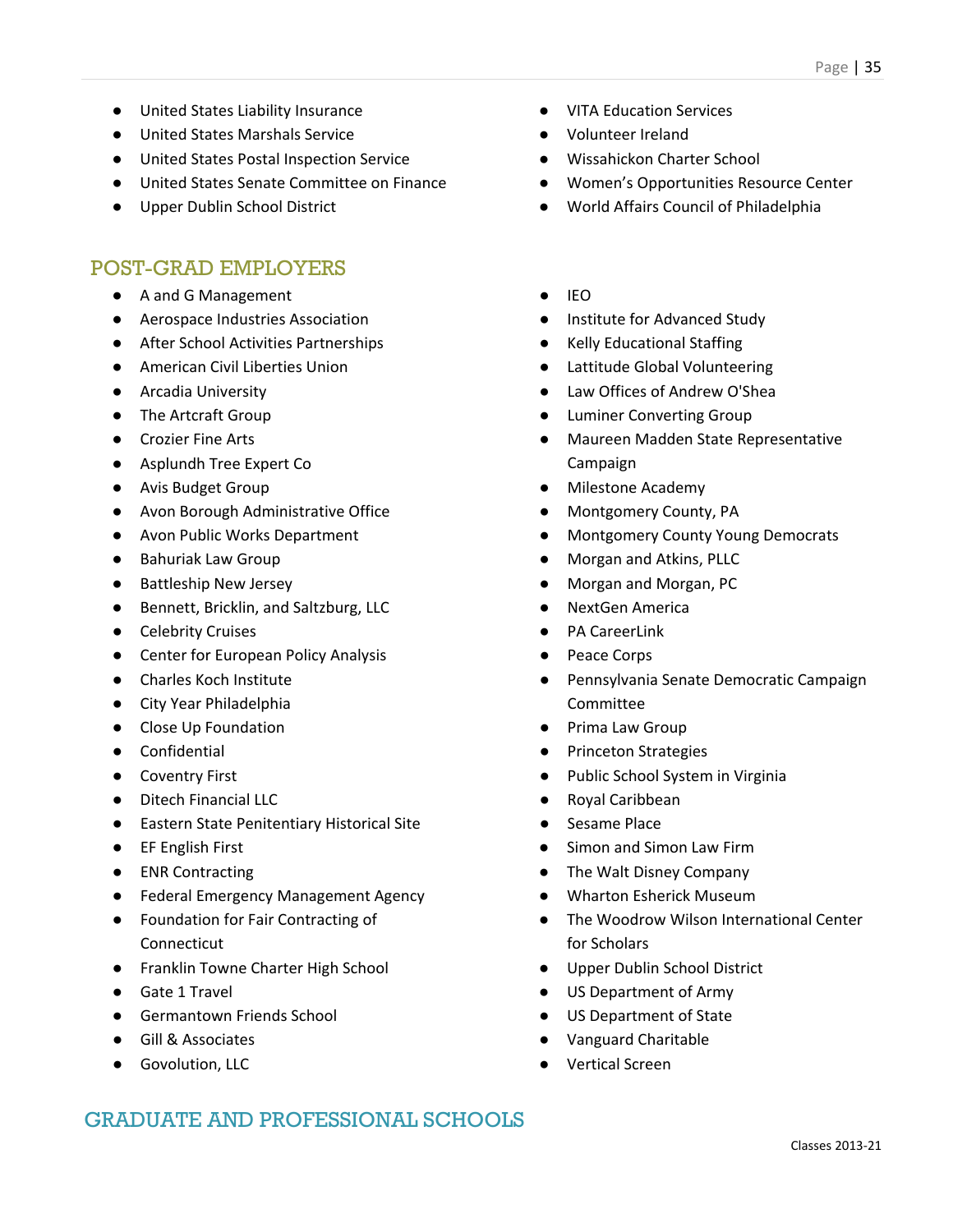- United States Liability Insurance
- United States Marshals Service
- United States Postal Inspection Service
- United States Senate Committee on Finance
- Upper Dublin School District

- A and G Management
- Aerospace Industries Association
- After School Activities Partnerships
- American Civil Liberties Union
- Arcadia University
- The Artcraft Group
- Crozier Fine Arts
- Asplundh Tree Expert Co
- Avis Budget Group
- Avon Borough Administrative Office
- Avon Public Works Department
- Bahuriak Law Group
- Battleship New Jersey
- Bennett, Bricklin, and Saltzburg, LLC
- Celebrity Cruises
- Center for European Policy Analysis
- Charles Koch Institute
- City Year Philadelphia
- Close Up Foundation
- Confidential
- Coventry First
- Ditech Financial LLC
- Eastern State Penitentiary Historical Site
- EF English First
- ENR Contracting
- Federal Emergency Management Agency
- Foundation for Fair Contracting of Connecticut
- Franklin Towne Charter High School
- Gate 1 Travel
- Germantown Friends School
- Gill & Associates
- Govolution, LLC
- **VITA Education Services**
- Volunteer Ireland
- Wissahickon Charter School
- Women's Opportunities Resource Center
- World Affairs Council of Philadelphia
- IEO
- Institute for Advanced Study
- **Kelly Educational Staffing**
- Lattitude Global Volunteering
- Law Offices of Andrew O'Shea
- **Luminer Converting Group**
- Maureen Madden State Representative Campaign
- Milestone Academy
- Montgomery County, PA
- Montgomery County Young Democrats
- Morgan and Atkins, PLLC
- Morgan and Morgan, PC
- **NextGen America**
- PA CareerLink
- Peace Corps
- Pennsylvania Senate Democratic Campaign Committee
- Prima Law Group
- **Princeton Strategies**
- Public School System in Virginia
- Royal Caribbean
- Sesame Place
- Simon and Simon Law Firm
- The Walt Disney Company
- Wharton Esherick Museum
- The Woodrow Wilson International Center for Scholars
- Upper Dublin School District
- US Department of Army
- US Department of State
- Vanguard Charitable
- **Vertical Screen**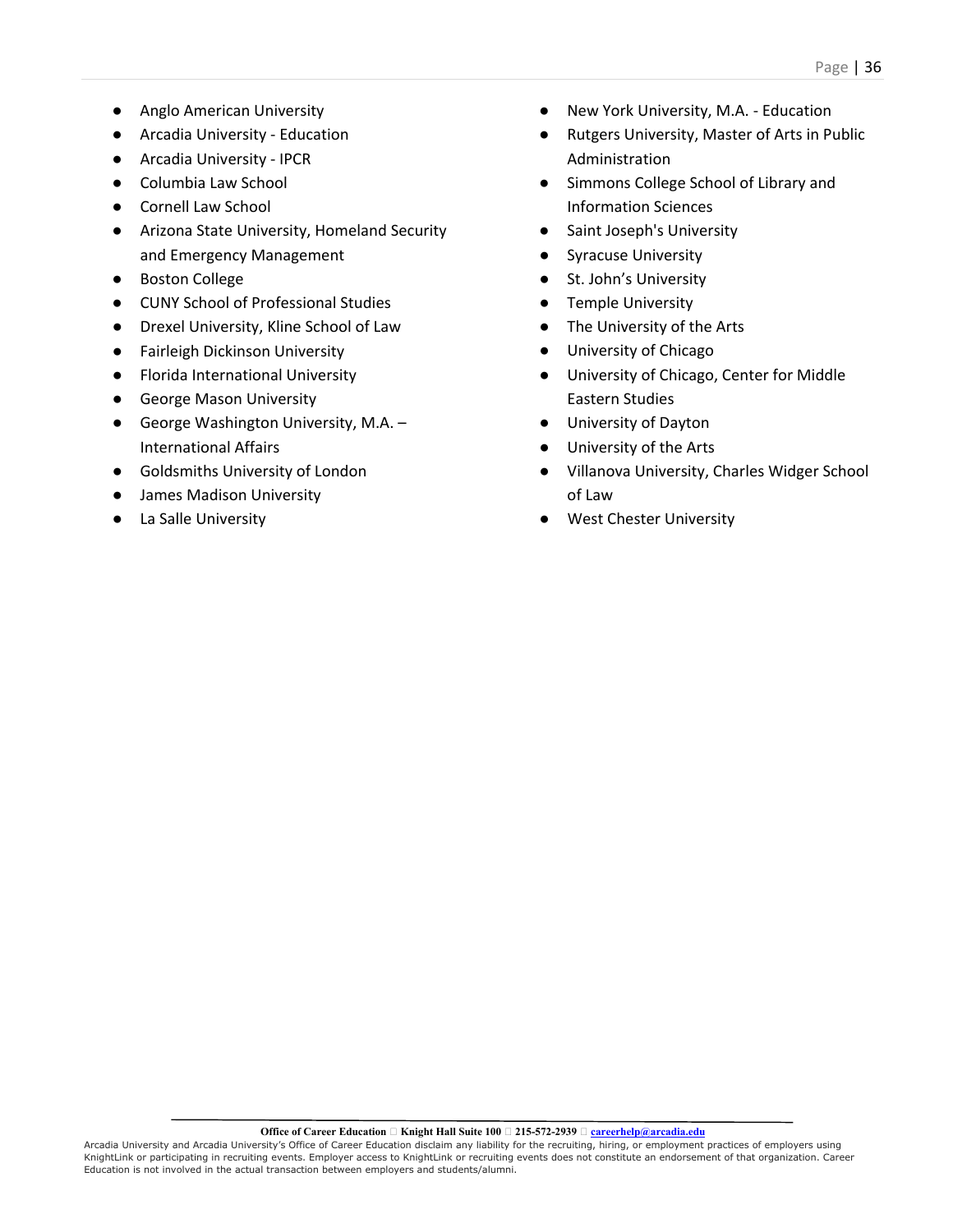- Anglo American University
- Arcadia University Education
- Arcadia University IPCR
- Columbia Law School
- Cornell Law School
- Arizona State University, Homeland Security and Emergency Management
- Boston College
- CUNY School of Professional Studies
- Drexel University, Kline School of Law
- Fairleigh Dickinson University
- **Florida International University**
- George Mason University
- George Washington University, M.A. International Affairs
- Goldsmiths University of London
- James Madison University
- La Salle University
- New York University, M.A. Education
- Rutgers University, Master of Arts in Public Administration
- Simmons College School of Library and Information Sciences
- Saint Joseph's University
- **Syracuse University**
- St. John's University
- Temple University
- The University of the Arts
- University of Chicago
- University of Chicago, Center for Middle Eastern Studies
- University of Dayton
- University of the Arts
- Villanova University, Charles Widger School of Law
- West Chester University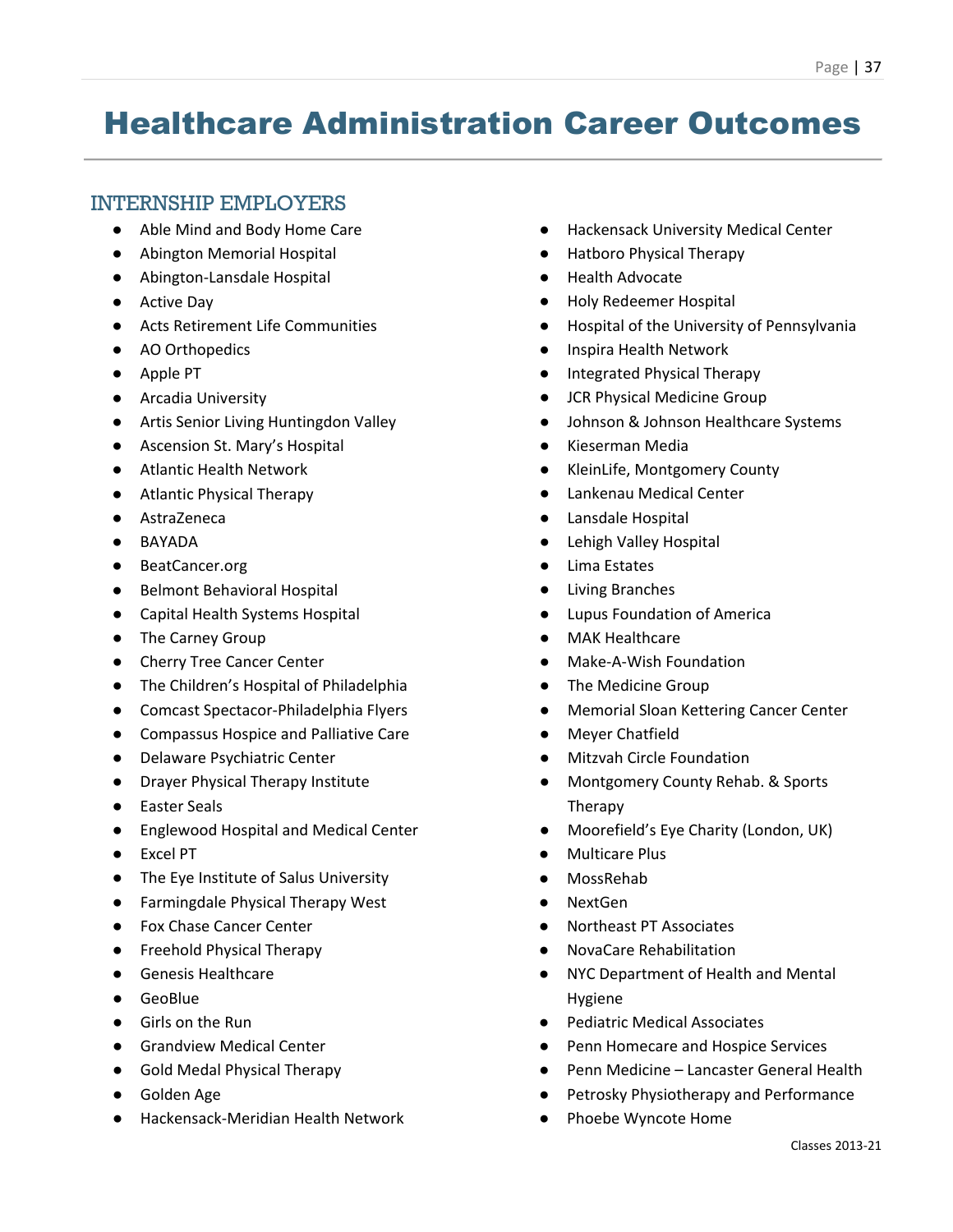### Healthcare Administration Career Outcomes

### INTERNSHIP EMPLOYERS

- Able Mind and Body Home Care
- Abington Memorial Hospital
- Abington-Lansdale Hospital
- Active Day
- Acts Retirement Life Communities
- AO Orthopedics
- Apple PT
- Arcadia University
- Artis Senior Living Huntingdon Valley
- Ascension St. Mary's Hospital
- Atlantic Health Network
- Atlantic Physical Therapy
- AstraZeneca
- BAYADA
- BeatCancer.org
- Belmont Behavioral Hospital
- Capital Health Systems Hospital
- The Carney Group
- Cherry Tree Cancer Center
- The Children's Hospital of Philadelphia
- Comcast Spectacor-Philadelphia Flyers
- Compassus Hospice and Palliative Care
- Delaware Psychiatric Center
- Drayer Physical Therapy Institute
- Easter Seals
- Englewood Hospital and Medical Center
- Excel PT
- The Eye Institute of Salus University
- Farmingdale Physical Therapy West
- Fox Chase Cancer Center
- Freehold Physical Therapy
- Genesis Healthcare
- GeoBlue
- Girls on the Run
- Grandview Medical Center
- Gold Medal Physical Therapy
- Golden Age
- Hackensack-Meridian Health Network
- Hackensack University Medical Center
- Hatboro Physical Therapy
- Health Advocate
- Holy Redeemer Hospital
- Hospital of the University of Pennsylvania
- Inspira Health Network
- Integrated Physical Therapy
- JCR Physical Medicine Group
- Johnson & Johnson Healthcare Systems
- Kieserman Media
- KleinLife, Montgomery County
- Lankenau Medical Center
- Lansdale Hospital
- **Lehigh Valley Hospital**
- Lima Estates
- **Living Branches**
- **Lupus Foundation of America**
- MAK Healthcare
- Make-A-Wish Foundation
- The Medicine Group
- **Memorial Sloan Kettering Cancer Center**
- **Meyer Chatfield**
- **Mitzvah Circle Foundation**
- Montgomery County Rehab. & Sports Therapy
- Moorefield's Eye Charity (London, UK)
- **Multicare Plus**
- **MossRehab**
- NextGen
- Northeast PT Associates
- NovaCare Rehabilitation
- NYC Department of Health and Mental Hygiene
- Pediatric Medical Associates
- Penn Homecare and Hospice Services
- Penn Medicine Lancaster General Health
- Petrosky Physiotherapy and Performance
- Phoebe Wyncote Home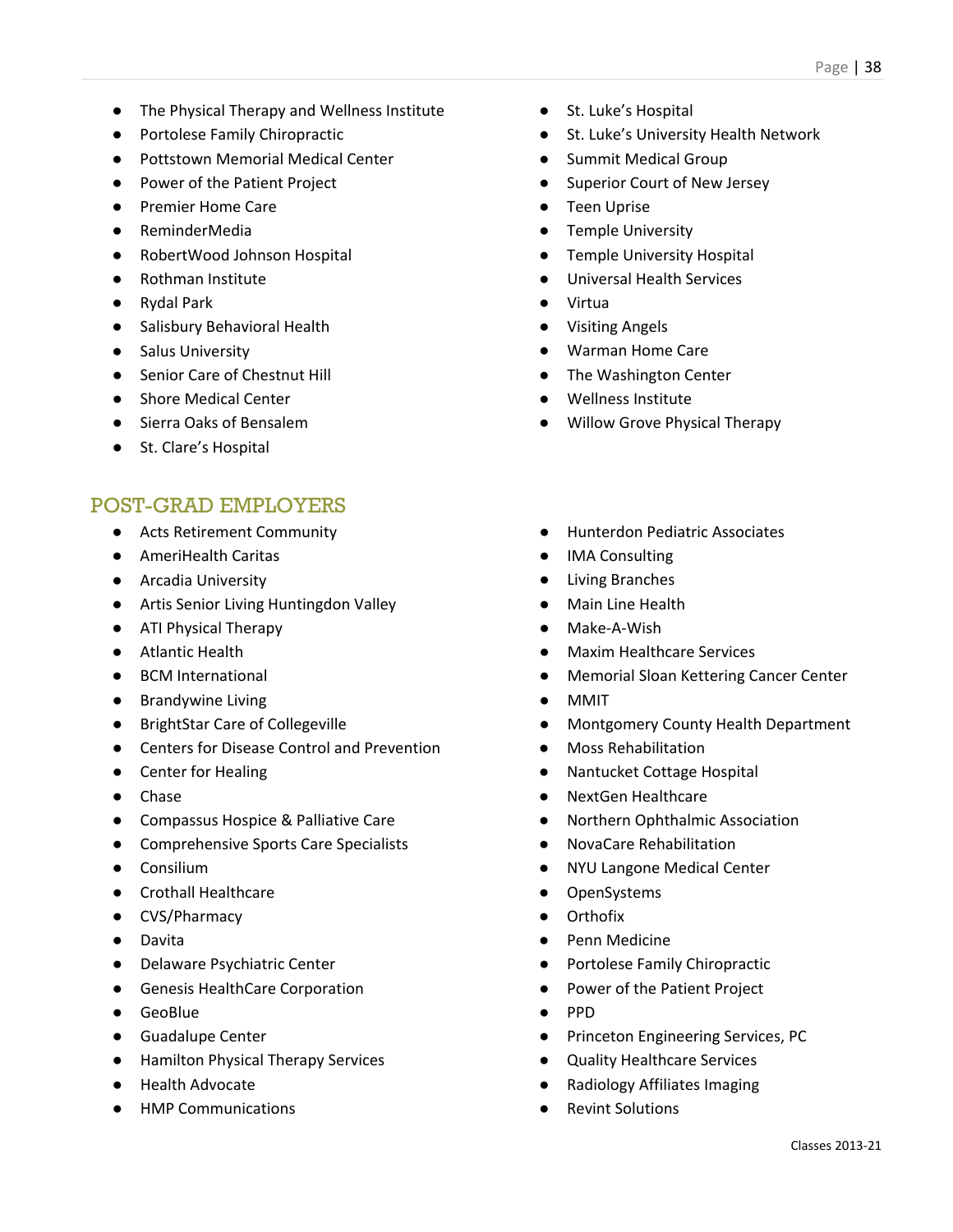- The Physical Therapy and Wellness Institute
- Portolese Family Chiropractic
- Pottstown Memorial Medical Center
- Power of the Patient Project
- Premier Home Care
- ReminderMedia
- RobertWood Johnson Hospital
- Rothman Institute
- Rydal Park
- Salisbury Behavioral Health
- Salus University
- Senior Care of Chestnut Hill
- Shore Medical Center
- Sierra Oaks of Bensalem
- St. Clare's Hospital

- Acts Retirement Community
- AmeriHealth Caritas
- Arcadia University
- Artis Senior Living Huntingdon Valley
- ATI Physical Therapy
- Atlantic Health
- BCM International
- Brandywine Living
- BrightStar Care of Collegeville
- Centers for Disease Control and Prevention
- Center for Healing
- Chase
- Compassus Hospice & Palliative Care
- Comprehensive Sports Care Specialists
- Consilium
- Crothall Healthcare
- CVS/Pharmacy
- Davita
- Delaware Psychiatric Center
- Genesis HealthCare Corporation
- GeoBlue
- Guadalupe Center
- Hamilton Physical Therapy Services
- Health Advocate
- HMP Communications
- St. Luke's Hospital
- St. Luke's University Health Network
- Summit Medical Group
- Superior Court of New Jersey
- Teen Uprise
- Temple University
- Temple University Hospital
- Universal Health Services
- Virtua
- Visiting Angels
- Warman Home Care
- The Washington Center
- Wellness Institute
- Willow Grove Physical Therapy
- Hunterdon Pediatric Associates
- **IMA Consulting**
- **Living Branches**
- **Main Line Health**
- Make-A-Wish
- **Maxim Healthcare Services**
- **Memorial Sloan Kettering Cancer Center**
- MMIT
- Montgomery County Health Department
- Moss Rehabilitation
- Nantucket Cottage Hospital
- NextGen Healthcare
- Northern Ophthalmic Association
- NovaCare Rehabilitation
- **NYU Langone Medical Center**
- OpenSystems
- **Orthofix**
- Penn Medicine
- Portolese Family Chiropractic
- Power of the Patient Project
- PPD
- Princeton Engineering Services, PC
- Quality Healthcare Services
- **Radiology Affiliates Imaging**
- **Revint Solutions**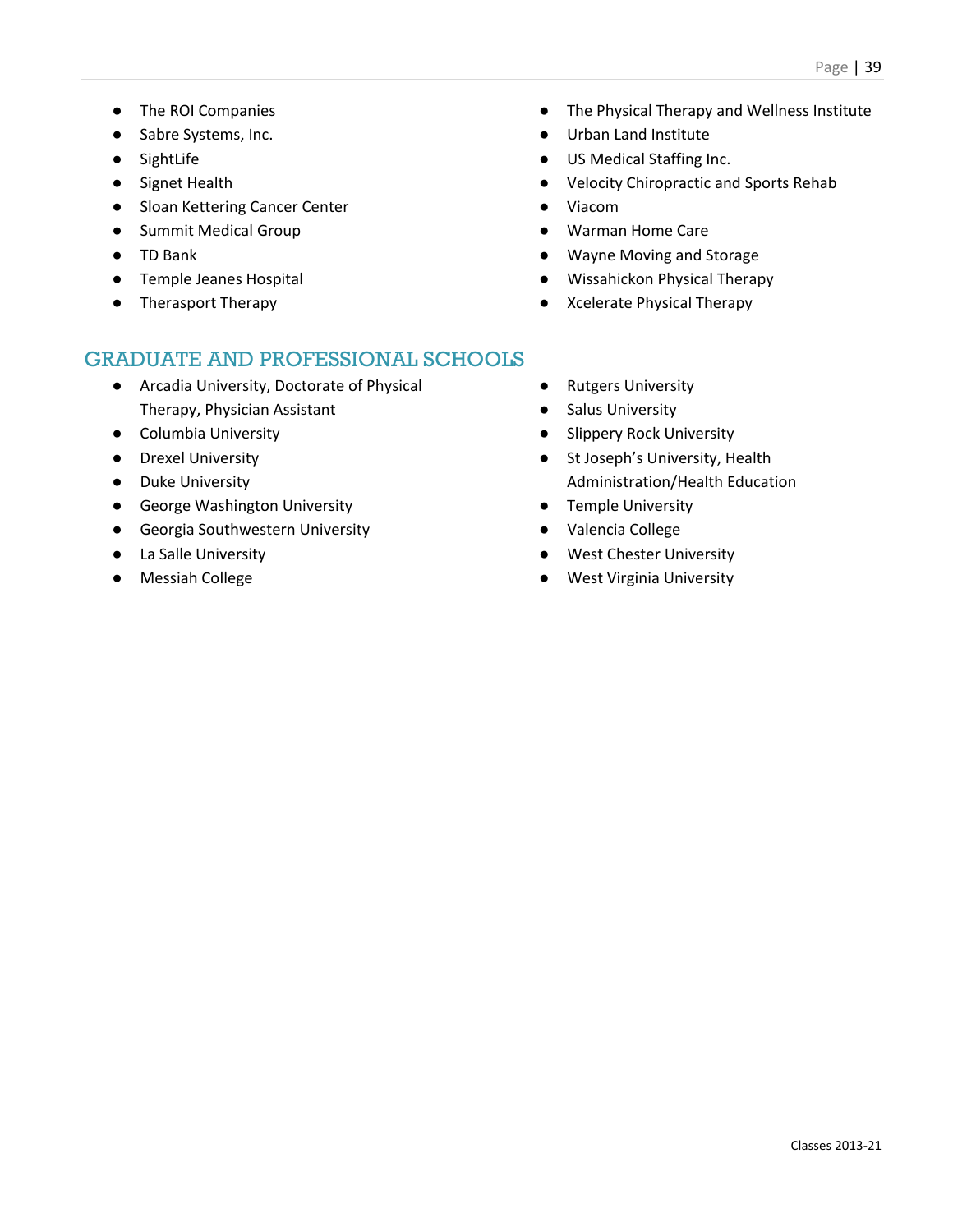- The ROI Companies
- Sabre Systems, Inc.
- SightLife
- Signet Health
- Sloan Kettering Cancer Center
- Summit Medical Group
- TD Bank
- Temple Jeanes Hospital
- Therasport Therapy
- The Physical Therapy and Wellness Institute
- Urban Land Institute
- US Medical Staffing Inc.
- Velocity Chiropractic and Sports Rehab
- Viacom
- Warman Home Care
- Wayne Moving and Storage
- Wissahickon Physical Therapy
- Xcelerate Physical Therapy

- Arcadia University, Doctorate of Physical Therapy, Physician Assistant
- Columbia University
- Drexel University
- Duke University
- George Washington University
- Georgia Southwestern University
- La Salle University
- Messiah College
- Rutgers University
- Salus University
- Slippery Rock University
- St Joseph's University, Health Administration/Health Education
- Temple University
- Valencia College
- West Chester University
- West Virginia University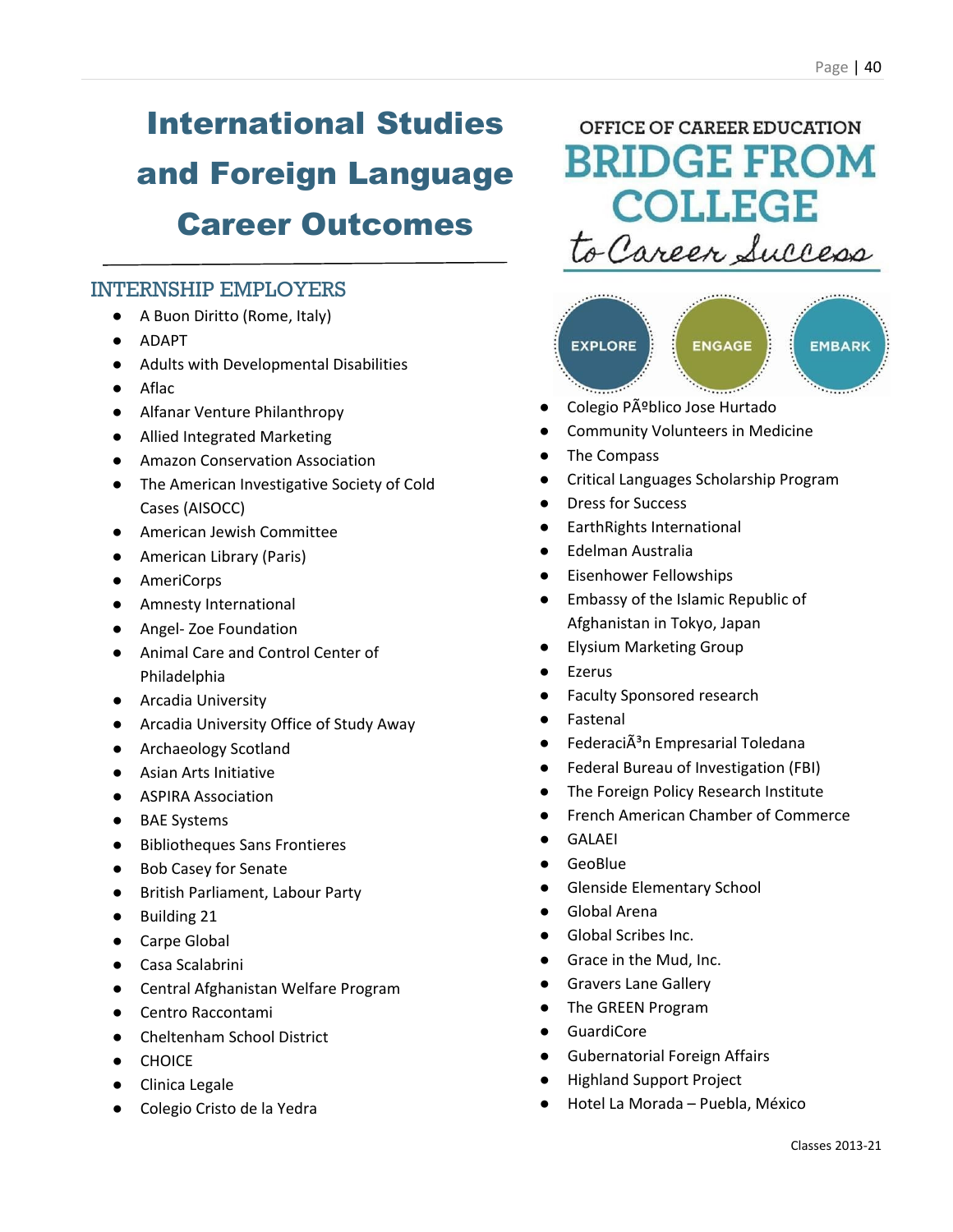# International Studies and Foreign Language Career Outcomes

### INTERNSHIP EMPLOYERS

- A Buon Diritto (Rome, Italy)
- ADAPT
- Adults with Developmental Disabilities
- Aflac
- Alfanar Venture Philanthropy
- Allied Integrated Marketing
- Amazon Conservation Association
- The American Investigative Society of Cold Cases (AISOCC)
- American Jewish Committee
- American Library (Paris)
- AmeriCorps
- Amnesty International
- Angel- Zoe Foundation
- Animal Care and Control Center of Philadelphia
- Arcadia University
- Arcadia University Office of Study Away
- Archaeology Scotland
- Asian Arts Initiative
- ASPIRA Association
- BAE Systems
- Bibliotheques Sans Frontieres
- Bob Casey for Senate
- British Parliament, Labour Party
- Building 21
- Carpe Global
- Casa Scalabrini
- Central Afghanistan Welfare Program
- Centro Raccontami
- Cheltenham School District
- CHOICE
- Clinica Legale
- Colegio Cristo de la Yedra

### OFFICE OF CAREER EDUCATION **BRIDGE FROM COLLEGE** to Career Success



- Colegio Pú blico Jose Hurtado
- Community Volunteers in Medicine
- The Compass
- Critical Languages Scholarship Program
- Dress for Success
- EarthRights International
- Edelman Australia
- **Eisenhower Fellowships**
- Embassy of the Islamic Republic of Afghanistan in Tokyo, Japan
- **Elysium Marketing Group**
- **Ezerus**
- Faculty Sponsored research
- **Fastenal**
- FederaciÃ<sup>3</sup>n Empresarial Toledana
- Federal Bureau of Investigation (FBI)
- The Foreign Policy Research Institute
- French American Chamber of Commerce
- GALAEI
- **GeoBlue**
- Glenside Elementary School
- Global Arena
- Global Scribes Inc.
- Grace in the Mud, Inc.
- **Gravers Lane Gallery**
- The GREEN Program
- **GuardiCore**
- **Gubernatorial Foreign Affairs**
- **Highland Support Project**
- Hotel La Morada Puebla, México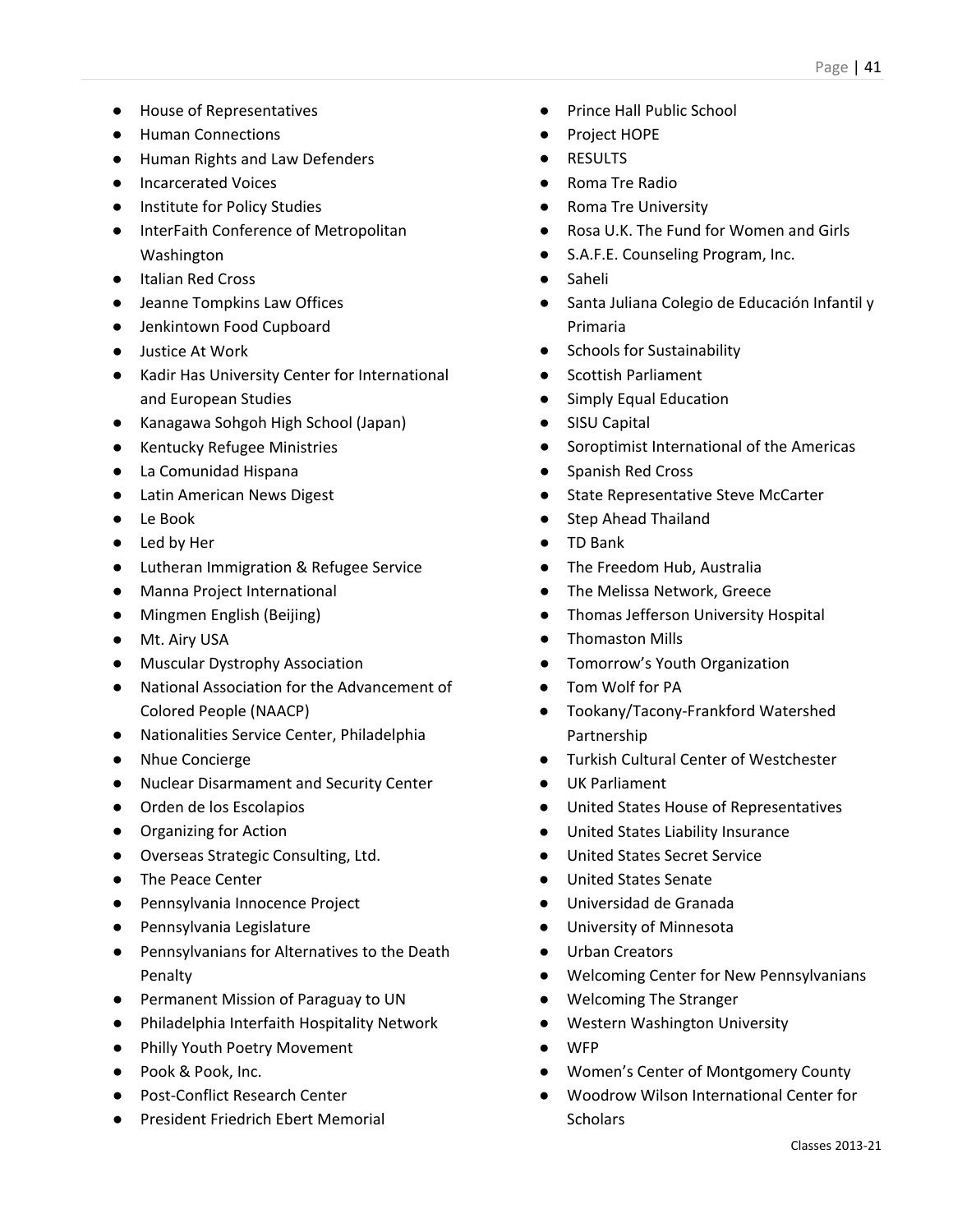- House of Representatives
- Human Connections
- Human Rights and Law Defenders
- Incarcerated Voices
- Institute for Policy Studies
- InterFaith Conference of Metropolitan Washington
- Italian Red Cross
- Jeanne Tompkins Law Offices
- Jenkintown Food Cupboard
- Justice At Work
- Kadir Has University Center for International and European Studies
- Kanagawa Sohgoh High School (Japan)
- Kentucky Refugee Ministries
- La Comunidad Hispana
- Latin American News Digest
- Le Book
- Led by Her
- Lutheran Immigration & Refugee Service
- Manna Project International
- Mingmen English (Beijing)
- Mt. Airy USA
- Muscular Dystrophy Association
- National Association for the Advancement of Colored People (NAACP)
- Nationalities Service Center, Philadelphia
- Nhue Concierge
- Nuclear Disarmament and Security Center
- Orden de los Escolapios
- Organizing for Action
- Overseas Strategic Consulting, Ltd.
- The Peace Center
- Pennsylvania Innocence Project
- Pennsylvania Legislature
- Pennsylvanians for Alternatives to the Death Penalty
- Permanent Mission of Paraguay to UN
- Philadelphia Interfaith Hospitality Network
- Philly Youth Poetry Movement
- Pook & Pook, Inc.
- Post-Conflict Research Center
- President Friedrich Ebert Memorial
- Prince Hall Public School
- Project HOPE
- RESULTS
- Roma Tre Radio
- Roma Tre University
- Rosa U.K. The Fund for Women and Girls
- S.A.F.E. Counseling Program, Inc.
- Saheli
- Santa Juliana Colegio de Educación Infantil y Primaria
- Schools for Sustainability
- Scottish Parliament
- Simply Equal Education
- SISU Capital
- Soroptimist International of the Americas
- Spanish Red Cross
- **State Representative Steve McCarter**
- Step Ahead Thailand
- TD Bank
- The Freedom Hub, Australia
- The Melissa Network, Greece
- Thomas Jefferson University Hospital
- Thomaston Mills
- Tomorrow's Youth Organization
- Tom Wolf for PA
- Tookany/Tacony-Frankford Watershed Partnership
- **Turkish Cultural Center of Westchester**
- UK Parliament
- United States House of Representatives
- United States Liability Insurance
- United States Secret Service
- United States Senate
- Universidad de Granada
- University of Minnesota
- Urban Creators
- Welcoming Center for New Pennsylvanians
- Welcoming The Stranger
- Western Washington University
- **WFP**
- Women's Center of Montgomery County
- Woodrow Wilson International Center for **Scholars**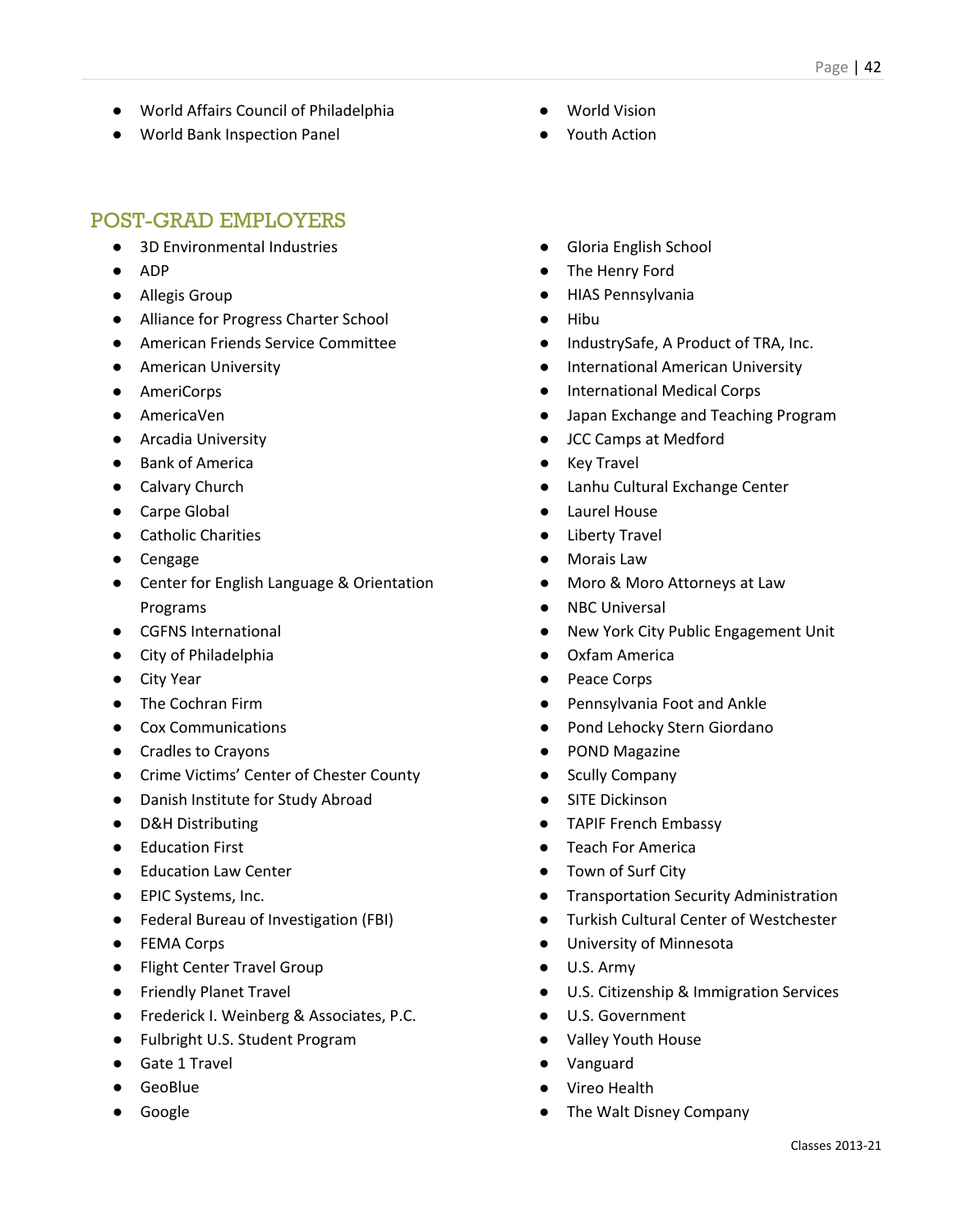- World Affairs Council of Philadelphia
- World Bank Inspection Panel

- 3D Environmental Industries
- ADP
- Allegis Group
- Alliance for Progress Charter School
- American Friends Service Committee
- American University
- AmeriCorps
- AmericaVen
- Arcadia University
- Bank of America
- Calvary Church
- Carpe Global
- Catholic Charities
- Cengage
- Center for English Language & Orientation Programs
- CGFNS International
- City of Philadelphia
- City Year
- The Cochran Firm
- Cox Communications
- Cradles to Crayons
- Crime Victims' Center of Chester County
- Danish Institute for Study Abroad
- D&H Distributing
- Education First
- Education Law Center
- EPIC Systems, Inc.
- Federal Bureau of Investigation (FBI)
- FEMA Corps
- Flight Center Travel Group
- Friendly Planet Travel
- Frederick I. Weinberg & Associates, P.C.
- Fulbright U.S. Student Program
- Gate 1 Travel
- GeoBlue
- **Google**
- **World Vision**
- Youth Action
- Gloria English School
- The Henry Ford
- HIAS Pennsylvania
- Hibu
- IndustrySafe, A Product of TRA, Inc.
- International American University
- International Medical Corps
- Japan Exchange and Teaching Program
- JCC Camps at Medford
- **Key Travel**
- Lanhu Cultural Exchange Center
- Laurel House
- Liberty Travel
- **Morais Law**
- Moro & Moro Attorneys at Law
- **NBC Universal**
- New York City Public Engagement Unit
- Oxfam America
- Peace Corps
- Pennsylvania Foot and Ankle
- Pond Lehocky Stern Giordano
- POND Magazine
- **Scully Company**
- SITE Dickinson
- TAPIF French Embassy
- Teach For America
- Town of Surf City
- Transportation Security Administration
- **Turkish Cultural Center of Westchester**
- University of Minnesota
- U.S. Army
- U.S. Citizenship & Immigration Services
- U.S. Government
- Valley Youth House
- Vanguard
- **Vireo Health**
- The Walt Disney Company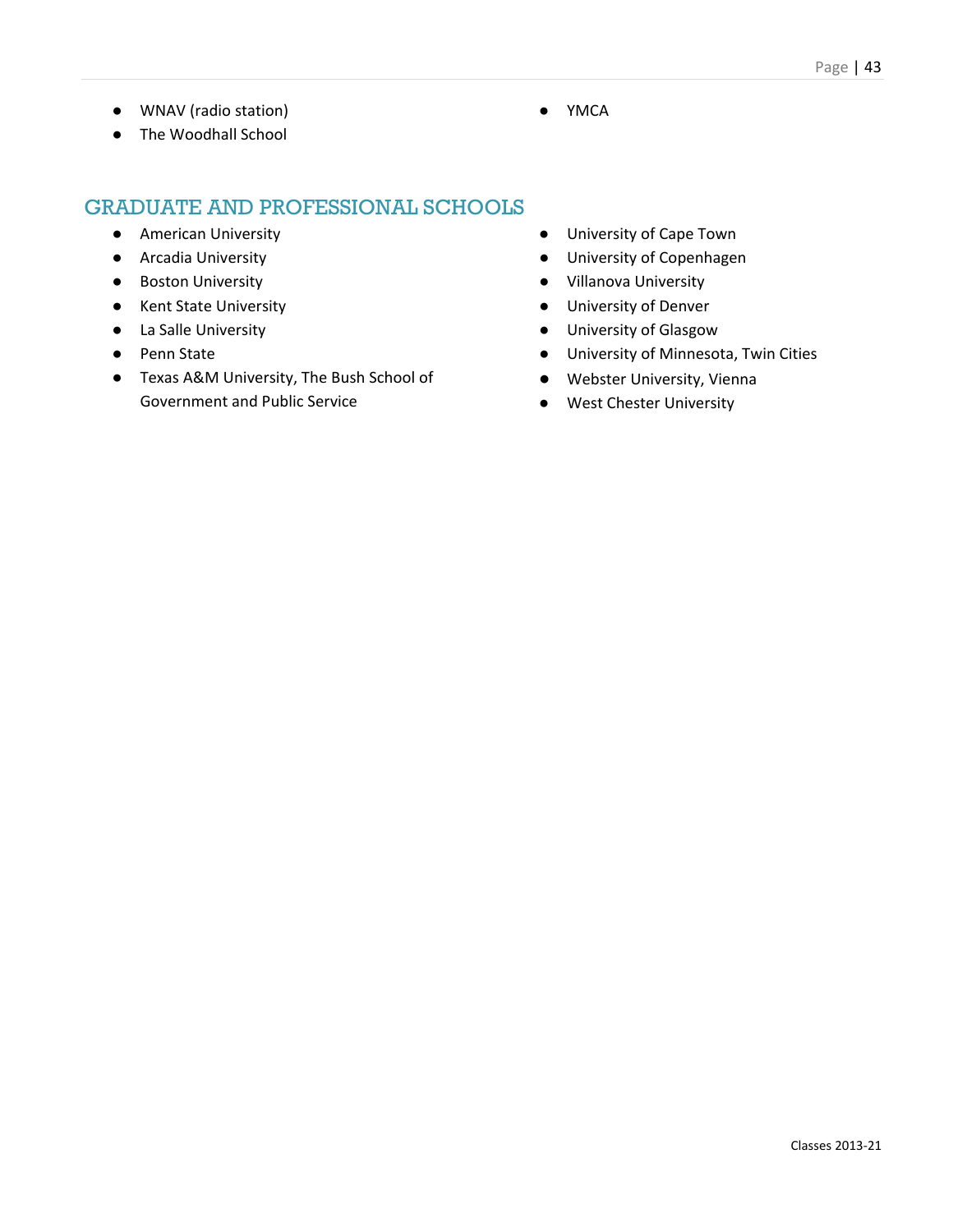● WNAV (radio station)

● YMCA

● The Woodhall School

- American University
- Arcadia University
- Boston University
- Kent State University
- La Salle University
- Penn State
- Texas A&M University, The Bush School of Government and Public Service
- University of Cape Town
- University of Copenhagen
- Villanova University
- University of Denver
- University of Glasgow
- University of Minnesota, Twin Cities
- Webster University, Vienna
- West Chester University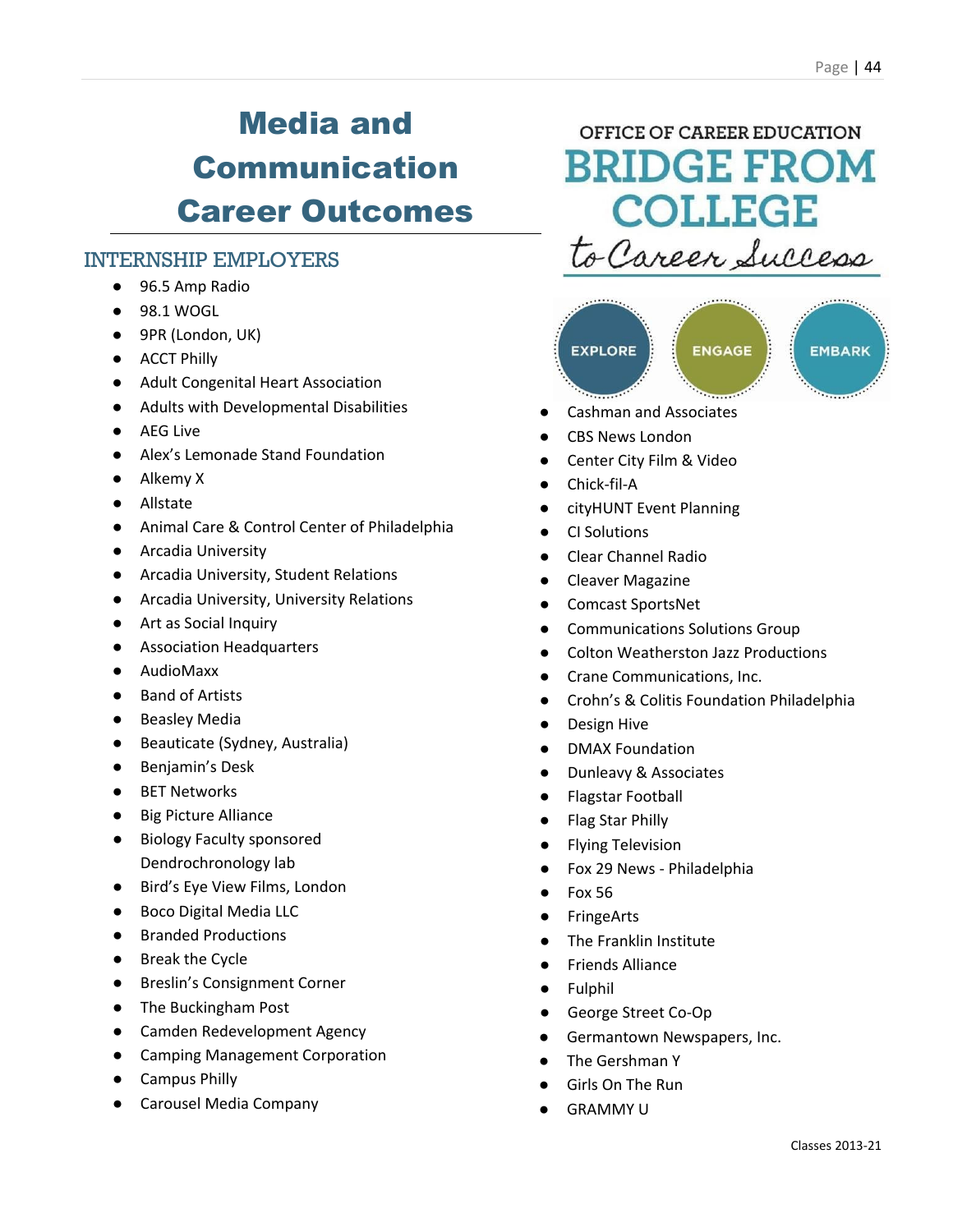# Media and Communication Career Outcomes

### INTERNSHIP EMPLOYERS

- 96.5 Amp Radio
- 98.1 WOGL
- 9PR (London, UK)
- ACCT Philly
- Adult Congenital Heart Association
- Adults with Developmental Disabilities
- AEG Live
- Alex's Lemonade Stand Foundation
- Alkemy X
- Allstate
- Animal Care & Control Center of Philadelphia
- Arcadia University
- Arcadia University, Student Relations
- Arcadia University, University Relations
- Art as Social Inquiry
- Association Headquarters
- AudioMaxx
- Band of Artists
- Beasley Media
- Beauticate (Sydney, Australia)
- Benjamin's Desk
- BET Networks
- Big Picture Alliance
- Biology Faculty sponsored Dendrochronology lab
- Bird's Eye View Films, London
- Boco Digital Media LLC
- Branded Productions
- Break the Cycle
- Breslin's Consignment Corner
- The Buckingham Post
- Camden Redevelopment Agency
- Camping Management Corporation
- Campus Philly
- Carousel Media Company

OFFICE OF CAREER EDUCATION **BRIDGE FROM COLLEGE** to Career Success



- Cashman and Associates
- CBS News London
- Center City Film & Video
- Chick-fil-A
- cityHUNT Event Planning
- **CI Solutions**
- **Clear Channel Radio**
- **Cleaver Magazine**
- Comcast SportsNet
- Communications Solutions Group
- Colton Weatherston Jazz Productions
- Crane Communications, Inc.
- Crohn's & Colitis Foundation Philadelphia
- Design Hive
- DMAX Foundation
- **Dunleavy & Associates**
- **Flagstar Football**
- **Flag Star Philly**
- **Flying Television**
- Fox 29 News Philadelphia
- Fox 56
- **FringeArts**
- The Franklin Institute
- **Friends Alliance**
- Fulphil
- George Street Co-Op
- Germantown Newspapers, Inc.
- The Gershman Y
- Girls On The Run
- **GRAMMY U**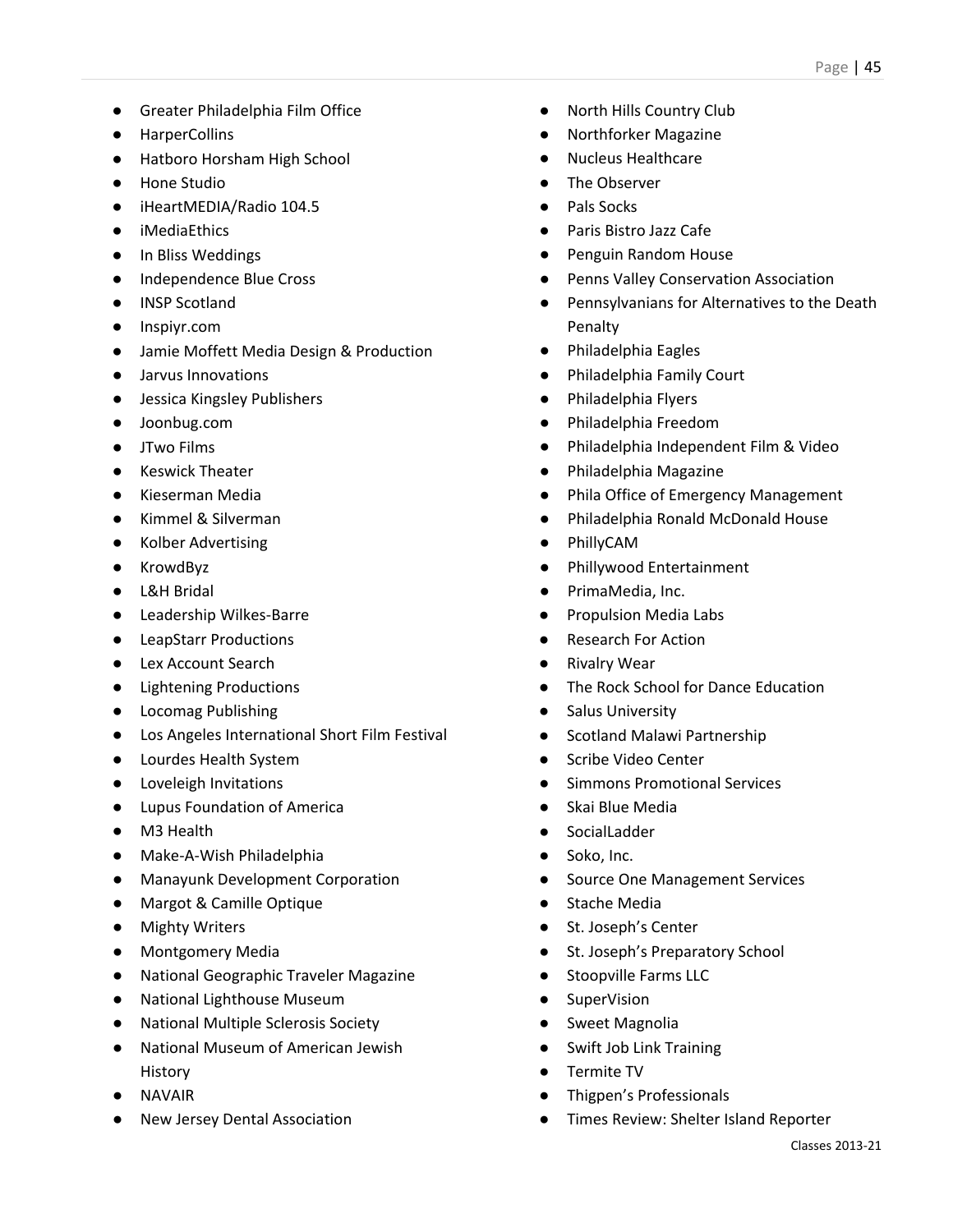- Greater Philadelphia Film Office
- HarperCollins
- Hatboro Horsham High School
- Hone Studio
- iHeartMEDIA/Radio 104.5
- iMediaEthics
- In Bliss Weddings
- Independence Blue Cross
- INSP Scotland
- Inspiyr.com
- Jamie Moffett Media Design & Production
- Jarvus Innovations
- Jessica Kingsley Publishers
- Joonbug.com
- JTwo Films
- Keswick Theater
- Kieserman Media
- Kimmel & Silverman
- Kolber Advertising
- KrowdByz
- L&H Bridal
- Leadership Wilkes-Barre
- LeapStarr Productions
- Lex Account Search
- Lightening Productions
- Locomag Publishing
- Los Angeles International Short Film Festival
- Lourdes Health System
- Loveleigh Invitations
- Lupus Foundation of America
- M3 Health
- Make-A-Wish Philadelphia
- Manayunk Development Corporation
- Margot & Camille Optique
- Mighty Writers
- Montgomery Media
- National Geographic Traveler Magazine
- National Lighthouse Museum
- National Multiple Sclerosis Society
- National Museum of American Jewish History
- NAVAIR
- New Jersey Dental Association
- North Hills Country Club
- Northforker Magazine
- **Nucleus Healthcare**
- The Observer
- Pals Socks
- Paris Bistro Jazz Cafe
- Penguin Random House
- Penns Valley Conservation Association
- Pennsylvanians for Alternatives to the Death Penalty
- Philadelphia Eagles
- Philadelphia Family Court
- Philadelphia Flyers
- Philadelphia Freedom
- Philadelphia Independent Film & Video
- Philadelphia Magazine
- Phila Office of Emergency Management
- Philadelphia Ronald McDonald House
- **PhillyCAM**
- Phillywood Entertainment
- PrimaMedia, Inc.
- **Propulsion Media Labs**
- **Research For Action**
- Rivalry Wear
- The Rock School for Dance Education
- Salus University
- Scotland Malawi Partnership
- Scribe Video Center
- Simmons Promotional Services
- Skai Blue Media
- SocialLadder
- Soko, Inc.
- Source One Management Services
- Stache Media
- St. Joseph's Center
- St. Joseph's Preparatory School
- Stoopville Farms LLC
- SuperVision
- Sweet Magnolia
- Swift Job Link Training
- Termite TV
- Thigpen's Professionals
- Times Review: Shelter Island Reporter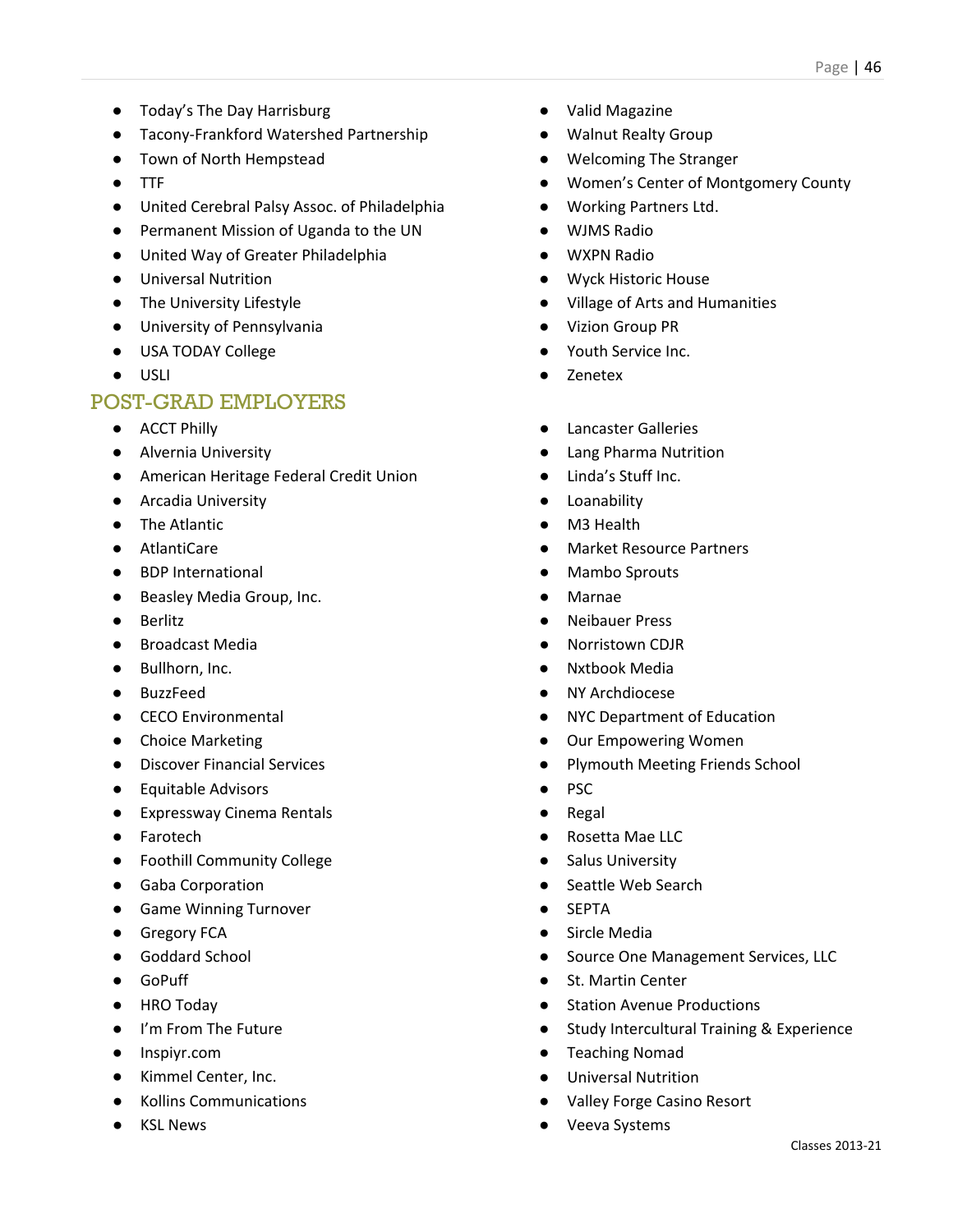- Today's The Day Harrisburg
- Tacony-Frankford Watershed Partnership
- Town of North Hempstead
- TTF
- United Cerebral Palsy Assoc. of Philadelphia
- Permanent Mission of Uganda to the UN
- United Way of Greater Philadelphia
- Universal Nutrition
- The University Lifestyle
- University of Pennsylvania
- USA TODAY College
- USLI

- ACCT Philly
- Alvernia University
- American Heritage Federal Credit Union
- Arcadia University
- The Atlantic
- AtlantiCare
- BDP International
- Beasley Media Group, Inc.
- Berlitz
- Broadcast Media
- Bullhorn, Inc.
- BuzzFeed
- CECO Environmental
- Choice Marketing
- Discover Financial Services
- Equitable Advisors
- Expressway Cinema Rentals
- Farotech
- Foothill Community College
- Gaba Corporation
- Game Winning Turnover
- Gregory FCA
- Goddard School
- GoPuff
- HRO Todav
- I'm From The Future
- Inspiyr.com
- Kimmel Center, Inc.
- Kollins Communications
- KSL News
- Valid Magazine
- Walnut Realty Group
- Welcoming The Stranger
- Women's Center of Montgomery County
- Working Partners Ltd.
- WJMS Radio
- WXPN Radio
- Wyck Historic House
- Village of Arts and Humanities
- **Vizion Group PR**
- Youth Service Inc.
- Zenetex
- **Lancaster Galleries**
- **Lang Pharma Nutrition**
- Linda's Stuff Inc.
- Loanability
- M3 Health
- **Market Resource Partners**
- Mambo Sprouts
- **Marnae**
- **Neibauer Press**
- **Norristown CDJR**
- **Nxtbook Media**
- NY Archdiocese
- **NYC Department of Education**
- Our Empowering Women
- Plymouth Meeting Friends School
- PSC
- **Regal**
- Rosetta Mae LLC
- Salus University
- Seattle Web Search
- **SEPTA**
- Sircle Media
- Source One Management Services, LLC
- St. Martin Center
- Station Avenue Productions
- Study Intercultural Training & Experience
- Teaching Nomad
- Universal Nutrition
- Valley Forge Casino Resort
- Veeva Systems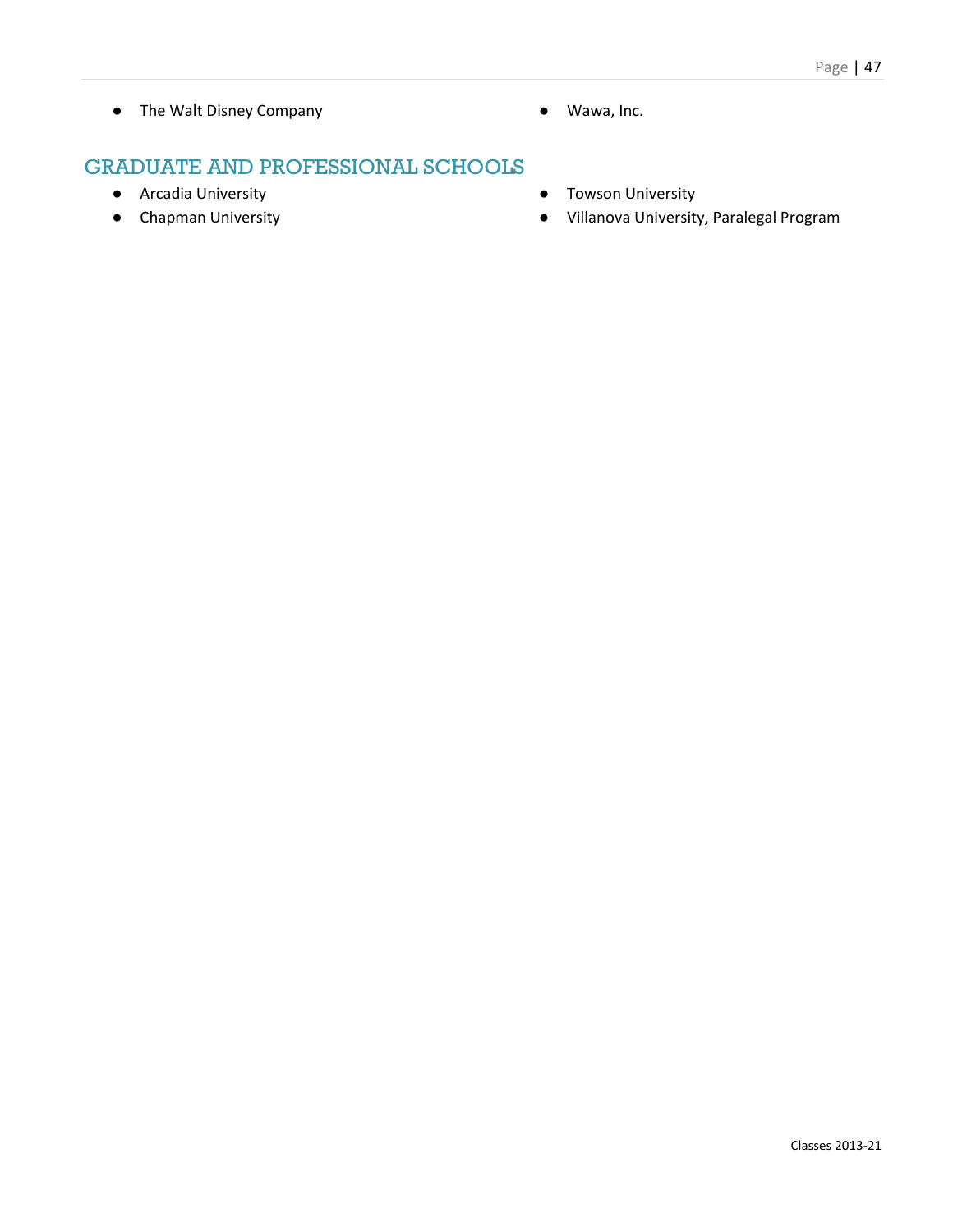- The Walt Disney Company <br>● Wawa, Inc.
	-

- Arcadia University
- Chapman University
- Towson University
- Villanova University, Paralegal Program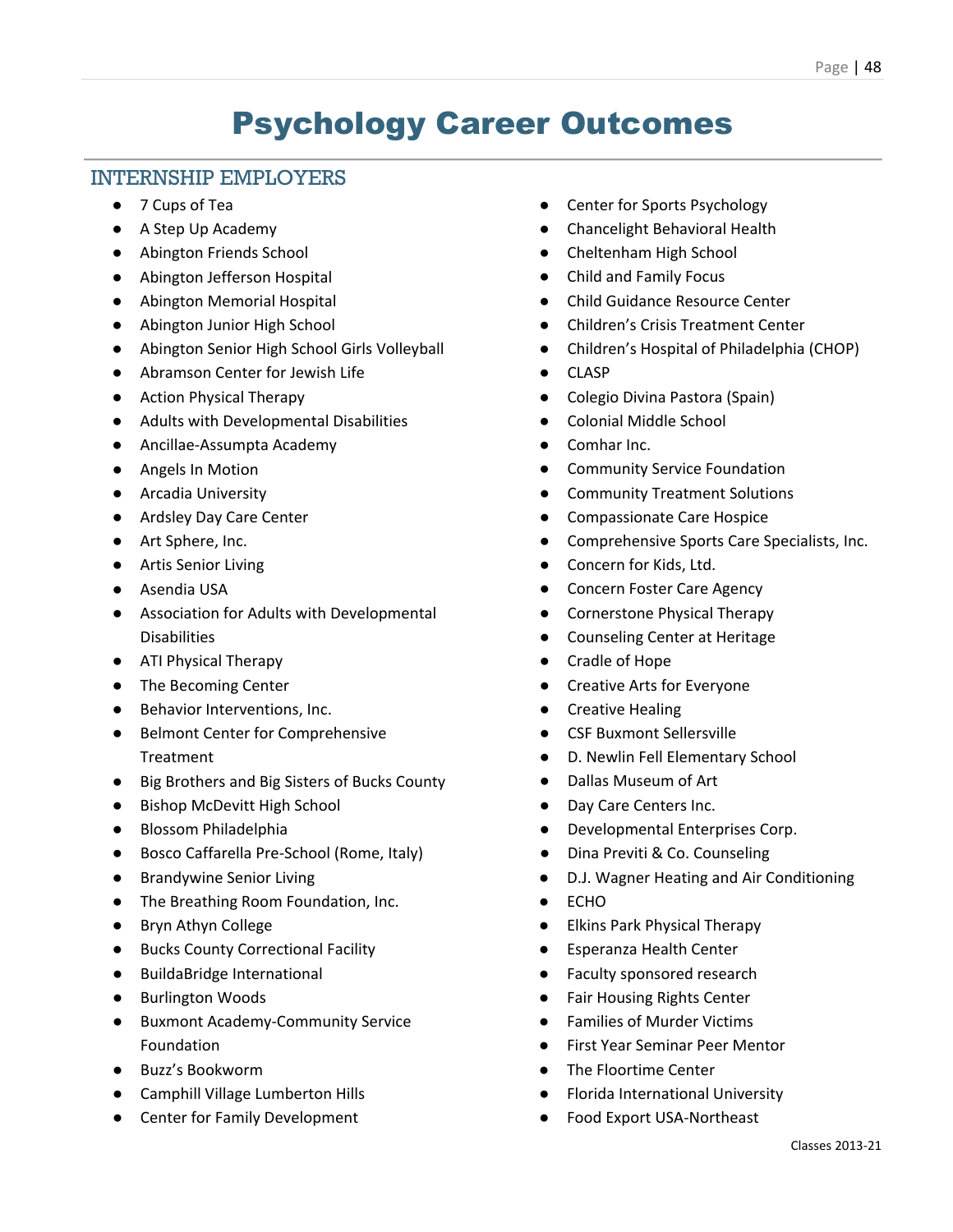### Psychology Career Outcomes

### INTERNSHIP EMPLOYERS

- 7 Cups of Tea
- A Step Up Academy
- Abington Friends School
- Abington Jefferson Hospital
- Abington Memorial Hospital
- Abington Junior High School
- Abington Senior High School Girls Volleyball
- Abramson Center for Jewish Life
- Action Physical Therapy
- Adults with Developmental Disabilities
- Ancillae-Assumpta Academy
- Angels In Motion
- Arcadia University
- Ardsley Day Care Center
- Art Sphere, Inc.
- Artis Senior Living
- Asendia USA
- Association for Adults with Developmental Disabilities
- ATI Physical Therapy
- The Becoming Center
- Behavior Interventions, Inc.
- Belmont Center for Comprehensive Treatment
- Big Brothers and Big Sisters of Bucks County
- Bishop McDevitt High School
- Blossom Philadelphia
- Bosco Caffarella Pre-School (Rome, Italy)
- Brandywine Senior Living
- The Breathing Room Foundation, Inc.
- Bryn Athyn College
- Bucks County Correctional Facility
- BuildaBridge International
- Burlington Woods
- Buxmont Academy-Community Service Foundation
- Buzz's Bookworm
- Camphill Village Lumberton Hills
- Center for Family Development
- Center for Sports Psychology
- Chancelight Behavioral Health
- Cheltenham High School
- Child and Family Focus
- Child Guidance Resource Center
- Children's Crisis Treatment Center
- Children's Hospital of Philadelphia (CHOP)
- CLASP
- Colegio Divina Pastora (Spain)
- Colonial Middle School
- Comhar Inc.
- Community Service Foundation
- **Community Treatment Solutions**
- Compassionate Care Hospice
- Comprehensive Sports Care Specialists, Inc.
- Concern for Kids, Ltd.
- Concern Foster Care Agency
- Cornerstone Physical Therapy
- Counseling Center at Heritage
- Cradle of Hope
- Creative Arts for Everyone
- **Creative Healing**
- CSF Buxmont Sellersville
- D. Newlin Fell Elementary School
- Dallas Museum of Art
- Day Care Centers Inc.
- Developmental Enterprises Corp.
- Dina Previti & Co. Counseling
- D.J. Wagner Heating and Air Conditioning
- ECHO
- Elkins Park Physical Therapy
- Esperanza Health Center
- Faculty sponsored research
- **Fair Housing Rights Center**
- Families of Murder Victims
- **First Year Seminar Peer Mentor**
- The Floortime Center
- **Florida International University**
- Food Export USA-Northeast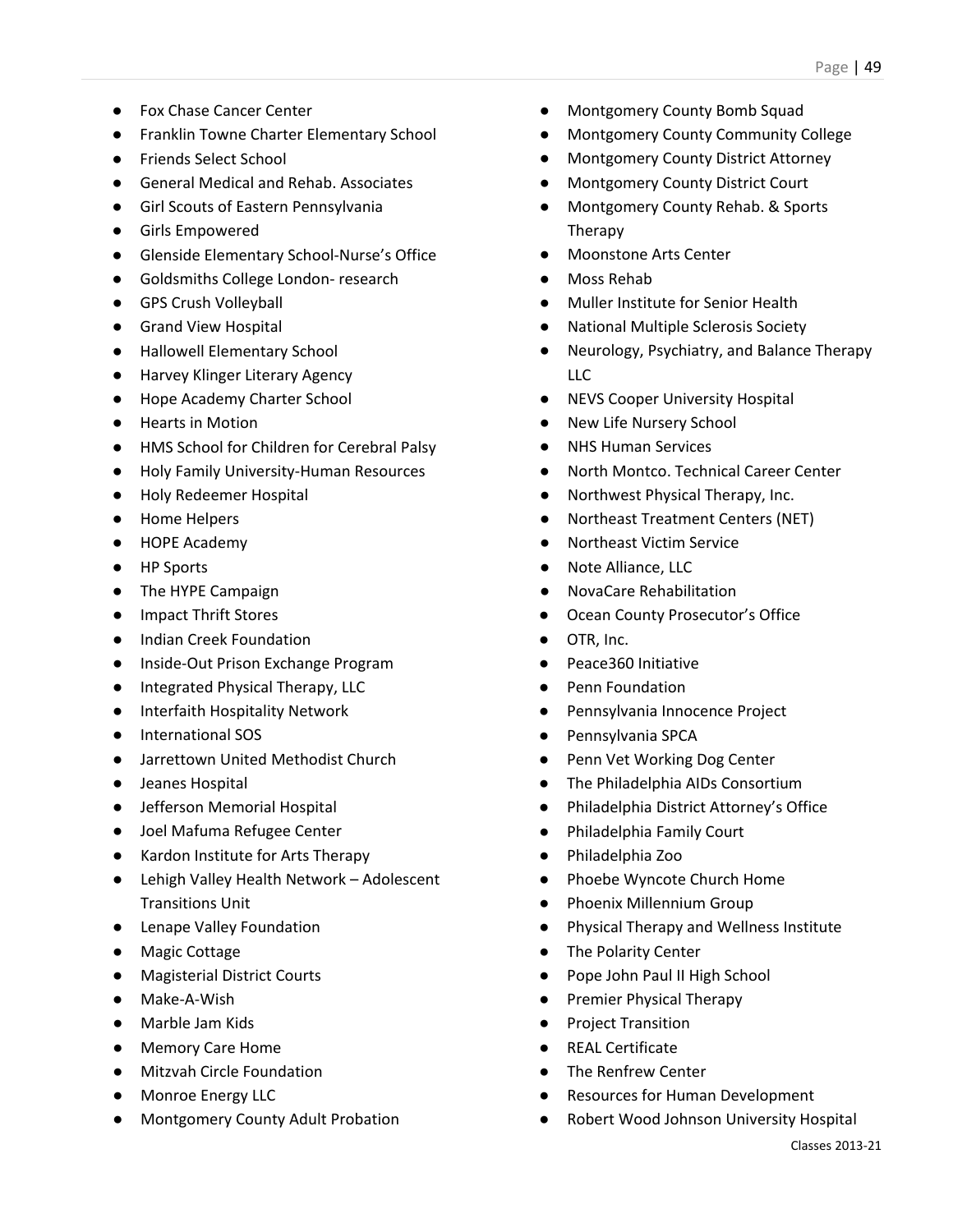- Fox Chase Cancer Center
- Franklin Towne Charter Elementary School
- Friends Select School
- General Medical and Rehab. Associates
- Girl Scouts of Eastern Pennsylvania
- Girls Empowered
- Glenside Elementary School-Nurse's Office
- Goldsmiths College London- research
- GPS Crush Volleyball
- Grand View Hospital
- Hallowell Elementary School
- Harvey Klinger Literary Agency
- Hope Academy Charter School
- Hearts in Motion
- HMS School for Children for Cerebral Palsy
- Holy Family University-Human Resources
- Holy Redeemer Hospital
- Home Helpers
- HOPE Academy
- HP Sports
- The HYPE Campaign
- Impact Thrift Stores
- Indian Creek Foundation
- Inside-Out Prison Exchange Program
- Integrated Physical Therapy, LLC
- Interfaith Hospitality Network
- International SOS
- Jarrettown United Methodist Church
- Jeanes Hospital
- Jefferson Memorial Hospital
- Joel Mafuma Refugee Center
- Kardon Institute for Arts Therapy
- Lehigh Valley Health Network Adolescent Transitions Unit
- Lenape Valley Foundation
- Magic Cottage
- Magisterial District Courts
- Make-A-Wish
- Marble Jam Kids
- Memory Care Home
- Mitzvah Circle Foundation
- Monroe Energy LLC
- Montgomery County Adult Probation
- Montgomery County Bomb Squad
- Montgomery County Community College
- **Montgomery County District Attorney**
- Montgomery County District Court
- Montgomery County Rehab. & Sports Therapy
- Moonstone Arts Center
- Moss Rehab
- Muller Institute for Senior Health
- **National Multiple Sclerosis Society**
- Neurology, Psychiatry, and Balance Therapy LLC
- NEVS Cooper University Hospital
- New Life Nursery School
- **NHS Human Services**
- North Montco. Technical Career Center
- Northwest Physical Therapy, Inc.
- Northeast Treatment Centers (NET)
- **Northeast Victim Service**
- Note Alliance, LLC
- NovaCare Rehabilitation
- Ocean County Prosecutor's Office
- OTR, Inc.
- Peace360 Initiative
- Penn Foundation
- Pennsylvania Innocence Project
- Pennsylvania SPCA
- Penn Vet Working Dog Center
- The Philadelphia AIDs Consortium
- Philadelphia District Attorney's Office
- Philadelphia Family Court
- Philadelphia Zoo
- Phoebe Wyncote Church Home
- Phoenix Millennium Group
- Physical Therapy and Wellness Institute
- The Polarity Center
- Pope John Paul II High School
- Premier Physical Therapy
- Project Transition
- **REAL Certificate**
- The Renfrew Center
- Resources for Human Development
- Robert Wood Johnson University Hospital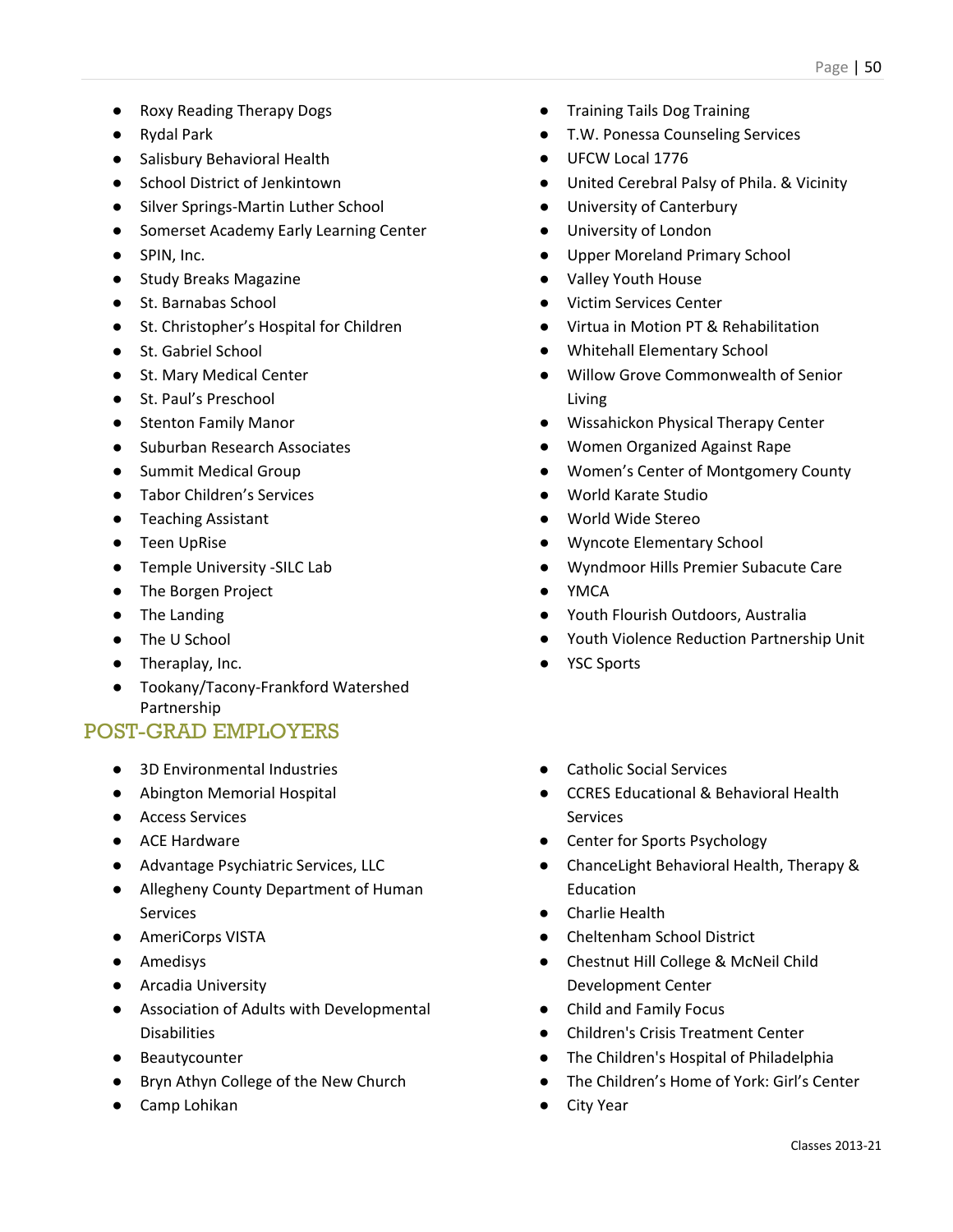- Roxy Reading Therapy Dogs
- Rydal Park
- Salisbury Behavioral Health
- School District of Jenkintown
- Silver Springs-Martin Luther School
- Somerset Academy Early Learning Center
- SPIN, Inc.
- Study Breaks Magazine
- St. Barnabas School
- St. Christopher's Hospital for Children
- St. Gabriel School
- St. Mary Medical Center
- St. Paul's Preschool
- Stenton Family Manor
- Suburban Research Associates
- Summit Medical Group
- Tabor Children's Services
- Teaching Assistant
- Teen UpRise
- Temple University -SILC Lab
- The Borgen Project
- The Landing
- The U School
- Theraplay, Inc.
- Tookany/Tacony-Frankford Watershed Partnership

- 3D Environmental Industries
- Abington Memorial Hospital
- Access Services
- ACE Hardware
- Advantage Psychiatric Services, LLC
- Allegheny County Department of Human Services
- AmeriCorps VISTA
- Amedisys
- Arcadia University
- Association of Adults with Developmental Disabilities
- Beautycounter
- Bryn Athyn College of the New Church
- Camp Lohikan
- Training Tails Dog Training
- T.W. Ponessa Counseling Services
- UFCW Local 1776
- United Cerebral Palsy of Phila. & Vicinity
- University of Canterbury
- University of London
- Upper Moreland Primary School
- Valley Youth House
- Victim Services Center
- Virtua in Motion PT & Rehabilitation
- Whitehall Elementary School
- Willow Grove Commonwealth of Senior Living
- Wissahickon Physical Therapy Center
- Women Organized Against Rape
- Women's Center of Montgomery County
- World Karate Studio
- World Wide Stereo
- Wyncote Elementary School
- Wyndmoor Hills Premier Subacute Care
- **YMCA**
- Youth Flourish Outdoors, Australia
- Youth Violence Reduction Partnership Unit
- YSC Sports
- Catholic Social Services
- CCRES Educational & Behavioral Health Services
- Center for Sports Psychology
- ChanceLight Behavioral Health, Therapy & Education
- Charlie Health
- Cheltenham School District
- Chestnut Hill College & McNeil Child Development Center
- Child and Family Focus
- Children's Crisis Treatment Center
- The Children's Hospital of Philadelphia
- The Children's Home of York: Girl's Center
- City Year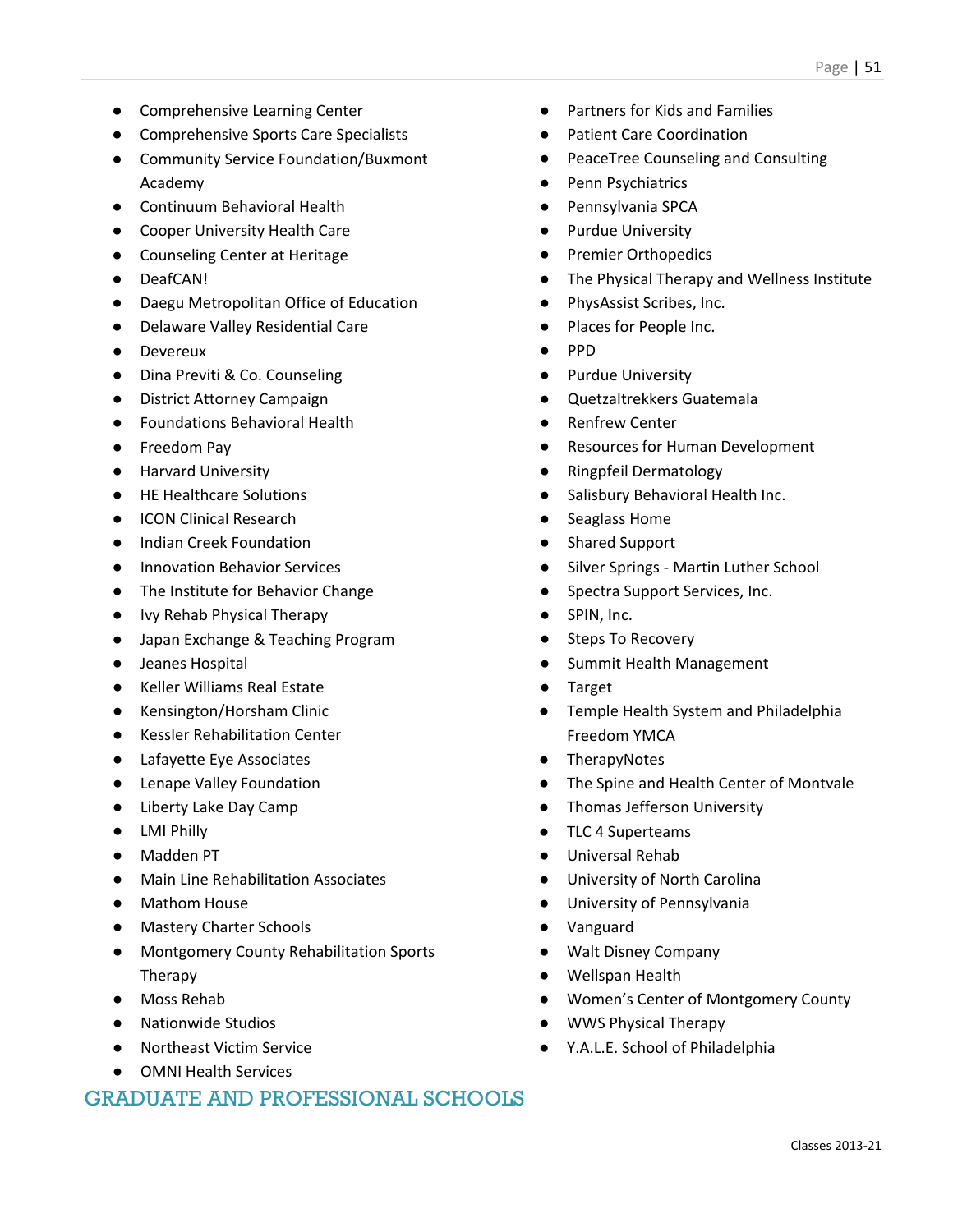- Comprehensive Learning Center
- Comprehensive Sports Care Specialists
- Community Service Foundation/Buxmont Academy
- Continuum Behavioral Health
- Cooper University Health Care
- Counseling Center at Heritage
- DeafCAN!
- Daegu Metropolitan Office of Education
- Delaware Valley Residential Care
- Devereux
- Dina Previti & Co. Counseling
- District Attorney Campaign
- Foundations Behavioral Health
- Freedom Pav
- Harvard University
- HE Healthcare Solutions
- ICON Clinical Research
- **Indian Creek Foundation**
- **Innovation Behavior Services**
- The Institute for Behavior Change
- Ivy Rehab Physical Therapy
- Japan Exchange & Teaching Program
- Jeanes Hospital
- Keller Williams Real Estate
- Kensington/Horsham Clinic
- Kessler Rehabilitation Center
- Lafayette Eye Associates
- Lenape Valley Foundation
- Liberty Lake Day Camp
- LMI Philly
- Madden PT
- Main Line Rehabilitation Associates
- Mathom House
- Mastery Charter Schools
- Montgomery County Rehabilitation Sports Therapy
- Moss Rehab
- Nationwide Studios
- Northeast Victim Service
- OMNI Health Services

- Partners for Kids and Families
- Patient Care Coordination
- PeaceTree Counseling and Consulting
- Penn Psychiatrics
- Pennsylvania SPCA
- Purdue University
- Premier Orthopedics
- The Physical Therapy and Wellness Institute
- PhysAssist Scribes, Inc.
- Places for People Inc.
- PPD
- Purdue University
- Quetzaltrekkers Guatemala
- **Renfrew Center**
- **Resources for Human Development**
- Ringpfeil Dermatology
- Salisbury Behavioral Health Inc.
- Seaglass Home
- **Shared Support**
- Silver Springs Martin Luther School
- Spectra Support Services, Inc.
- SPIN, Inc.
- Steps To Recovery
- Summit Health Management
- **Target**
- Temple Health System and Philadelphia Freedom YMCA
- TherapyNotes
- The Spine and Health Center of Montvale
- Thomas Jefferson University
- TLC 4 Superteams
- Universal Rehab
- University of North Carolina
- University of Pennsylvania
- Vanguard
- Walt Disney Company
- Wellspan Health
- Women's Center of Montgomery County
- WWS Physical Therapy
- Y.A.L.E. School of Philadelphia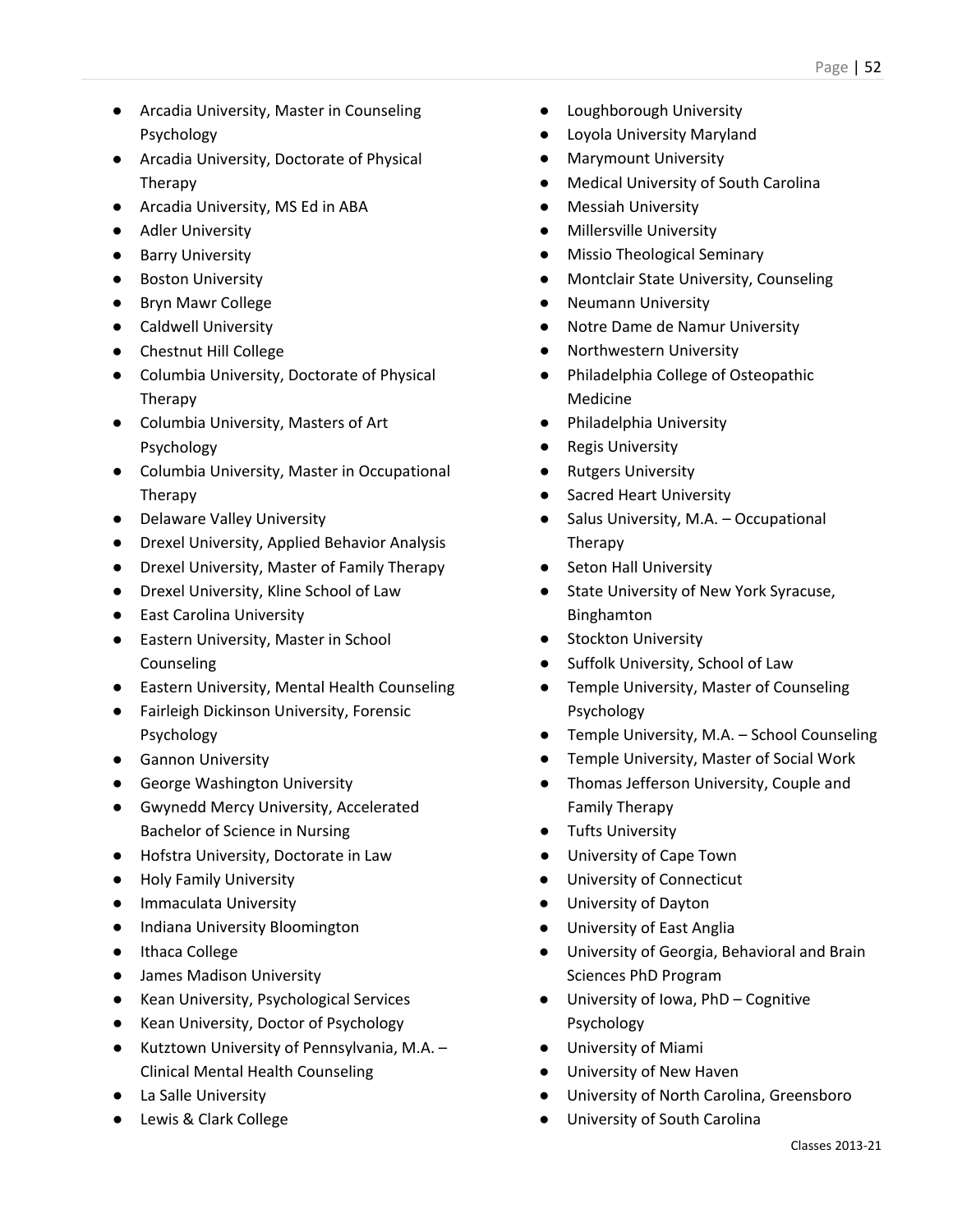- Arcadia University, Master in Counseling Psychology
- Arcadia University, Doctorate of Physical Therapy
- Arcadia University, MS Ed in ABA
- Adler University
- Barry University
- Boston University
- Bryn Mawr College
- Caldwell University
- Chestnut Hill College
- Columbia University, Doctorate of Physical Therapy
- Columbia University, Masters of Art Psychology
- Columbia University, Master in Occupational Therapy
- Delaware Valley University
- Drexel University, Applied Behavior Analysis
- Drexel University, Master of Family Therapy
- Drexel University, Kline School of Law
- East Carolina University
- Eastern University, Master in School Counseling
- Eastern University, Mental Health Counseling
- Fairleigh Dickinson University, Forensic Psychology
- Gannon University
- George Washington University
- Gwynedd Mercy University, Accelerated Bachelor of Science in Nursing
- Hofstra University, Doctorate in Law
- Holy Family University
- Immaculata University
- Indiana University Bloomington
- Ithaca College
- James Madison University
- Kean University, Psychological Services
- Kean University, Doctor of Psychology
- Kutztown University of Pennsylvania, M.A. Clinical Mental Health Counseling
- La Salle University
- Lewis & Clark College
- Loughborough University
- Loyola University Maryland
- **Marymount University**
- **Medical University of South Carolina**
- Messiah University
- **Millersville University**
- **Missio Theological Seminary**
- Montclair State University, Counseling
- **Neumann University**
- Notre Dame de Namur University
- Northwestern University
- Philadelphia College of Osteopathic Medicine
- Philadelphia University
- **Regis University**
- Rutgers University
- Sacred Heart University
- Salus University, M.A. Occupational Therapy
- Seton Hall University
- State University of New York Syracuse, Binghamton
- Stockton University
- Suffolk University, School of Law
- Temple University, Master of Counseling Psychology
- Temple University, M.A. School Counseling
- Temple University, Master of Social Work
- Thomas Jefferson University, Couple and Family Therapy
- Tufts University
- University of Cape Town
- University of Connecticut
- University of Dayton
- University of East Anglia
- University of Georgia, Behavioral and Brain Sciences PhD Program
- University of Iowa, PhD Cognitive Psychology
- University of Miami
- University of New Haven
- University of North Carolina, Greensboro
- University of South Carolina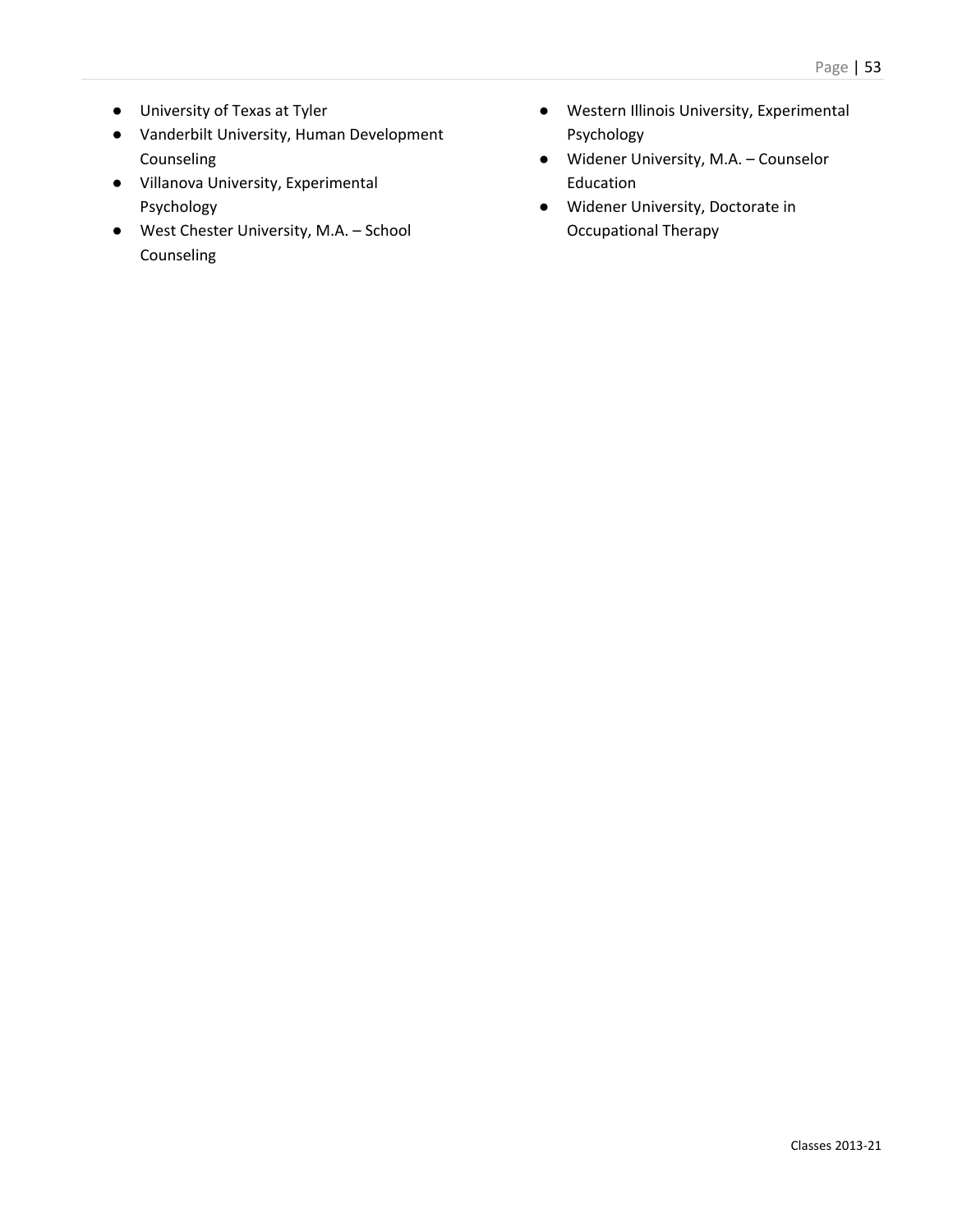- University of Texas at Tyler
- Vanderbilt University, Human Development Counseling
- Villanova University, Experimental Psychology
- West Chester University, M.A. School Counseling
- Western Illinois University, Experimental Psychology
- Widener University, M.A. Counselor Education
- Widener University, Doctorate in Occupational Therapy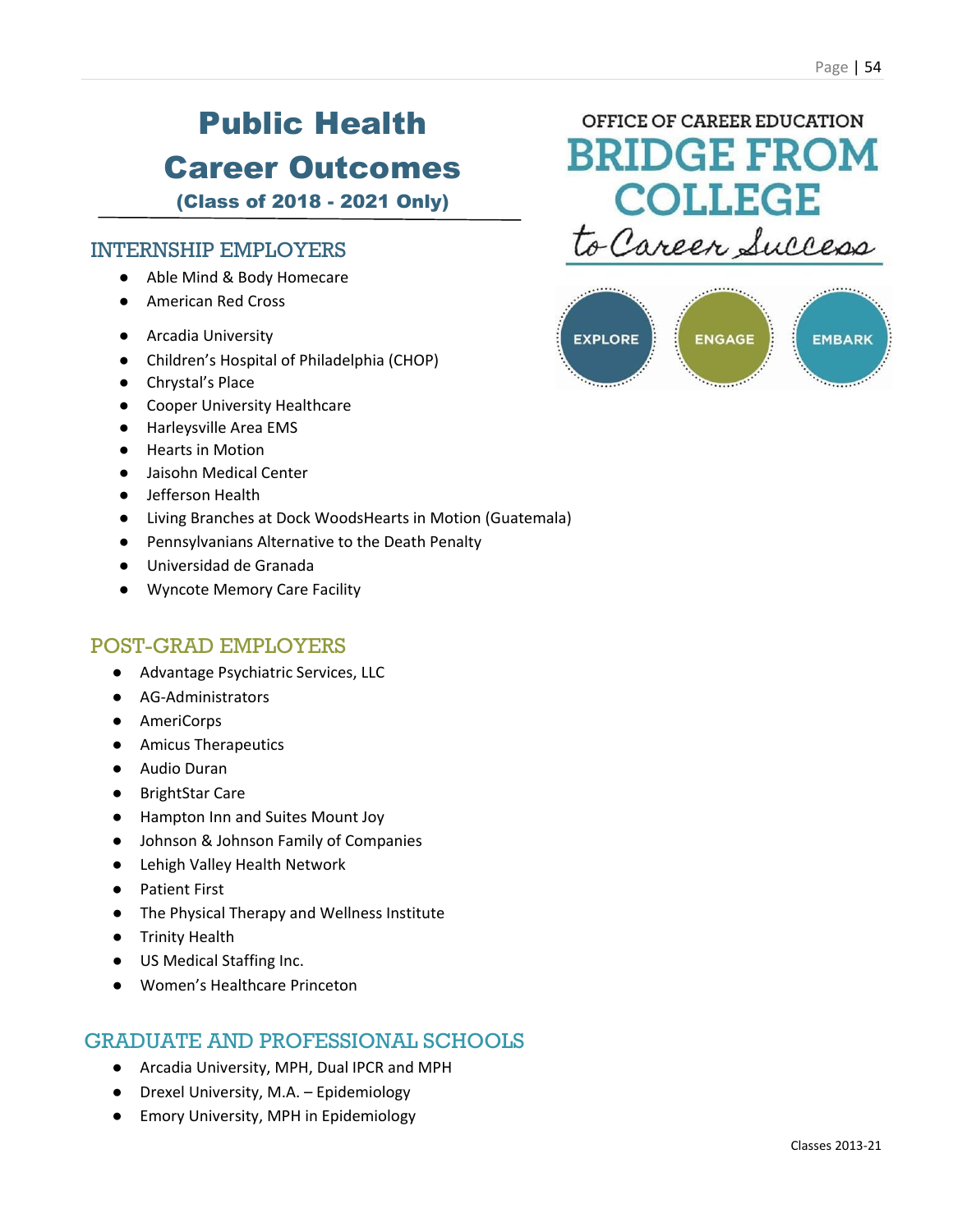# Public Health Career Outcomes

(Class of 2018 - 2021 Only)

### INTERNSHIP EMPLOYERS

- Able Mind & Body Homecare
- American Red Cross
- Arcadia University
- Children's Hospital of Philadelphia (CHOP)
- Chrystal's Place
- Cooper University Healthcare
- Harleysville Area EMS
- Hearts in Motion
- Jaisohn Medical Center
- Jefferson Health
- Living Branches at Dock WoodsHearts in Motion (Guatemala)
- Pennsylvanians Alternative to the Death Penalty
- Universidad de Granada
- Wyncote Memory Care Facility

#### POST-GRAD EMPLOYERS

- Advantage Psychiatric Services, LLC
- AG-Administrators
- AmeriCorps
- Amicus Therapeutics
- Audio Duran
- BrightStar Care
- Hampton Inn and Suites Mount Joy
- Johnson & Johnson Family of Companies
- Lehigh Valley Health Network
- Patient First
- The Physical Therapy and Wellness Institute
- Trinity Health
- US Medical Staffing Inc.
- Women's Healthcare Princeton

- Arcadia University, MPH, Dual IPCR and MPH
- Drexel University, M.A. Epidemiology
- Emory University, MPH in Epidemiology



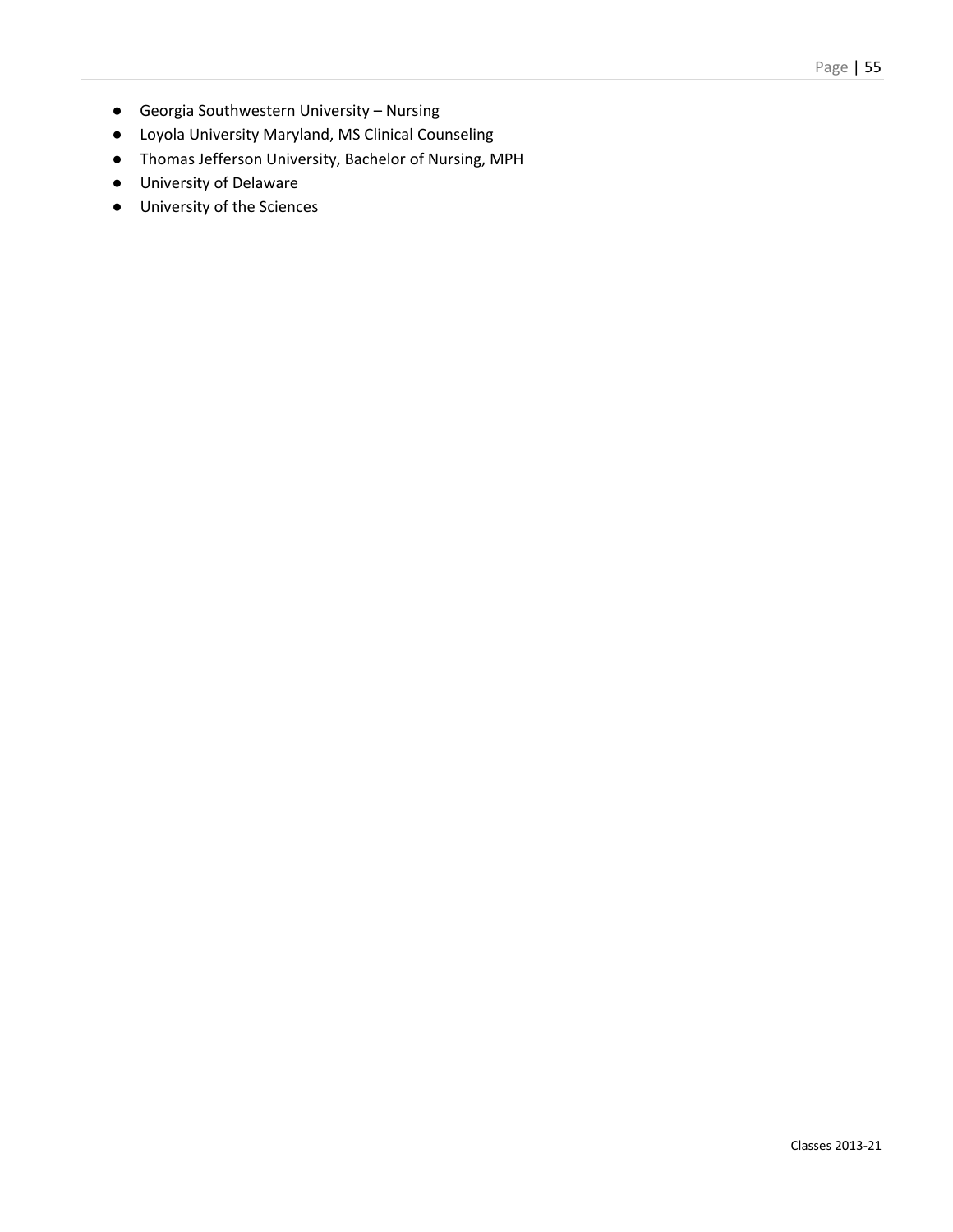- Georgia Southwestern University Nursing
- Loyola University Maryland, MS Clinical Counseling
- Thomas Jefferson University, Bachelor of Nursing, MPH
- University of Delaware
- University of the Sciences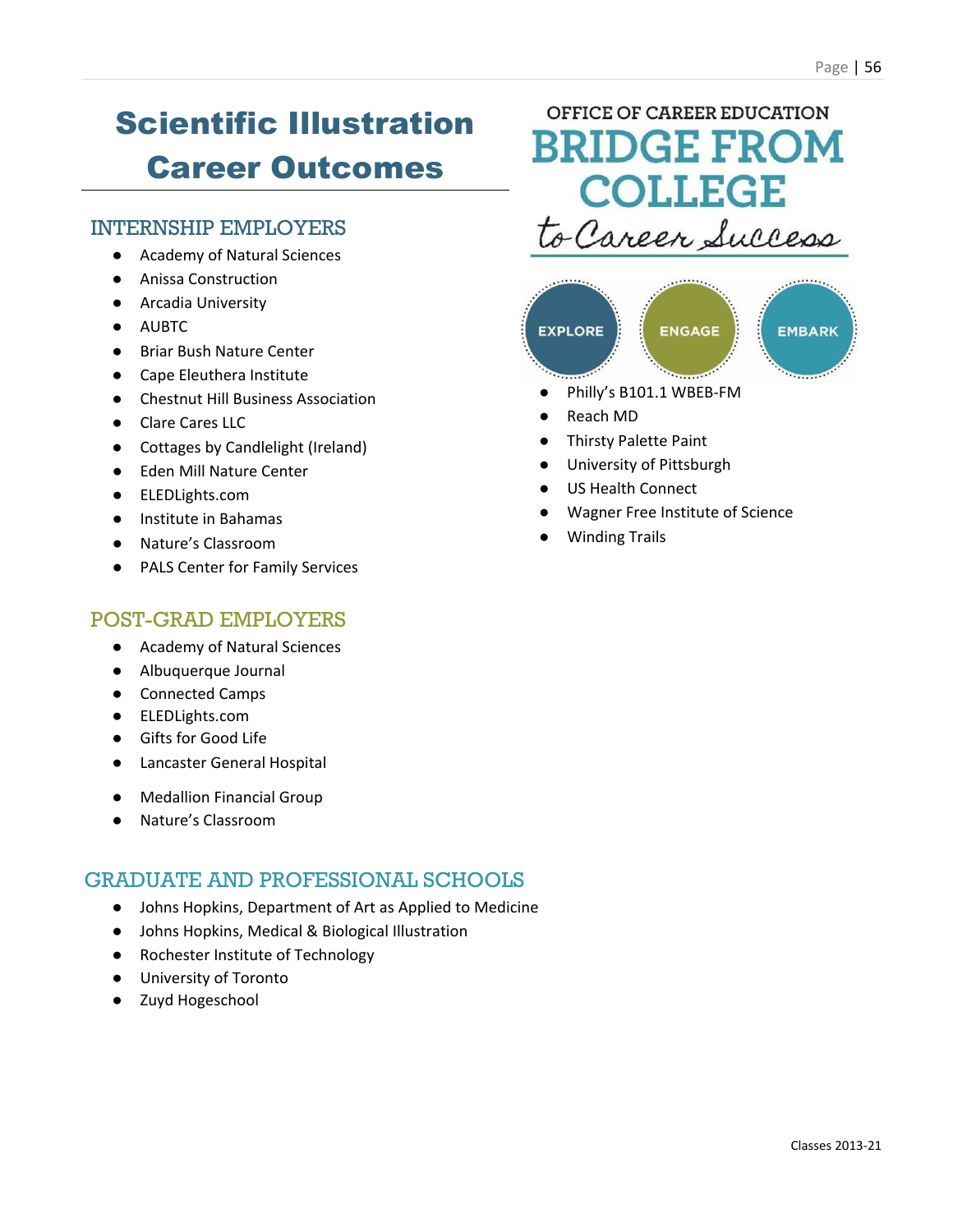# Scientific Illustration Career Outcomes

### INTERNSHIP EMPLOYERS

- Academy of Natural Sciences
- Anissa Construction
- Arcadia University
- AUBTC
- Briar Bush Nature Center
- Cape Eleuthera Institute
- Chestnut Hill Business Association
- Clare Cares LLC
- Cottages by Candlelight (Ireland)
- Eden Mill Nature Center
- ELEDLights.com
- Institute in Bahamas
- Nature's Classroom
- PALS Center for Family Services

### POST-GRAD EMPLOYERS

- Academy of Natural Sciences
- Albuquerque Journal
- Connected Camps
- ELEDLights.com
- Gifts for Good Life
- Lancaster General Hospital
- Medallion Financial Group
- Nature's Classroom

### GRADUATE AND PROFESSIONAL SCHOOLS

- Johns Hopkins, Department of Art as Applied to Medicine
- Johns Hopkins, Medical & Biological Illustration
- Rochester Institute of Technology
- University of Toronto
- Zuyd Hogeschool

### OFFICE OF CAREER EDUCATION **BRIDGE FROM COLLEGE** o Career Success



- 
- **Reach MD**
- **Thirsty Palette Paint**
- University of Pittsburgh
- US Health Connect
- Wagner Free Institute of Science
- **Winding Trails**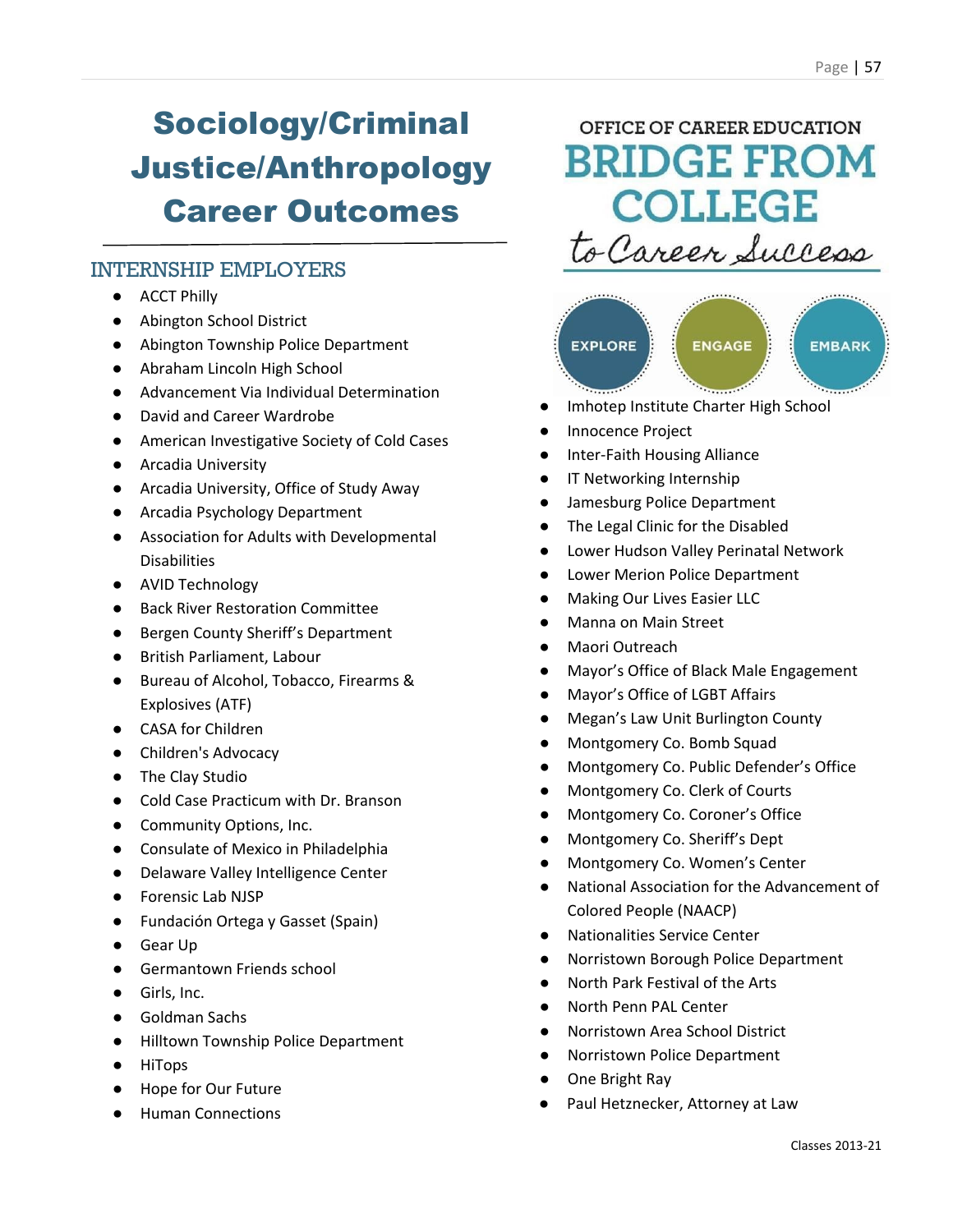# Sociology/Criminal Justice/Anthropology Career Outcomes

### INTERNSHIP EMPLOYERS

- ACCT Philly
- Abington School District
- Abington Township Police Department
- Abraham Lincoln High School
- Advancement Via Individual Determination
- David and Career Wardrobe
- American Investigative Society of Cold Cases
- Arcadia University
- Arcadia University, Office of Study Away
- Arcadia Psychology Department
- Association for Adults with Developmental **Disabilities**
- AVID Technology
- Back River Restoration Committee
- Bergen County Sheriff's Department
- British Parliament, Labour
- Bureau of Alcohol, Tobacco, Firearms & Explosives (ATF)
- CASA for Children
- Children's Advocacy
- The Clay Studio
- Cold Case Practicum with Dr. Branson
- Community Options, Inc.
- Consulate of Mexico in Philadelphia
- Delaware Valley Intelligence Center
- Forensic Lab NJSP
- Fundación Ortega y Gasset (Spain)
- Gear Up
- Germantown Friends school
- Girls, Inc.
- Goldman Sachs
- Hilltown Township Police Department
- HiTops
- Hope for Our Future
- **Human Connections**

### OFFICE OF CAREER EDUCATION **BRIDGE FROM COLLEGE** to Career Success



- Imhotep Institute Charter High School
- Innocence Project
- Inter-Faith Housing Alliance
- IT Networking Internship
- Jamesburg Police Department
- The Legal Clinic for the Disabled
- Lower Hudson Valley Perinatal Network
- **Lower Merion Police Department**
- **Making Our Lives Easier LLC**
- **Manna on Main Street**
- Maori Outreach
- Mayor's Office of Black Male Engagement
- Mayor's Office of LGBT Affairs
- Megan's Law Unit Burlington County
- Montgomery Co. Bomb Squad
- Montgomery Co. Public Defender's Office
- Montgomery Co. Clerk of Courts
- Montgomery Co. Coroner's Office
- Montgomery Co. Sheriff's Dept
- Montgomery Co. Women's Center
- National Association for the Advancement of Colored People (NAACP)
- Nationalities Service Center
- Norristown Borough Police Department
- North Park Festival of the Arts
- North Penn PAL Center
- Norristown Area School District
- **Norristown Police Department**
- One Bright Ray
- Paul Hetznecker, Attorney at Law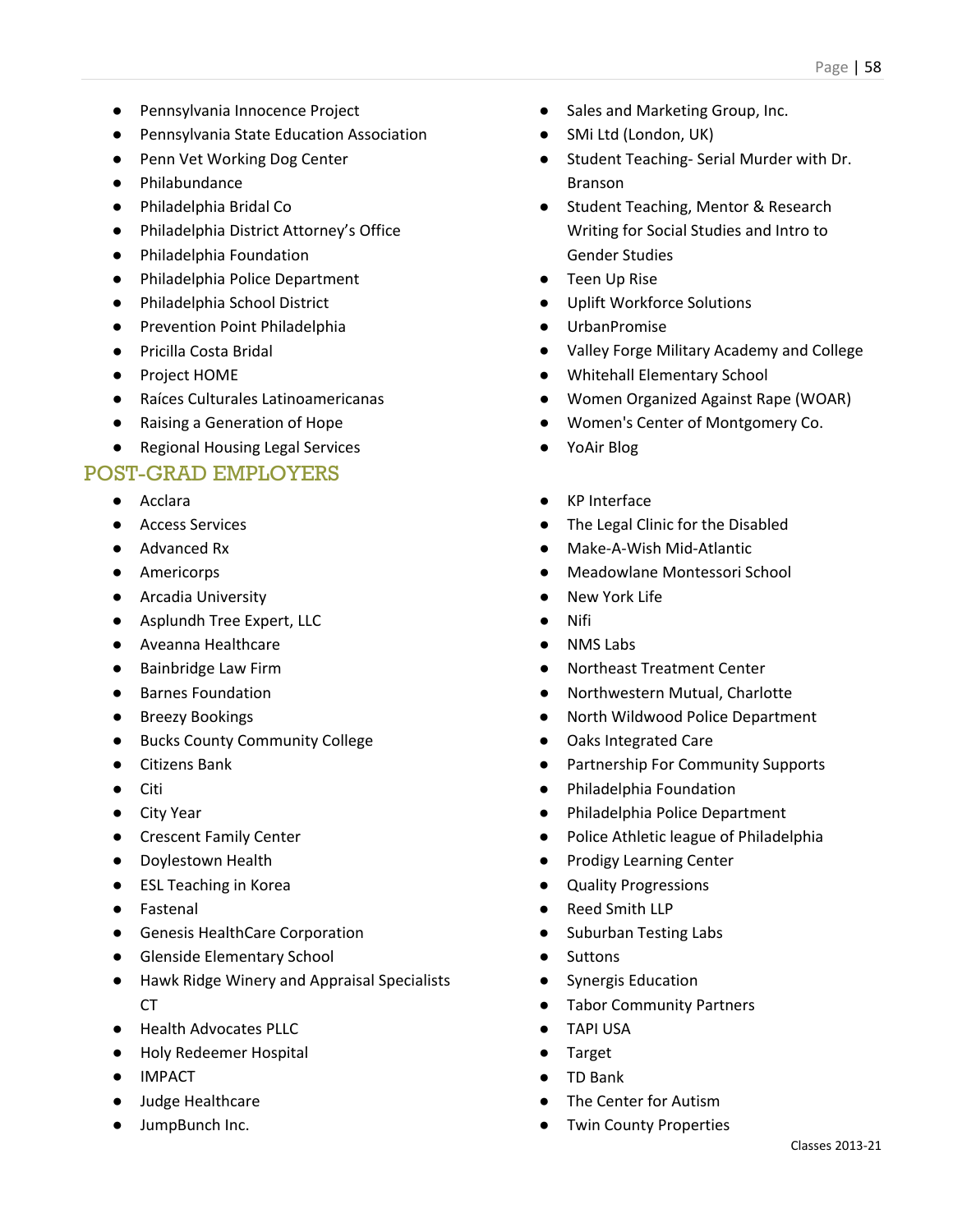- Pennsylvania Innocence Project
- Pennsylvania State Education Association
- Penn Vet Working Dog Center
- Philabundance
- Philadelphia Bridal Co
- Philadelphia District Attorney's Office
- Philadelphia Foundation
- Philadelphia Police Department
- Philadelphia School District
- Prevention Point Philadelphia
- Pricilla Costa Bridal
- Project HOME
- Raíces Culturales Latinoamericanas
- Raising a Generation of Hope
- Regional Housing Legal Services

- Acclara
- Access Services
- Advanced Rx
- Americorps
- Arcadia University
- Asplundh Tree Expert, LLC
- Aveanna Healthcare
- Bainbridge Law Firm
- Barnes Foundation
- Breezy Bookings
- Bucks County Community College
- Citizens Bank
- Citi
- City Year
- Crescent Family Center
- Doylestown Health
- ESL Teaching in Korea
- Fastenal
- Genesis HealthCare Corporation
- Glenside Elementary School
- Hawk Ridge Winery and Appraisal Specialists  $CT$
- Health Advocates PLLC
- Holy Redeemer Hospital
- IMPACT
- Judge Healthcare
- JumpBunch Inc.
- Sales and Marketing Group, Inc.
- SMi Ltd (London, UK)
- Student Teaching- Serial Murder with Dr. Branson
- Student Teaching, Mentor & Research Writing for Social Studies and Intro to Gender Studies
- **Teen Up Rise**
- Uplift Workforce Solutions
- **UrbanPromise**
- Valley Forge Military Academy and College
- Whitehall Elementary School
- Women Organized Against Rape (WOAR)
- Women's Center of Montgomery Co.
- YoAir Blog
- KP Interface
- The Legal Clinic for the Disabled
- Make-A-Wish Mid-Atlantic
- Meadowlane Montessori School
- New York Life
- Nifi
- **NMS Labs**
- **Northeast Treatment Center**
- Northwestern Mutual, Charlotte
- North Wildwood Police Department
- Oaks Integrated Care
- Partnership For Community Supports
- Philadelphia Foundation
- Philadelphia Police Department
- Police Athletic league of Philadelphia
- Prodigy Learning Center
- Quality Progressions
- Reed Smith LLP
- Suburban Testing Labs
- Suttons
- Synergis Education
- Tabor Community Partners
- TAPI USA
- **Target**
- TD Bank
- The Center for Autism
- **Twin County Properties**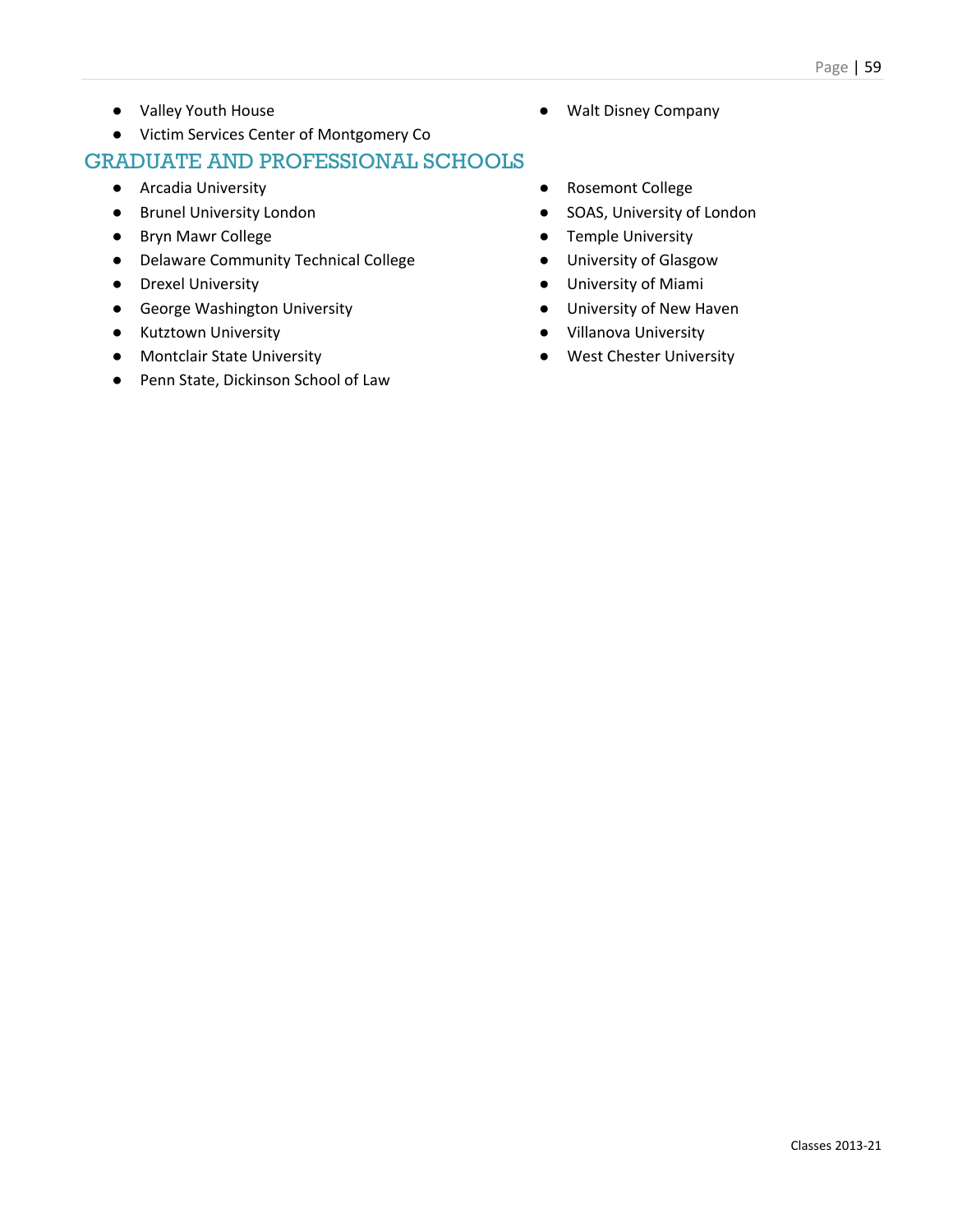- Valley Youth House
- Victim Services Center of Montgomery Co

- Arcadia University
- Brunel University London
- Bryn Mawr College
- Delaware Community Technical College
- Drexel University
- George Washington University
- Kutztown University
- Montclair State University
- Penn State, Dickinson School of Law
- Walt Disney Company
- Rosemont College
- SOAS, University of London
- Temple University
- University of Glasgow
- University of Miami
- University of New Haven
- Villanova University
- West Chester University